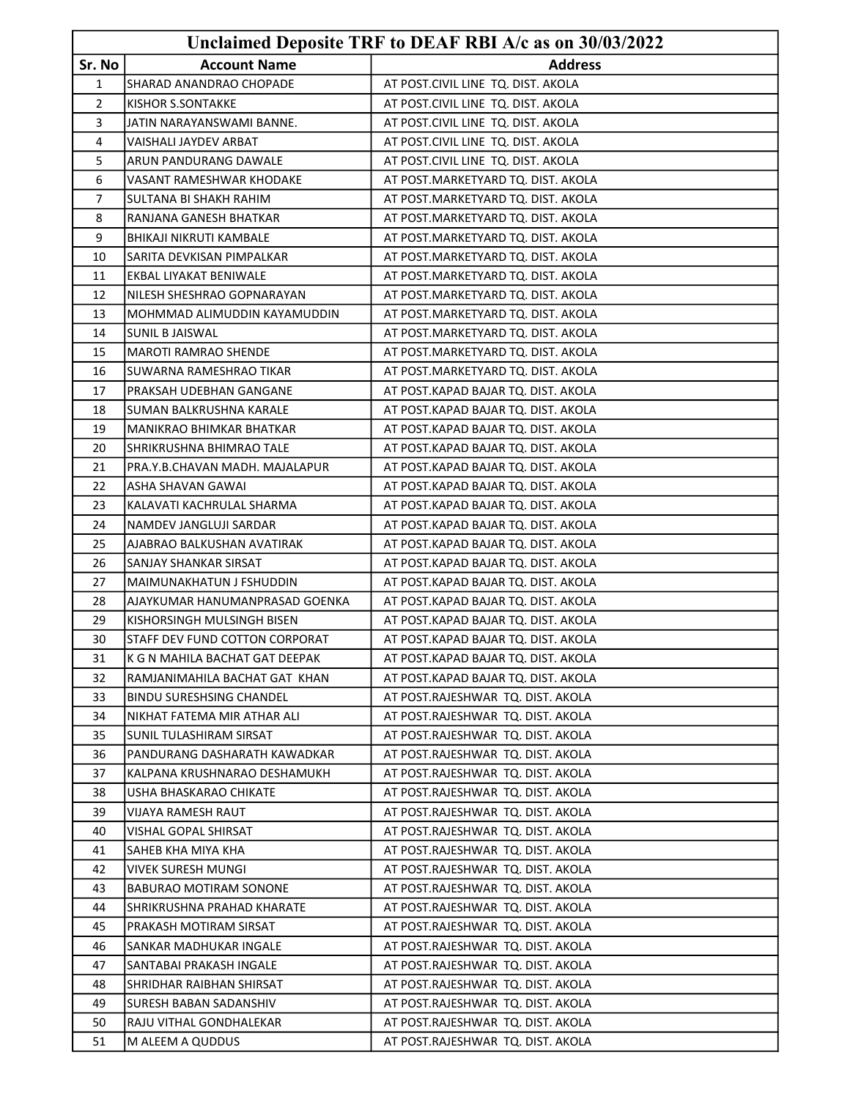|        |                                 | Unclaimed Deposite TRF to DEAF RBI A/c as on 30/03/2022 |
|--------|---------------------------------|---------------------------------------------------------|
| Sr. No | <b>Account Name</b>             | <b>Address</b>                                          |
| 1      | SHARAD ANANDRAO CHOPADE         | AT POST.CIVIL LINE TQ. DIST. AKOLA                      |
| 2      | KISHOR S.SONTAKKE               | AT POST.CIVIL LINE TQ. DIST. AKOLA                      |
| 3      | JATIN NARAYANSWAMI BANNE.       | AT POST.CIVIL LINE TQ. DIST. AKOLA                      |
| 4      | VAISHALI JAYDEV ARBAT           | AT POST.CIVIL LINE TQ. DIST. AKOLA                      |
| 5      | ARUN PANDURANG DAWALE           | AT POST.CIVIL LINE TQ. DIST. AKOLA                      |
| 6      | VASANT RAMESHWAR KHODAKE        | AT POST.MARKETYARD TQ. DIST. AKOLA                      |
| 7      | SULTANA BI SHAKH RAHIM          | AT POST.MARKETYARD TQ. DIST. AKOLA                      |
| 8      | RANJANA GANESH BHATKAR          | AT POST.MARKETYARD TQ. DIST. AKOLA                      |
| 9      | BHIKAJI NIKRUTI KAMBALE         | AT POST.MARKETYARD TQ. DIST. AKOLA                      |
| 10     | SARITA DEVKISAN PIMPALKAR       | AT POST.MARKETYARD TQ. DIST. AKOLA                      |
| 11     | EKBAL LIYAKAT BENIWALE          | AT POST.MARKETYARD TQ. DIST. AKOLA                      |
| 12     | NILESH SHESHRAO GOPNARAYAN      | AT POST.MARKETYARD TQ. DIST. AKOLA                      |
| 13     | MOHMMAD ALIMUDDIN KAYAMUDDIN    | AT POST. MARKETYARD TQ. DIST. AKOLA                     |
| 14     | <b>SUNIL B JAISWAL</b>          | AT POST.MARKETYARD TQ. DIST. AKOLA                      |
| 15     | <b>MAROTI RAMRAO SHENDE</b>     | AT POST.MARKETYARD TQ. DIST. AKOLA                      |
| 16     | SUWARNA RAMESHRAO TIKAR         | AT POST.MARKETYARD TQ. DIST. AKOLA                      |
| 17     | PRAKSAH UDEBHAN GANGANE         | AT POST.KAPAD BAJAR TQ. DIST. AKOLA                     |
| 18     | SUMAN BALKRUSHNA KARALE         | AT POST.KAPAD BAJAR TQ. DIST. AKOLA                     |
| 19     | MANIKRAO BHIMKAR BHATKAR        | AT POST.KAPAD BAJAR TQ. DIST. AKOLA                     |
| 20     | SHRIKRUSHNA BHIMRAO TALE        | AT POST.KAPAD BAJAR TQ. DIST. AKOLA                     |
| 21     | PRA.Y.B.CHAVAN MADH. MAJALAPUR  | AT POST.KAPAD BAJAR TQ. DIST. AKOLA                     |
| 22     | ASHA SHAVAN GAWAI               | AT POST.KAPAD BAJAR TQ. DIST. AKOLA                     |
| 23     | KALAVATI KACHRULAL SHARMA       | AT POST.KAPAD BAJAR TQ. DIST. AKOLA                     |
| 24     | NAMDEV JANGLUJI SARDAR          | AT POST.KAPAD BAJAR TQ. DIST. AKOLA                     |
| 25     | AJABRAO BALKUSHAN AVATIRAK      | AT POST.KAPAD BAJAR TQ. DIST. AKOLA                     |
| 26     | SANJAY SHANKAR SIRSAT           | AT POST.KAPAD BAJAR TQ. DIST. AKOLA                     |
| 27     | MAIMUNAKHATUN J FSHUDDIN        | AT POST.KAPAD BAJAR TQ. DIST. AKOLA                     |
| 28     | AJAYKUMAR HANUMANPRASAD GOENKA  | AT POST.KAPAD BAJAR TQ. DIST. AKOLA                     |
| 29     | KISHORSINGH MULSINGH BISEN      | AT POST.KAPAD BAJAR TQ. DIST. AKOLA                     |
| 30     | STAFF DEV FUND COTTON CORPORAT  | AT POST.KAPAD BAJAR TQ. DIST. AKOLA                     |
| 31     | K G N MAHILA BACHAT GAT DEEPAK  | AT POST.KAPAD BAJAR TQ. DIST. AKOLA                     |
| 32     | RAMJANIMAHILA BACHAT GAT KHAN   | AT POST.KAPAD BAJAR TQ. DIST. AKOLA                     |
| 33     | <b>BINDU SURESHSING CHANDEL</b> | AT POST.RAJESHWAR TQ. DIST. AKOLA                       |
| 34     | NIKHAT FATEMA MIR ATHAR ALI     | AT POST.RAJESHWAR TQ. DIST. AKOLA                       |
| 35     | <b>SUNIL TULASHIRAM SIRSAT</b>  | AT POST.RAJESHWAR TQ. DIST. AKOLA                       |
| 36     | PANDURANG DASHARATH KAWADKAR    | AT POST.RAJESHWAR TQ. DIST. AKOLA                       |
| 37     | KALPANA KRUSHNARAO DESHAMUKH    | AT POST.RAJESHWAR TQ. DIST. AKOLA                       |
| 38     | USHA BHASKARAO CHIKATE          | AT POST.RAJESHWAR TQ. DIST. AKOLA                       |
| 39     | VIJAYA RAMESH RAUT              | AT POST.RAJESHWAR TQ. DIST. AKOLA                       |
| 40     | VISHAL GOPAL SHIRSAT            | AT POST.RAJESHWAR TQ. DIST. AKOLA                       |
| 41     | SAHEB KHA MIYA KHA              | AT POST.RAJESHWAR TQ. DIST. AKOLA                       |
| 42     | <b>VIVEK SURESH MUNGI</b>       | AT POST.RAJESHWAR TQ. DIST. AKOLA                       |
| 43     | BABURAO MOTIRAM SONONE          | AT POST.RAJESHWAR TQ. DIST. AKOLA                       |
| 44     | SHRIKRUSHNA PRAHAD KHARATE      | AT POST.RAJESHWAR TQ. DIST. AKOLA                       |
| 45     | PRAKASH MOTIRAM SIRSAT          | AT POST.RAJESHWAR TQ. DIST. AKOLA                       |
| 46     | SANKAR MADHUKAR INGALE          | AT POST.RAJESHWAR TQ. DIST. AKOLA                       |
| 47     | SANTABAI PRAKASH INGALE         | AT POST.RAJESHWAR TQ. DIST. AKOLA                       |
| 48     | SHRIDHAR RAIBHAN SHIRSAT        | AT POST.RAJESHWAR TQ. DIST. AKOLA                       |
| 49     | SURESH BABAN SADANSHIV          | AT POST.RAJESHWAR TQ. DIST. AKOLA                       |
| 50     | RAJU VITHAL GONDHALEKAR         | AT POST.RAJESHWAR TQ. DIST. AKOLA                       |
| 51     | M ALEEM A QUDDUS                | AT POST.RAJESHWAR TQ. DIST. AKOLA                       |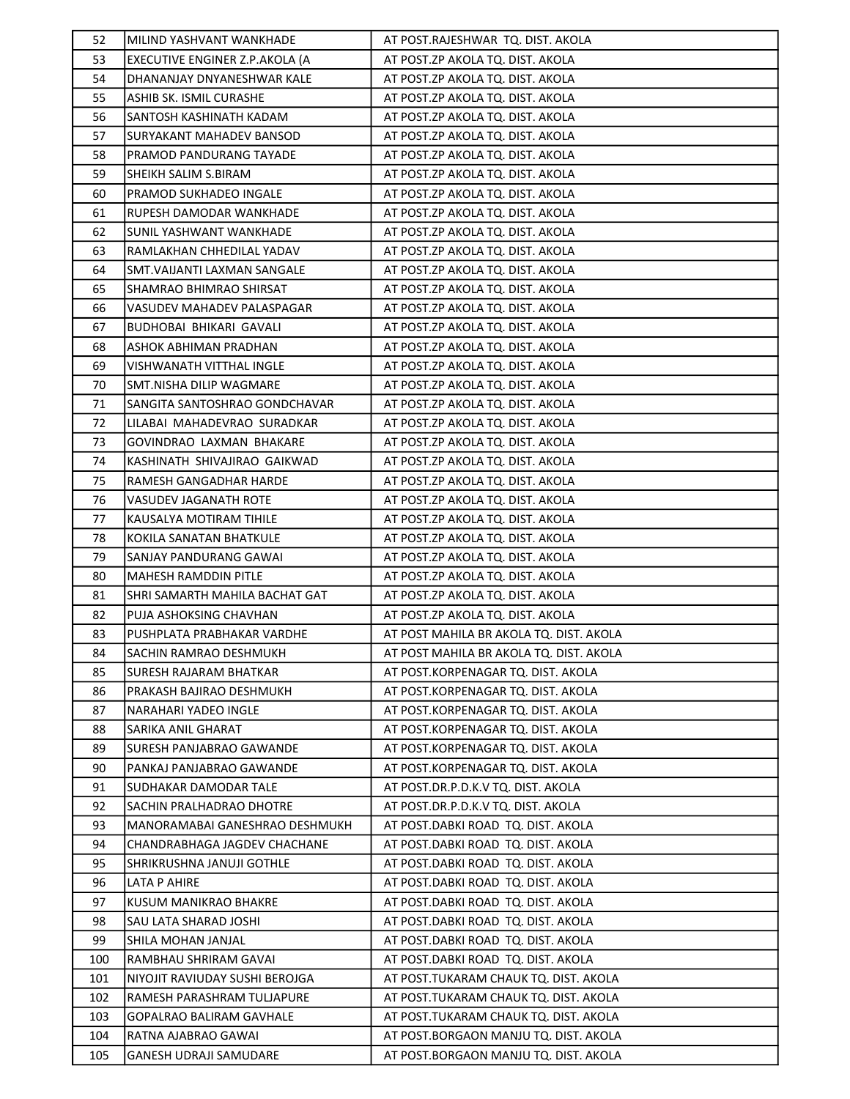| 52  | MILIND YASHVANT WANKHADE        | AT POST.RAJESHWAR TQ. DIST. AKOLA       |
|-----|---------------------------------|-----------------------------------------|
| 53  | EXECUTIVE ENGINER Z.P.AKOLA (A  | AT POST.ZP AKOLA TQ. DIST. AKOLA        |
| 54  | DHANANJAY DNYANESHWAR KALE      | AT POST.ZP AKOLA TQ. DIST. AKOLA        |
| 55  | ASHIB SK. ISMIL CURASHE         | AT POST.ZP AKOLA TQ. DIST. AKOLA        |
| 56  | SANTOSH KASHINATH KADAM         | AT POST.ZP AKOLA TQ. DIST. AKOLA        |
| 57  | <b>SURYAKANT MAHADEV BANSOD</b> | AT POST.ZP AKOLA TQ. DIST. AKOLA        |
| 58  | PRAMOD PANDURANG TAYADE         | AT POST.ZP AKOLA TQ. DIST. AKOLA        |
| 59  | SHEIKH SALIM S.BIRAM            | AT POST.ZP AKOLA TQ. DIST. AKOLA        |
| 60  | PRAMOD SUKHADEO INGALE          | AT POST.ZP AKOLA TQ. DIST. AKOLA        |
| 61  | RUPESH DAMODAR WANKHADE         | AT POST.ZP AKOLA TQ. DIST. AKOLA        |
| 62  | SUNIL YASHWANT WANKHADE         | AT POST.ZP AKOLA TQ. DIST. AKOLA        |
| 63  | RAMLAKHAN CHHEDILAL YADAV       | AT POST.ZP AKOLA TQ. DIST. AKOLA        |
| 64  | SMT. VAIJANTI LAXMAN SANGALE    | AT POST.ZP AKOLA TQ. DIST. AKOLA        |
| 65  | SHAMRAO BHIMRAO SHIRSAT         | AT POST.ZP AKOLA TQ. DIST. AKOLA        |
| 66  | VASUDEV MAHADEV PALASPAGAR      | AT POST.ZP AKOLA TQ. DIST. AKOLA        |
| 67  | <b>BUDHOBAI BHIKARI GAVALI</b>  | AT POST.ZP AKOLA TQ. DIST. AKOLA        |
| 68  | ASHOK ABHIMAN PRADHAN           | AT POST.ZP AKOLA TQ. DIST. AKOLA        |
| 69  | VISHWANATH VITTHAL INGLE        | AT POST.ZP AKOLA TQ. DIST. AKOLA        |
| 70  | SMT.NISHA DILIP WAGMARE         | AT POST.ZP AKOLA TQ. DIST. AKOLA        |
| 71  | SANGITA SANTOSHRAO GONDCHAVAR   | AT POST.ZP AKOLA TQ. DIST. AKOLA        |
| 72  | LILABAI MAHADEVRAO SURADKAR     | AT POST.ZP AKOLA TQ. DIST. AKOLA        |
| 73  | GOVINDRAO LAXMAN BHAKARE        | AT POST.ZP AKOLA TQ. DIST. AKOLA        |
| 74  | KASHINATH SHIVAJIRAO GAIKWAD    | AT POST.ZP AKOLA TQ. DIST. AKOLA        |
| 75  | RAMESH GANGADHAR HARDE          | AT POST.ZP AKOLA TQ. DIST. AKOLA        |
| 76  | VASUDEV JAGANATH ROTE           | AT POST.ZP AKOLA TQ. DIST. AKOLA        |
| 77  | KAUSALYA MOTIRAM TIHILE         | AT POST.ZP AKOLA TQ. DIST. AKOLA        |
| 78  | KOKILA SANATAN BHATKULE         | AT POST.ZP AKOLA TQ. DIST. AKOLA        |
| 79  | SANJAY PANDURANG GAWAI          | AT POST.ZP AKOLA TQ. DIST. AKOLA        |
| 80  | <b>MAHESH RAMDDIN PITLE</b>     | AT POST.ZP AKOLA TQ. DIST. AKOLA        |
| 81  | SHRI SAMARTH MAHILA BACHAT GAT  | AT POST.ZP AKOLA TQ. DIST. AKOLA        |
| 82  | PUJA ASHOKSING CHAVHAN          | AT POST.ZP AKOLA TQ. DIST. AKOLA        |
| 83  | PUSHPLATA PRABHAKAR VARDHE      | AT POST MAHILA BR AKOLA TQ. DIST. AKOLA |
| 84  | SACHIN RAMRAO DESHMUKH          | AT POST MAHILA BR AKOLA TQ. DIST. AKOLA |
| 85  | <b>SURESH RAJARAM BHATKAR</b>   | AT POST.KORPENAGAR TQ. DIST. AKOLA      |
| 86  | PRAKASH BAJIRAO DESHMUKH        | AT POST.KORPENAGAR TQ. DIST. AKOLA      |
| 87  | NARAHARI YADEO INGLE            | AT POST.KORPENAGAR TQ. DIST. AKOLA      |
| 88  | SARIKA ANIL GHARAT              | AT POST.KORPENAGAR TQ. DIST. AKOLA      |
| 89  | SURESH PANJABRAO GAWANDE        | AT POST.KORPENAGAR TQ. DIST. AKOLA      |
| 90  | PANKAJ PANJABRAO GAWANDE        | AT POST.KORPENAGAR TQ. DIST. AKOLA      |
| 91  | SUDHAKAR DAMODAR TALE           | AT POST.DR.P.D.K.V TQ. DIST. AKOLA      |
| 92  | SACHIN PRALHADRAO DHOTRE        | AT POST.DR.P.D.K.V TQ. DIST. AKOLA      |
| 93  | MANORAMABAI GANESHRAO DESHMUKH  | AT POST.DABKI ROAD TQ. DIST. AKOLA      |
| 94  | CHANDRABHAGA JAGDEV CHACHANE    | AT POST.DABKI ROAD TQ. DIST. AKOLA      |
| 95  | SHRIKRUSHNA JANUJI GOTHLE       | AT POST.DABKI ROAD TQ. DIST. AKOLA      |
| 96  | LATA P AHIRE                    | AT POST.DABKI ROAD TQ. DIST. AKOLA      |
| 97  | KUSUM MANIKRAO BHAKRE           | AT POST.DABKI ROAD TQ. DIST. AKOLA      |
| 98  | SAU LATA SHARAD JOSHI           | AT POST.DABKI ROAD TQ. DIST. AKOLA      |
| 99  | SHILA MOHAN JANJAL              | AT POST.DABKI ROAD TQ. DIST. AKOLA      |
| 100 | RAMBHAU SHRIRAM GAVAI           | AT POST.DABKI ROAD TQ. DIST. AKOLA      |
| 101 | NIYOJIT RAVIUDAY SUSHI BEROJGA  | AT POST.TUKARAM CHAUK TQ. DIST. AKOLA   |
| 102 | RAMESH PARASHRAM TULJAPURE      | AT POST.TUKARAM CHAUK TQ. DIST. AKOLA   |
| 103 | GOPALRAO BALIRAM GAVHALE        | AT POST.TUKARAM CHAUK TQ. DIST. AKOLA   |
| 104 | RATNA AJABRAO GAWAI             | AT POST.BORGAON MANJU TQ. DIST. AKOLA   |
| 105 | <b>GANESH UDRAJI SAMUDARE</b>   | AT POST.BORGAON MANJU TQ. DIST. AKOLA   |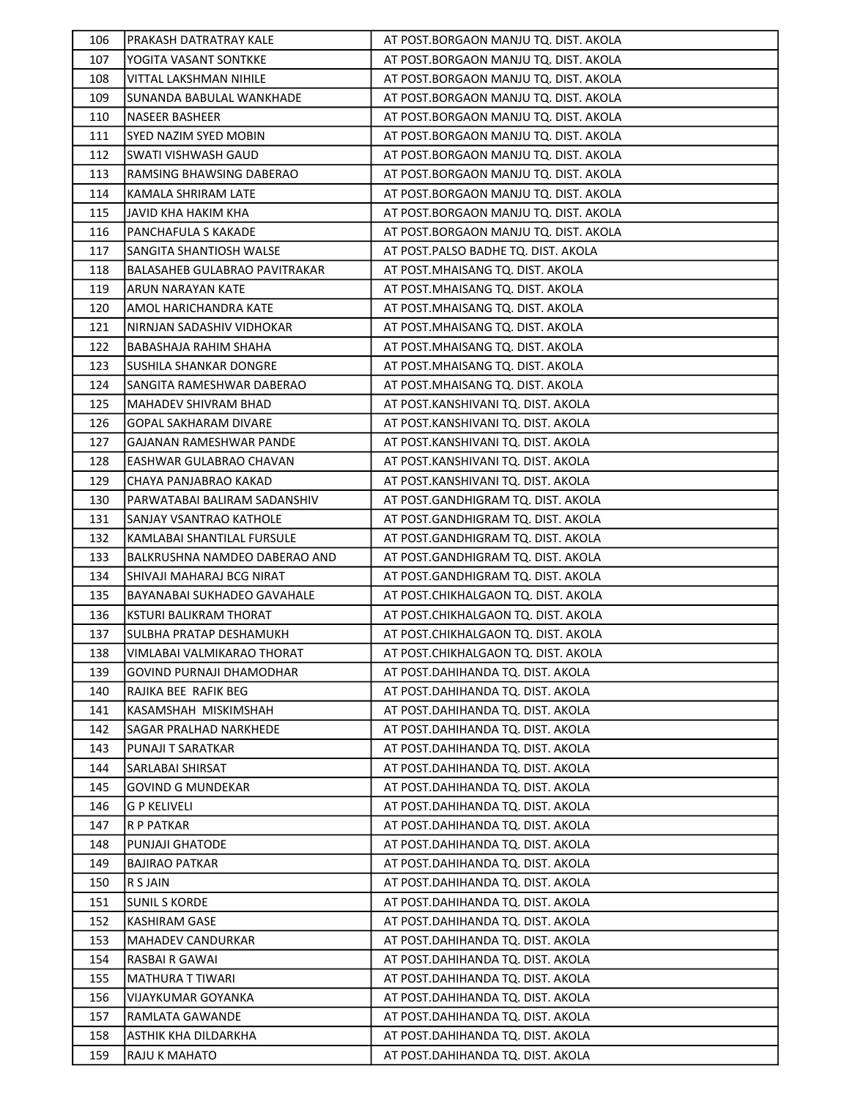| 106        | PRAKASH DATRATRAY KALE                | AT POST.BORGAON MANJU TQ. DIST. AKOLA                                  |
|------------|---------------------------------------|------------------------------------------------------------------------|
| 107        | YOGITA VASANT SONTKKE                 | AT POST.BORGAON MANJU TQ. DIST. AKOLA                                  |
| 108        | VITTAL LAKSHMAN NIHILE                | AT POST.BORGAON MANJU TQ. DIST. AKOLA                                  |
| 109        | SUNANDA BABULAL WANKHADE              | AT POST.BORGAON MANJU TQ. DIST. AKOLA                                  |
| 110        | <b>NASEER BASHEER</b>                 | AT POST.BORGAON MANJU TQ. DIST. AKOLA                                  |
| 111        | SYED NAZIM SYED MOBIN                 | AT POST.BORGAON MANJU TQ. DIST. AKOLA                                  |
| 112        | SWATI VISHWASH GAUD                   | AT POST.BORGAON MANJU TQ. DIST. AKOLA                                  |
| 113        | RAMSING BHAWSING DABERAO              | AT POST.BORGAON MANJU TQ. DIST. AKOLA                                  |
| 114        | KAMALA SHRIRAM LATE                   | AT POST.BORGAON MANJU TQ. DIST. AKOLA                                  |
| 115        | JAVID KHA HAKIM KHA                   | AT POST.BORGAON MANJU TQ. DIST. AKOLA                                  |
| 116        | PANCHAFULA S KAKADE                   | AT POST.BORGAON MANJU TQ. DIST. AKOLA                                  |
| 117        | SANGITA SHANTIOSH WALSE               | AT POST.PALSO BADHE TQ. DIST. AKOLA                                    |
| 118        | BALASAHEB GULABRAO PAVITRAKAR         | AT POST. MHAISANG TQ. DIST. AKOLA                                      |
| 119        | ARUN NARAYAN KATE                     | AT POST. MHAISANG TQ. DIST. AKOLA                                      |
| 120        | AMOL HARICHANDRA KATE                 | AT POST. MHAISANG TQ. DIST. AKOLA                                      |
| 121        | NIRNJAN SADASHIV VIDHOKAR             | AT POST.MHAISANG TQ. DIST. AKOLA                                       |
| 122        | BABASHAJA RAHIM SHAHA                 | AT POST. MHAISANG TQ. DIST. AKOLA                                      |
| 123        | SUSHILA SHANKAR DONGRE                | AT POST. MHAISANG TQ. DIST. AKOLA                                      |
| 124        | SANGITA RAMESHWAR DABERAO             | AT POST. MHAISANG TQ. DIST. AKOLA                                      |
| 125        | MAHADEV SHIVRAM BHAD                  | AT POST.KANSHIVANI TQ. DIST. AKOLA                                     |
| 126        | GOPAL SAKHARAM DIVARE                 | AT POST.KANSHIVANI TQ. DIST. AKOLA                                     |
| 127        | GAJANAN RAMESHWAR PANDE               | AT POST.KANSHIVANI TQ. DIST. AKOLA                                     |
| 128        | EASHWAR GULABRAO CHAVAN               | AT POST.KANSHIVANI TQ. DIST. AKOLA                                     |
| 129        | CHAYA PANJABRAO KAKAD                 | AT POST.KANSHIVANI TQ. DIST. AKOLA                                     |
| 130        | PARWATABAI BALIRAM SADANSHIV          | AT POST.GANDHIGRAM TQ. DIST. AKOLA                                     |
| 131        | SANJAY VSANTRAO KATHOLE               | AT POST.GANDHIGRAM TQ. DIST. AKOLA                                     |
| 132        | KAMLABAI SHANTILAL FURSULE            | AT POST.GANDHIGRAM TQ. DIST. AKOLA                                     |
| 133        | BALKRUSHNA NAMDEO DABERAO AND         | AT POST.GANDHIGRAM TQ. DIST. AKOLA                                     |
| 134        | SHIVAJI MAHARAJ BCG NIRAT             | AT POST.GANDHIGRAM TQ. DIST. AKOLA                                     |
| 135        | BAYANABAI SUKHADEO GAVAHALE           | AT POST.CHIKHALGAON TQ. DIST. AKOLA                                    |
| 136        | KSTURI BALIKRAM THORAT                | AT POST.CHIKHALGAON TQ. DIST. AKOLA                                    |
| 137        | SULBHA PRATAP DESHAMUKH               | AT POST.CHIKHALGAON TQ. DIST. AKOLA                                    |
| 138        | VIMLABAI VALMIKARAO THORAT            | AT POST.CHIKHALGAON TQ. DIST. AKOLA                                    |
| 139        | <b>GOVIND PURNAJI DHAMODHAR</b>       | AT POST.DAHIHANDA TQ. DIST. AKOLA                                      |
| 140        | RAJIKA BEE RAFIK BEG                  | AT POST.DAHIHANDA TQ. DIST. AKOLA                                      |
| 141        | KASAMSHAH MISKIMSHAH                  | AT POST.DAHIHANDA TQ. DIST. AKOLA                                      |
| 142        | SAGAR PRALHAD NARKHEDE                | AT POST.DAHIHANDA TQ. DIST. AKOLA                                      |
| 143        | PUNAJI T SARATKAR                     | AT POST.DAHIHANDA TQ. DIST. AKOLA                                      |
| 144        |                                       |                                                                        |
| 145        | SARLABAI SHIRSAT                      | AT POST.DAHIHANDA TQ. DIST. AKOLA                                      |
|            | GOVIND G MUNDEKAR                     | AT POST.DAHIHANDA TQ. DIST. AKOLA                                      |
| 146        | <b>G P KELIVELI</b>                   | AT POST.DAHIHANDA TQ. DIST. AKOLA                                      |
| 147        | R P PATKAR                            | AT POST.DAHIHANDA TQ. DIST. AKOLA                                      |
| 148        | PUNJAJI GHATODE                       | AT POST.DAHIHANDA TQ. DIST. AKOLA                                      |
| 149        | <b>BAJIRAO PATKAR</b>                 | AT POST.DAHIHANDA TQ. DIST. AKOLA                                      |
| 150        | R S JAIN                              | AT POST.DAHIHANDA TQ. DIST. AKOLA                                      |
| 151        | <b>SUNIL S KORDE</b>                  | AT POST.DAHIHANDA TQ. DIST. AKOLA                                      |
| 152        | <b>KASHIRAM GASE</b>                  | AT POST.DAHIHANDA TQ. DIST. AKOLA                                      |
| 153        | <b>MAHADEV CANDURKAR</b>              | AT POST.DAHIHANDA TQ. DIST. AKOLA                                      |
| 154        | RASBAI R GAWAI                        | AT POST.DAHIHANDA TQ. DIST. AKOLA                                      |
| 155        | MATHURA T TIWARI                      | AT POST.DAHIHANDA TQ. DIST. AKOLA                                      |
| 156        | VIJAYKUMAR GOYANKA                    | AT POST.DAHIHANDA TQ. DIST. AKOLA                                      |
| 157        | RAMLATA GAWANDE                       | AT POST.DAHIHANDA TQ. DIST. AKOLA                                      |
| 158<br>159 | ASTHIK KHA DILDARKHA<br>RAJU K MAHATO | AT POST.DAHIHANDA TQ. DIST. AKOLA<br>AT POST.DAHIHANDA TQ. DIST. AKOLA |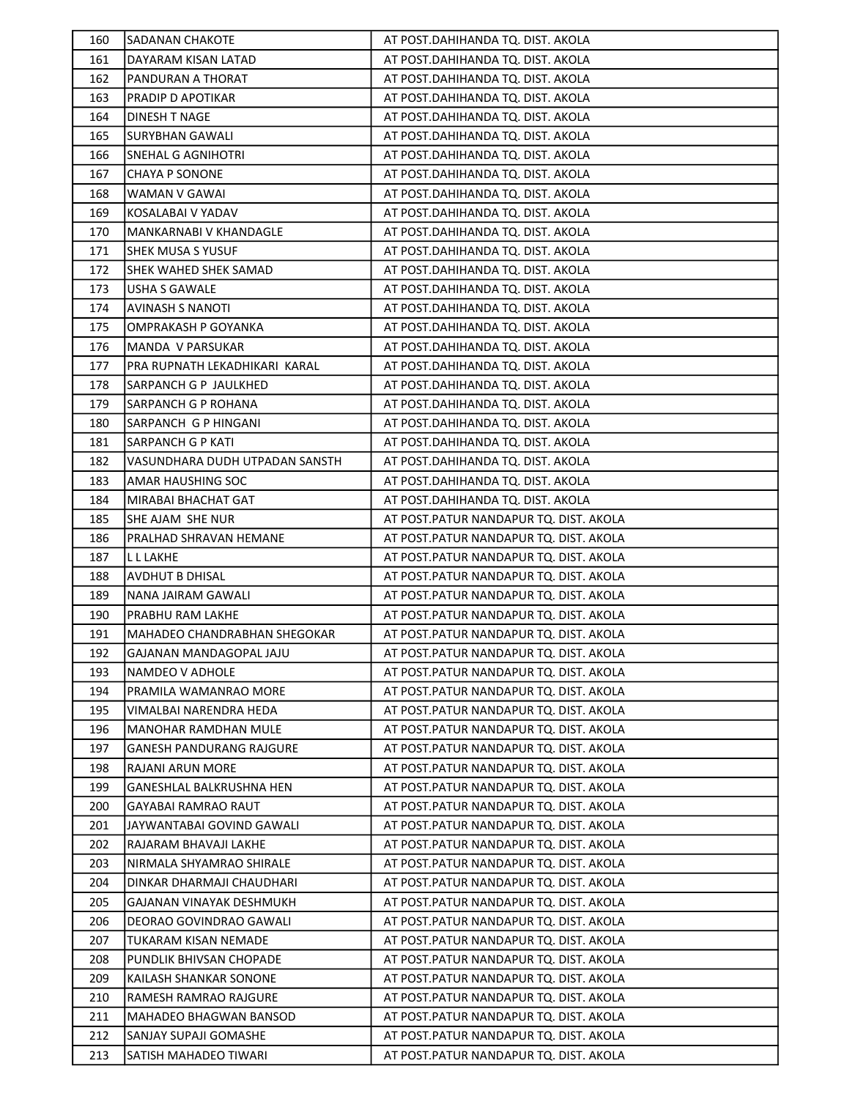| 160 | <b>SADANAN CHAKOTE</b>          | AT POST.DAHIHANDA TQ. DIST. AKOLA       |
|-----|---------------------------------|-----------------------------------------|
| 161 | DAYARAM KISAN LATAD             | AT POST.DAHIHANDA TQ. DIST. AKOLA       |
| 162 | PANDURAN A THORAT               | AT POST.DAHIHANDA TQ. DIST. AKOLA       |
| 163 | PRADIP D APOTIKAR               | AT POST.DAHIHANDA TQ. DIST. AKOLA       |
| 164 | DINESH T NAGE                   | AT POST.DAHIHANDA TQ. DIST. AKOLA       |
| 165 | <b>SURYBHAN GAWALI</b>          | AT POST.DAHIHANDA TQ. DIST. AKOLA       |
| 166 | SNEHAL G AGNIHOTRI              | AT POST.DAHIHANDA TQ. DIST. AKOLA       |
| 167 | <b>CHAYA P SONONE</b>           | AT POST.DAHIHANDA TQ. DIST. AKOLA       |
| 168 | WAMAN V GAWAI                   | AT POST.DAHIHANDA TQ. DIST. AKOLA       |
| 169 | KOSALABAI V YADAV               | AT POST.DAHIHANDA TQ. DIST. AKOLA       |
| 170 | MANKARNABI V KHANDAGLE          | AT POST.DAHIHANDA TQ. DIST. AKOLA       |
| 171 | <b>SHEK MUSA S YUSUF</b>        | AT POST.DAHIHANDA TQ. DIST. AKOLA       |
| 172 | SHEK WAHED SHEK SAMAD           | AT POST.DAHIHANDA TQ. DIST. AKOLA       |
| 173 | USHA S GAWALE                   | AT POST.DAHIHANDA TQ. DIST. AKOLA       |
| 174 | <b>AVINASH S NANOTI</b>         | AT POST.DAHIHANDA TQ. DIST. AKOLA       |
| 175 | OMPRAKASH P GOYANKA             | AT POST.DAHIHANDA TQ. DIST. AKOLA       |
| 176 | MANDA V PARSUKAR                | AT POST.DAHIHANDA TQ. DIST. AKOLA       |
| 177 | PRA RUPNATH LEKADHIKARI KARAL   | AT POST.DAHIHANDA TQ. DIST. AKOLA       |
| 178 | SARPANCH G P JAULKHED           | AT POST.DAHIHANDA TQ. DIST. AKOLA       |
| 179 | <b>SARPANCH G P ROHANA</b>      | AT POST.DAHIHANDA TQ. DIST. AKOLA       |
| 180 | SARPANCH G P HINGANI            | AT POST.DAHIHANDA TQ. DIST. AKOLA       |
| 181 | <b>SARPANCH G P KATI</b>        | AT POST.DAHIHANDA TQ. DIST. AKOLA       |
| 182 | VASUNDHARA DUDH UTPADAN SANSTH  | AT POST.DAHIHANDA TQ. DIST. AKOLA       |
| 183 | AMAR HAUSHING SOC               | AT POST.DAHIHANDA TQ. DIST. AKOLA       |
| 184 | MIRABAI BHACHAT GAT             | AT POST.DAHIHANDA TQ. DIST. AKOLA       |
| 185 | SHE AJAM SHE NUR                | AT POST. PATUR NANDAPUR TQ. DIST. AKOLA |
| 186 | PRALHAD SHRAVAN HEMANE          | AT POST. PATUR NANDAPUR TQ. DIST. AKOLA |
| 187 | L L LAKHE                       | AT POST. PATUR NANDAPUR TQ. DIST. AKOLA |
| 188 | <b>AVDHUT B DHISAL</b>          | AT POST. PATUR NANDAPUR TQ. DIST. AKOLA |
| 189 | NANA JAIRAM GAWALI              | AT POST. PATUR NANDAPUR TQ. DIST. AKOLA |
| 190 | PRABHU RAM LAKHE                | AT POST. PATUR NANDAPUR TQ. DIST. AKOLA |
| 191 | MAHADEO CHANDRABHAN SHEGOKAR    | AT POST.PATUR NANDAPUR TQ. DIST. AKOLA  |
| 192 | GAJANAN MANDAGOPAL JAJU         | AT POST.PATUR NANDAPUR TQ. DIST. AKOLA  |
| 193 | NAMDEO V ADHOLE                 | AT POST. PATUR NANDAPUR TQ. DIST. AKOLA |
| 194 | PRAMILA WAMANRAO MORE           | AT POST. PATUR NANDAPUR TQ. DIST. AKOLA |
| 195 | VIMALBAI NARENDRA HEDA          | AT POST. PATUR NANDAPUR TQ. DIST. AKOLA |
| 196 | MANOHAR RAMDHAN MULE            | AT POST. PATUR NANDAPUR TQ. DIST. AKOLA |
| 197 | <b>GANESH PANDURANG RAJGURE</b> | AT POST. PATUR NANDAPUR TQ. DIST. AKOLA |
| 198 | RAJANI ARUN MORE                | AT POST.PATUR NANDAPUR TQ. DIST. AKOLA  |
| 199 | <b>GANESHLAL BALKRUSHNA HEN</b> | AT POST. PATUR NANDAPUR TQ. DIST. AKOLA |
| 200 | <b>GAYABAI RAMRAO RAUT</b>      | AT POST. PATUR NANDAPUR TQ. DIST. AKOLA |
| 201 | JAYWANTABAI GOVIND GAWALI       | AT POST.PATUR NANDAPUR TQ. DIST. AKOLA  |
| 202 | RAJARAM BHAVAJI LAKHE           | AT POST.PATUR NANDAPUR TQ. DIST. AKOLA  |
| 203 | NIRMALA SHYAMRAO SHIRALE        | AT POST.PATUR NANDAPUR TQ. DIST. AKOLA  |
| 204 | DINKAR DHARMAJI CHAUDHARI       | AT POST. PATUR NANDAPUR TQ. DIST. AKOLA |
| 205 | GAJANAN VINAYAK DESHMUKH        | AT POST. PATUR NANDAPUR TQ. DIST. AKOLA |
| 206 | DEORAO GOVINDRAO GAWALI         | AT POST.PATUR NANDAPUR TQ. DIST. AKOLA  |
| 207 | TUKARAM KISAN NEMADE            | AT POST. PATUR NANDAPUR TQ. DIST. AKOLA |
| 208 | PUNDLIK BHIVSAN CHOPADE         | AT POST. PATUR NANDAPUR TQ. DIST. AKOLA |
| 209 | KAILASH SHANKAR SONONE          | AT POST.PATUR NANDAPUR TQ. DIST. AKOLA  |
| 210 | RAMESH RAMRAO RAJGURE           | AT POST. PATUR NANDAPUR TQ. DIST. AKOLA |
| 211 | MAHADEO BHAGWAN BANSOD          | AT POST.PATUR NANDAPUR TQ. DIST. AKOLA  |
| 212 | SANJAY SUPAJI GOMASHE           | AT POST. PATUR NANDAPUR TQ. DIST. AKOLA |
| 213 | SATISH MAHADEO TIWARI           | AT POST.PATUR NANDAPUR TQ. DIST. AKOLA  |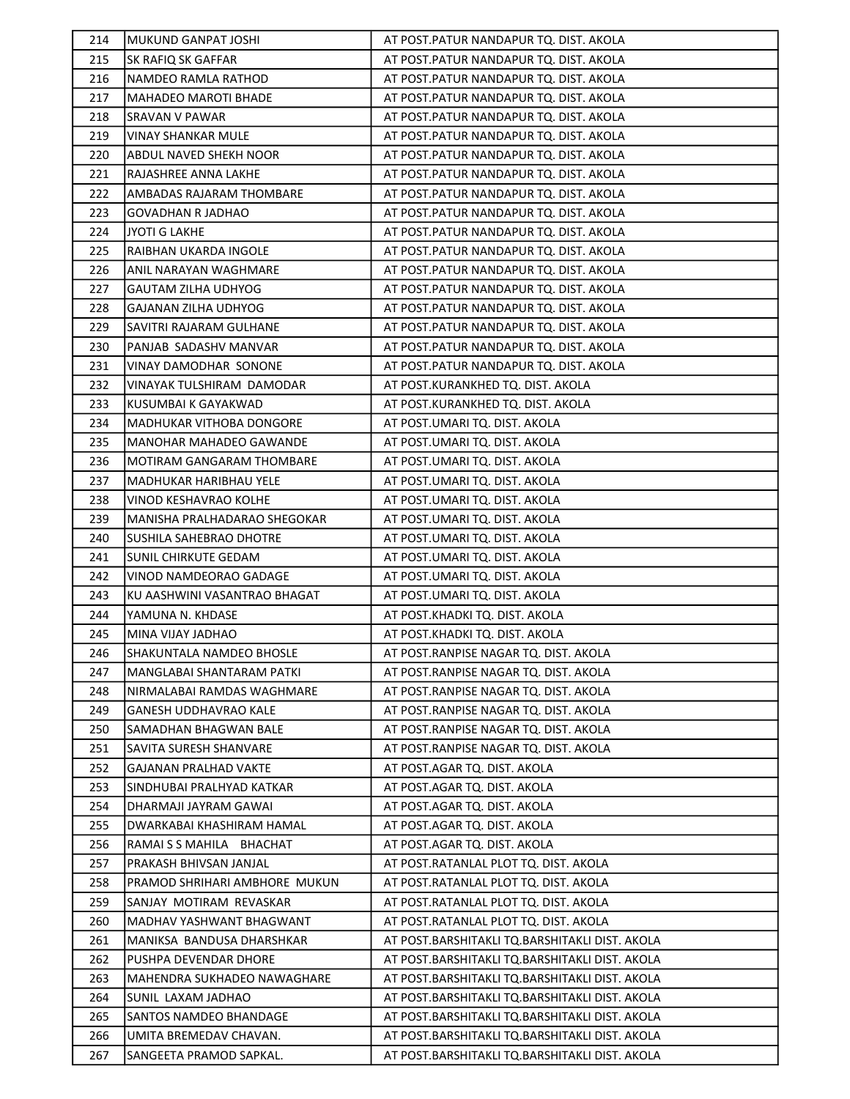| 214 | <b>MUKUND GANPAT JOSHI</b>      | AT POST. PATUR NANDAPUR TQ. DIST. AKOLA        |
|-----|---------------------------------|------------------------------------------------|
| 215 | <b>SK RAFIQ SK GAFFAR</b>       | AT POST.PATUR NANDAPUR TQ. DIST. AKOLA         |
| 216 | NAMDEO RAMLA RATHOD             | AT POST.PATUR NANDAPUR TQ. DIST. AKOLA         |
| 217 | <b>MAHADEO MAROTI BHADE</b>     | AT POST.PATUR NANDAPUR TQ. DIST. AKOLA         |
| 218 | <b>SRAVAN V PAWAR</b>           | AT POST.PATUR NANDAPUR TQ. DIST. AKOLA         |
| 219 | <b>VINAY SHANKAR MULE</b>       | AT POST.PATUR NANDAPUR TQ. DIST. AKOLA         |
| 220 | ABDUL NAVED SHEKH NOOR          | AT POST.PATUR NANDAPUR TQ. DIST. AKOLA         |
| 221 | RAJASHREE ANNA LAKHE            | AT POST. PATUR NANDAPUR TQ. DIST. AKOLA        |
| 222 | AMBADAS RAJARAM THOMBARE        | AT POST.PATUR NANDAPUR TQ. DIST. AKOLA         |
| 223 | <b>GOVADHAN R JADHAO</b>        | AT POST.PATUR NANDAPUR TQ. DIST. AKOLA         |
| 224 | JYOTI G LAKHE                   | AT POST. PATUR NANDAPUR TQ. DIST. AKOLA        |
| 225 | RAIBHAN UKARDA INGOLE           | AT POST. PATUR NANDAPUR TQ. DIST. AKOLA        |
| 226 | ANIL NARAYAN WAGHMARE           | AT POST.PATUR NANDAPUR TQ. DIST. AKOLA         |
| 227 | GAUTAM ZILHA UDHYOG             | AT POST.PATUR NANDAPUR TQ. DIST. AKOLA         |
| 228 | <b>GAJANAN ZILHA UDHYOG</b>     | AT POST.PATUR NANDAPUR TQ. DIST. AKOLA         |
| 229 | SAVITRI RAJARAM GULHANE         | AT POST. PATUR NANDAPUR TQ. DIST. AKOLA        |
| 230 | PANJAB SADASHV MANVAR           | AT POST.PATUR NANDAPUR TQ. DIST. AKOLA         |
| 231 | VINAY DAMODHAR SONONE           | AT POST. PATUR NANDAPUR TQ. DIST. AKOLA        |
| 232 | VINAYAK TULSHIRAM DAMODAR       | AT POST.KURANKHED TQ. DIST. AKOLA              |
| 233 | KUSUMBAI K GAYAKWAD             | AT POST.KURANKHED TQ. DIST. AKOLA              |
| 234 | <b>MADHUKAR VITHOBA DONGORE</b> | AT POST.UMARI TQ. DIST. AKOLA                  |
| 235 | <b>MANOHAR MAHADEO GAWANDE</b>  | AT POST.UMARI TQ. DIST. AKOLA                  |
| 236 | MOTIRAM GANGARAM THOMBARE       | AT POST.UMARI TQ. DIST. AKOLA                  |
| 237 | MADHUKAR HARIBHAU YELE          | AT POST.UMARI TQ. DIST. AKOLA                  |
| 238 | VINOD KESHAVRAO KOLHE           | AT POST.UMARI TQ. DIST. AKOLA                  |
| 239 | MANISHA PRALHADARAO SHEGOKAR    | AT POST.UMARI TQ. DIST. AKOLA                  |
| 240 | <b>SUSHILA SAHEBRAO DHOTRE</b>  | AT POST.UMARI TQ. DIST. AKOLA                  |
| 241 | <b>SUNIL CHIRKUTE GEDAM</b>     | AT POST.UMARI TQ. DIST. AKOLA                  |
| 242 | VINOD NAMDEORAO GADAGE          | AT POST.UMARI TQ. DIST. AKOLA                  |
| 243 | KU AASHWINI VASANTRAO BHAGAT    | AT POST.UMARI TQ. DIST. AKOLA                  |
| 244 | YAMUNA N. KHDASE                | AT POST.KHADKI TQ. DIST. AKOLA                 |
| 245 | MINA VIJAY JADHAO               | AT POST.KHADKI TQ. DIST. AKOLA                 |
| 246 | SHAKUNTALA NAMDEO BHOSLE        | AT POST.RANPISE NAGAR TQ. DIST. AKOLA          |
| 247 | MANGLABAI SHANTARAM PATKI       | AT POST.RANPISE NAGAR TQ. DIST. AKOLA          |
| 248 | NIRMALABAI RAMDAS WAGHMARE      | AT POST.RANPISE NAGAR TQ. DIST. AKOLA          |
| 249 | GANESH UDDHAVRAO KALE           | AT POST.RANPISE NAGAR TO. DIST. AKOLA          |
| 250 | SAMADHAN BHAGWAN BALE           | AT POST.RANPISE NAGAR TQ. DIST. AKOLA          |
| 251 | SAVITA SURESH SHANVARE          | AT POST.RANPISE NAGAR TQ. DIST. AKOLA          |
| 252 | <b>GAJANAN PRALHAD VAKTE</b>    | AT POST.AGAR TQ. DIST. AKOLA                   |
| 253 | SINDHUBAI PRALHYAD KATKAR       | AT POST.AGAR TQ. DIST. AKOLA                   |
| 254 | DHARMAJI JAYRAM GAWAI           | AT POST.AGAR TQ. DIST. AKOLA                   |
| 255 | DWARKABAI KHASHIRAM HAMAL       | AT POST.AGAR TQ. DIST. AKOLA                   |
| 256 | RAMAI S S MAHILA BHACHAT        | AT POST.AGAR TQ. DIST. AKOLA                   |
| 257 | PRAKASH BHIVSAN JANJAL          | AT POST.RATANLAL PLOT TQ. DIST. AKOLA          |
| 258 | PRAMOD SHRIHARI AMBHORE MUKUN   | AT POST.RATANLAL PLOT TQ. DIST. AKOLA          |
| 259 | SANJAY MOTIRAM REVASKAR         | AT POST.RATANLAL PLOT TQ. DIST. AKOLA          |
| 260 | MADHAV YASHWANT BHAGWANT        | AT POST.RATANLAL PLOT TQ. DIST. AKOLA          |
| 261 | MANIKSA BANDUSA DHARSHKAR       | AT POST.BARSHITAKLI TQ.BARSHITAKLI DIST. AKOLA |
| 262 | PUSHPA DEVENDAR DHORE           | AT POST.BARSHITAKLI TQ.BARSHITAKLI DIST. AKOLA |
| 263 | MAHENDRA SUKHADEO NAWAGHARE     | AT POST.BARSHITAKLI TQ.BARSHITAKLI DIST. AKOLA |
| 264 | SUNIL LAXAM JADHAO              | AT POST.BARSHITAKLI TQ.BARSHITAKLI DIST. AKOLA |
| 265 | SANTOS NAMDEO BHANDAGE          | AT POST.BARSHITAKLI TQ.BARSHITAKLI DIST. AKOLA |
| 266 | UMITA BREMEDAV CHAVAN.          | AT POST.BARSHITAKLI TQ.BARSHITAKLI DIST. AKOLA |
| 267 | SANGEETA PRAMOD SAPKAL.         | AT POST.BARSHITAKLI TQ.BARSHITAKLI DIST. AKOLA |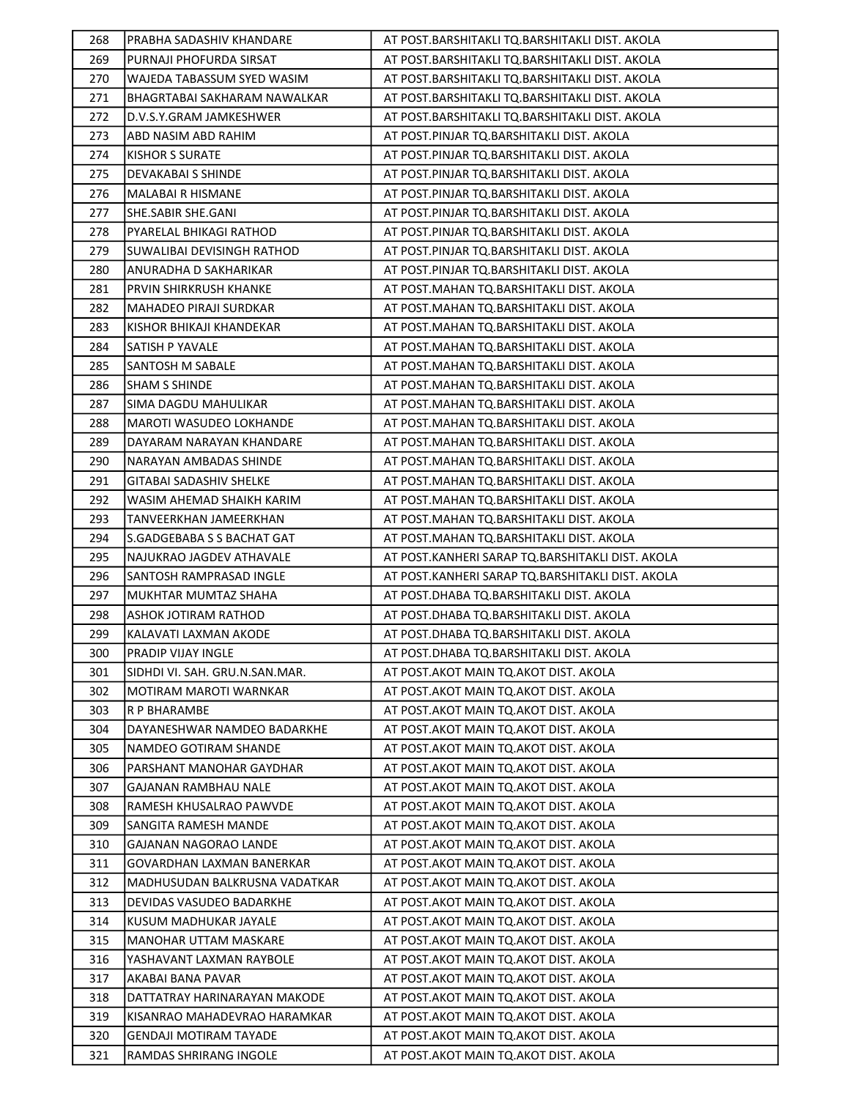| 268        | PRABHA SADASHIV KHANDARE                                | AT POST.BARSHITAKLI TQ.BARSHITAKLI DIST. AKOLA                                     |
|------------|---------------------------------------------------------|------------------------------------------------------------------------------------|
| 269        | PURNAJI PHOFURDA SIRSAT                                 | AT POST.BARSHITAKLI TQ.BARSHITAKLI DIST. AKOLA                                     |
| 270        | WAJEDA TABASSUM SYED WASIM                              | AT POST.BARSHITAKLI TQ.BARSHITAKLI DIST. AKOLA                                     |
| 271        | BHAGRTABAI SAKHARAM NAWALKAR                            | AT POST.BARSHITAKLI TQ.BARSHITAKLI DIST. AKOLA                                     |
| 272        | D.V.S.Y.GRAM JAMKESHWER                                 | AT POST.BARSHITAKLI TQ.BARSHITAKLI DIST. AKOLA                                     |
| 273        | ABD NASIM ABD RAHIM                                     | AT POST.PINJAR TQ.BARSHITAKLI DIST. AKOLA                                          |
| 274        | <b>KISHOR S SURATE</b>                                  | AT POST.PINJAR TQ.BARSHITAKLI DIST. AKOLA                                          |
| 275        | DEVAKABAI S SHINDE                                      | AT POST.PINJAR TQ.BARSHITAKLI DIST. AKOLA                                          |
| 276        | MALABAI R HISMANE                                       | AT POST.PINJAR TQ.BARSHITAKLI DIST. AKOLA                                          |
| 277        | SHE.SABIR SHE.GANI                                      | AT POST.PINJAR TQ.BARSHITAKLI DIST. AKOLA                                          |
| 278        | PYARELAL BHIKAGI RATHOD                                 | AT POST.PINJAR TQ.BARSHITAKLI DIST. AKOLA                                          |
| 279        | SUWALIBAI DEVISINGH RATHOD                              | AT POST.PINJAR TQ.BARSHITAKLI DIST. AKOLA                                          |
| 280        | ANURADHA D SAKHARIKAR                                   | AT POST.PINJAR TQ.BARSHITAKLI DIST. AKOLA                                          |
| 281        | PRVIN SHIRKRUSH KHANKE                                  | AT POST.MAHAN TQ.BARSHITAKLI DIST. AKOLA                                           |
| 282        | MAHADEO PIRAJI SURDKAR                                  | AT POST.MAHAN TQ.BARSHITAKLI DIST. AKOLA                                           |
| 283        | KISHOR BHIKAJI KHANDEKAR                                | AT POST. MAHAN TQ. BARSHITAKLI DIST. AKOLA                                         |
| 284        | <b>SATISH P YAVALE</b>                                  | AT POST.MAHAN TQ.BARSHITAKLI DIST. AKOLA                                           |
| 285        | SANTOSH M SABALE                                        | AT POST.MAHAN TQ.BARSHITAKLI DIST. AKOLA                                           |
| 286        | <b>SHAM S SHINDE</b>                                    | AT POST.MAHAN TQ.BARSHITAKLI DIST. AKOLA                                           |
| 287        | SIMA DAGDU MAHULIKAR                                    | AT POST.MAHAN TQ.BARSHITAKLI DIST. AKOLA                                           |
| 288        | MAROTI WASUDEO LOKHANDE                                 | AT POST. MAHAN TQ. BARSHITAKLI DIST. AKOLA                                         |
| 289        | DAYARAM NARAYAN KHANDARE                                | AT POST.MAHAN TQ.BARSHITAKLI DIST. AKOLA                                           |
| 290        | NARAYAN AMBADAS SHINDE                                  | AT POST.MAHAN TQ.BARSHITAKLI DIST. AKOLA                                           |
| 291        | GITABAI SADASHIV SHELKE                                 | AT POST.MAHAN TQ.BARSHITAKLI DIST. AKOLA                                           |
| 292        | WASIM AHEMAD SHAIKH KARIM                               | AT POST.MAHAN TQ.BARSHITAKLI DIST. AKOLA                                           |
| 293        | TANVEERKHAN JAMEERKHAN                                  | AT POST.MAHAN TQ.BARSHITAKLI DIST. AKOLA                                           |
| 294        | S.GADGEBABA S S BACHAT GAT                              | AT POST.MAHAN TQ.BARSHITAKLI DIST. AKOLA                                           |
| 295        | NAJUKRAO JAGDEV ATHAVALE                                | AT POST.KANHERI SARAP TQ.BARSHITAKLI DIST. AKOLA                                   |
| 296        | SANTOSH RAMPRASAD INGLE                                 | AT POST.KANHERI SARAP TQ.BARSHITAKLI DIST. AKOLA                                   |
| 297        | MUKHTAR MUMTAZ SHAHA                                    | AT POST.DHABA TQ.BARSHITAKLI DIST. AKOLA                                           |
| 298        | ASHOK JOTIRAM RATHOD                                    | AT POST.DHABA TQ.BARSHITAKLI DIST. AKOLA                                           |
| 299        | KALAVATI LAXMAN AKODE                                   | AT POST.DHABA TQ.BARSHITAKLI DIST. AKOLA                                           |
| 300        | PRADIP VIJAY INGLE                                      | AT POST.DHABA TQ.BARSHITAKLI DIST. AKOLA                                           |
| 301        | SIDHDI VI. SAH. GRU.N.SAN.MAR.                          | AT POST. AKOT MAIN TO. AKOT DIST. AKOLA                                            |
| 302        | MOTIRAM MAROTI WARNKAR                                  | AT POST. AKOT MAIN TO. AKOT DIST. AKOLA                                            |
| 303        | R P BHARAMBE                                            | AT POST.AKOT MAIN TO.AKOT DIST. AKOLA                                              |
| 304        | DAYANESHWAR NAMDEO BADARKHE                             | AT POST.AKOT MAIN TQ.AKOT DIST. AKOLA                                              |
| 305        | NAMDEO GOTIRAM SHANDE                                   | AT POST.AKOT MAIN TQ.AKOT DIST. AKOLA                                              |
| 306        |                                                         |                                                                                    |
| 307        | PARSHANT MANOHAR GAYDHAR                                | AT POST. AKOT MAIN TO. AKOT DIST. AKOLA                                            |
|            | GAJANAN RAMBHAU NALE                                    | AT POST. AKOT MAIN TO. AKOT DIST. AKOLA                                            |
| 308        | RAMESH KHUSALRAO PAWVDE                                 | AT POST.AKOT MAIN TQ.AKOT DIST. AKOLA                                              |
| 309        | SANGITA RAMESH MANDE                                    | AT POST.AKOT MAIN TO.AKOT DIST. AKOLA                                              |
| 310        | GAJANAN NAGORAO LANDE                                   | AT POST. AKOT MAIN TO. AKOT DIST. AKOLA                                            |
| 311        | GOVARDHAN LAXMAN BANERKAR                               | AT POST.AKOT MAIN TQ.AKOT DIST. AKOLA                                              |
| 312        | MADHUSUDAN BALKRUSNA VADATKAR                           | AT POST. AKOT MAIN TO. AKOT DIST. AKOLA                                            |
| 313        | DEVIDAS VASUDEO BADARKHE                                | AT POST. AKOT MAIN TO. AKOT DIST. AKOLA                                            |
| 314        | KUSUM MADHUKAR JAYALE                                   | AT POST.AKOT MAIN TQ.AKOT DIST. AKOLA                                              |
| 315        | MANOHAR UTTAM MASKARE                                   | AT POST. AKOT MAIN TO. AKOT DIST. AKOLA                                            |
| 316        | YASHAVANT LAXMAN RAYBOLE                                | AT POST.AKOT MAIN TQ.AKOT DIST. AKOLA                                              |
| 317        | AKABAI BANA PAVAR                                       | AT POST.AKOT MAIN TQ.AKOT DIST. AKOLA                                              |
| 318        | DATTATRAY HARINARAYAN MAKODE                            | AT POST.AKOT MAIN TQ.AKOT DIST. AKOLA                                              |
| 319        | KISANRAO MAHADEVRAO HARAMKAR                            | AT POST.AKOT MAIN TQ.AKOT DIST. AKOLA                                              |
| 320<br>321 | <b>GENDAJI MOTIRAM TAYADE</b><br>RAMDAS SHRIRANG INGOLE | AT POST. AKOT MAIN TO. AKOT DIST. AKOLA<br>AT POST. AKOT MAIN TO. AKOT DIST. AKOLA |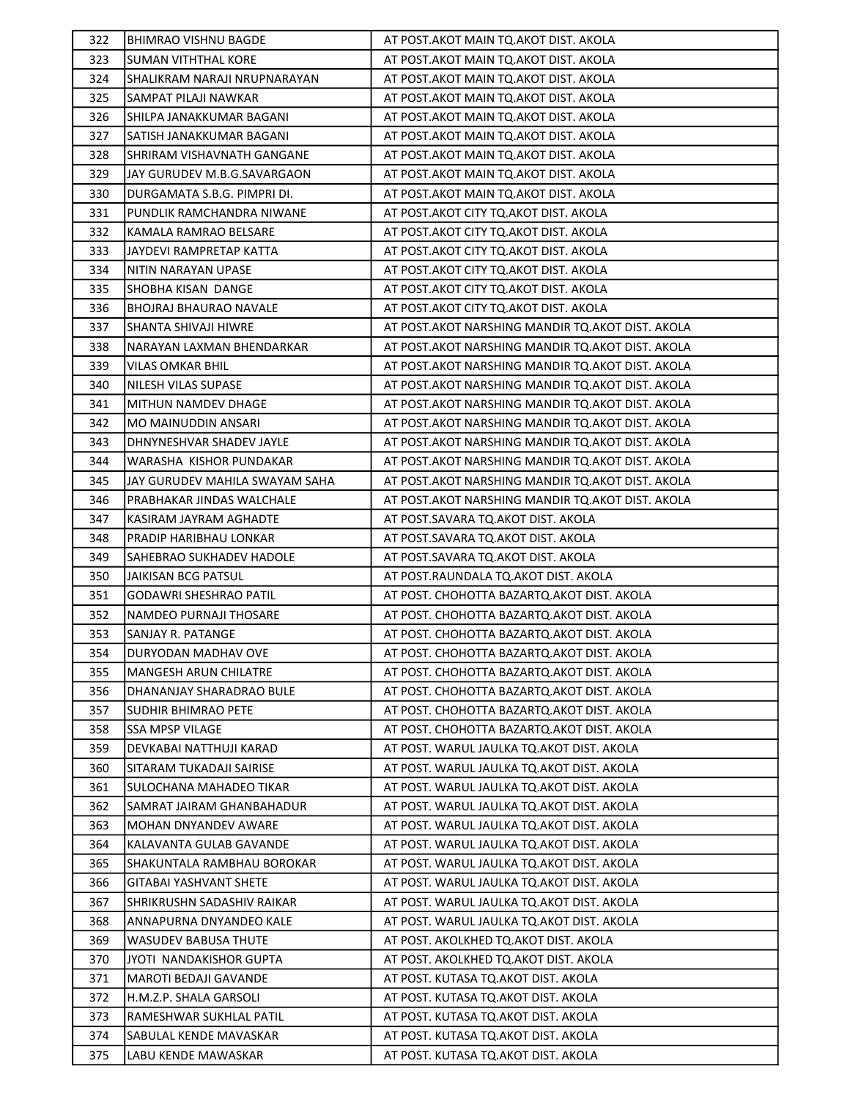| 322 | <b>BHIMRAO VISHNU BAGDE</b>     | AT POST. AKOT MAIN TO. AKOT DIST. AKOLA            |
|-----|---------------------------------|----------------------------------------------------|
| 323 | <b>SUMAN VITHTHAL KORE</b>      | AT POST. AKOT MAIN TO. AKOT DIST. AKOLA            |
| 324 | SHALIKRAM NARAJI NRUPNARAYAN    | AT POST.AKOT MAIN TQ.AKOT DIST. AKOLA              |
| 325 | SAMPAT PILAJI NAWKAR            | AT POST. AKOT MAIN TO. AKOT DIST. AKOLA            |
| 326 | SHILPA JANAKKUMAR BAGANI        | AT POST. AKOT MAIN TO. AKOT DIST. AKOLA            |
| 327 | SATISH JANAKKUMAR BAGANI        | AT POST. AKOT MAIN TO. AKOT DIST. AKOLA            |
| 328 | SHRIRAM VISHAVNATH GANGANE      | AT POST.AKOT MAIN TQ.AKOT DIST. AKOLA              |
| 329 | JAY GURUDEV M.B.G.SAVARGAON     | AT POST. AKOT MAIN TO. AKOT DIST. AKOLA            |
| 330 | DURGAMATA S.B.G. PIMPRI DI.     | AT POST. AKOT MAIN TO. AKOT DIST. AKOLA            |
| 331 | PUNDLIK RAMCHANDRA NIWANE       | AT POST. AKOT CITY TQ. AKOT DIST. AKOLA            |
| 332 | KAMALA RAMRAO BELSARE           | AT POST. AKOT CITY TO. AKOT DIST. AKOLA            |
| 333 | JAYDEVI RAMPRETAP KATTA         | AT POST.AKOT CITY TQ.AKOT DIST. AKOLA              |
| 334 | NITIN NARAYAN UPASE             | AT POST. AKOT CITY TO. AKOT DIST. AKOLA            |
| 335 | SHOBHA KISAN DANGE              | AT POST.AKOT CITY TQ.AKOT DIST. AKOLA              |
| 336 | BHOJRAJ BHAURAO NAVALE          | AT POST. AKOT CITY TO. AKOT DIST. AKOLA            |
| 337 | <b>SHANTA SHIVAJI HIWRE</b>     | AT POST. AKOT NARSHING MANDIR TQ. AKOT DIST. AKOLA |
| 338 | NARAYAN LAXMAN BHENDARKAR       | AT POST. AKOT NARSHING MANDIR TQ. AKOT DIST. AKOLA |
| 339 | <b>VILAS OMKAR BHIL</b>         | AT POST. AKOT NARSHING MANDIR TQ. AKOT DIST. AKOLA |
| 340 | <b>NILESH VILAS SUPASE</b>      | AT POST. AKOT NARSHING MANDIR TQ. AKOT DIST. AKOLA |
| 341 | MITHUN NAMDEV DHAGE             | AT POST. AKOT NARSHING MANDIR TQ. AKOT DIST. AKOLA |
| 342 | MO MAINUDDIN ANSARI             | AT POST. AKOT NARSHING MANDIR TQ. AKOT DIST. AKOLA |
| 343 | DHNYNESHVAR SHADEV JAYLE        | AT POST.AKOT NARSHING MANDIR TQ.AKOT DIST. AKOLA   |
| 344 | WARASHA KISHOR PUNDAKAR         | AT POST.AKOT NARSHING MANDIR TQ.AKOT DIST. AKOLA   |
| 345 | JAY GURUDEV MAHILA SWAYAM SAHA  | AT POST. AKOT NARSHING MANDIR TQ. AKOT DIST. AKOLA |
| 346 | PRABHAKAR JINDAS WALCHALE       | AT POST.AKOT NARSHING MANDIR TQ.AKOT DIST. AKOLA   |
| 347 | KASIRAM JAYRAM AGHADTE          | AT POST.SAVARA TQ.AKOT DIST. AKOLA                 |
| 348 | PRADIP HARIBHAU LONKAR          | AT POST.SAVARA TQ.AKOT DIST. AKOLA                 |
| 349 | <b>SAHEBRAO SUKHADEV HADOLE</b> | AT POST.SAVARA TQ.AKOT DIST. AKOLA                 |
| 350 | JAIKISAN BCG PATSUL             | AT POST.RAUNDALA TQ.AKOT DIST. AKOLA               |
| 351 | <b>GODAWRI SHESHRAO PATIL</b>   | AT POST. CHOHOTTA BAZARTQ. AKOT DIST. AKOLA        |
| 352 | NAMDEO PURNAJI THOSARE          | AT POST. CHOHOTTA BAZARTQ. AKOT DIST. AKOLA        |
| 353 | SANJAY R. PATANGE               | AT POST. CHOHOTTA BAZARTQ.AKOT DIST. AKOLA         |
| 354 | DURYODAN MADHAV OVE             | AT POST. CHOHOTTA BAZARTQ.AKOT DIST. AKOLA         |
| 355 | MANGESH ARUN CHILATRE           | AT POST. CHOHOTTA BAZARTQ. AKOT DIST. AKOLA        |
| 356 | DHANANJAY SHARADRAO BULE        | AT POST. CHOHOTTA BAZARTQ.AKOT DIST. AKOLA         |
| 357 | <b>SUDHIR BHIMRAO PETE</b>      | AT POST. CHOHOTTA BAZARTQ.AKOT DIST. AKOLA         |
| 358 | <b>SSA MPSP VILAGE</b>          | AT POST. CHOHOTTA BAZARTQ.AKOT DIST. AKOLA         |
| 359 | DEVKABAI NATTHUJI KARAD         | AT POST. WARUL JAULKA TQ.AKOT DIST. AKOLA          |
| 360 | SITARAM TUKADAJI SAIRISE        | AT POST. WARUL JAULKA TQ.AKOT DIST. AKOLA          |
| 361 | SULOCHANA MAHADEO TIKAR         | AT POST. WARUL JAULKA TQ.AKOT DIST. AKOLA          |
| 362 | SAMRAT JAIRAM GHANBAHADUR       | AT POST. WARUL JAULKA TQ.AKOT DIST. AKOLA          |
| 363 | MOHAN DNYANDEV AWARE            | AT POST. WARUL JAULKA TQ. AKOT DIST. AKOLA         |
| 364 | KALAVANTA GULAB GAVANDE         | AT POST. WARUL JAULKA TQ.AKOT DIST. AKOLA          |
| 365 | SHAKUNTALA RAMBHAU BOROKAR      | AT POST. WARUL JAULKA TQ.AKOT DIST. AKOLA          |
| 366 | <b>GITABAI YASHVANT SHETE</b>   | AT POST. WARUL JAULKA TQ.AKOT DIST. AKOLA          |
| 367 | SHRIKRUSHN SADASHIV RAIKAR      | AT POST. WARUL JAULKA TQ.AKOT DIST. AKOLA          |
| 368 | ANNAPURNA DNYANDEO KALE         | AT POST. WARUL JAULKA TQ. AKOT DIST. AKOLA         |
| 369 | <b>WASUDEV BABUSA THUTE</b>     | AT POST. AKOLKHED TQ.AKOT DIST. AKOLA              |
| 370 | JYOTI NANDAKISHOR GUPTA         | AT POST. AKOLKHED TQ.AKOT DIST. AKOLA              |
| 371 | MAROTI BEDAJI GAVANDE           | AT POST. KUTASA TQ.AKOT DIST. AKOLA                |
| 372 | H.M.Z.P. SHALA GARSOLI          | AT POST. KUTASA TQ.AKOT DIST. AKOLA                |
| 373 | RAMESHWAR SUKHLAL PATIL         | AT POST. KUTASA TQ.AKOT DIST. AKOLA                |
| 374 | SABULAL KENDE MAVASKAR          | AT POST. KUTASA TQ.AKOT DIST. AKOLA                |
| 375 | LABU KENDE MAWASKAR             | AT POST. KUTASA TQ.AKOT DIST. AKOLA                |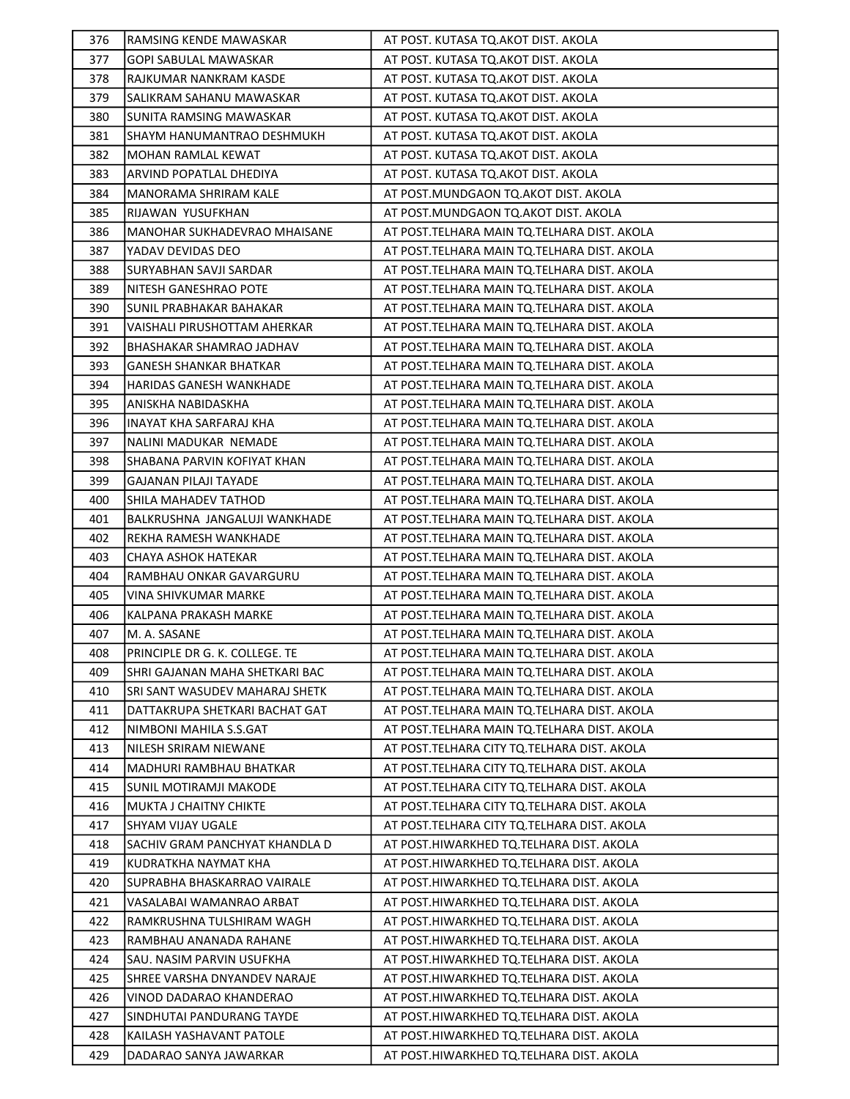| 376 | RAMSING KENDE MAWASKAR         | AT POST. KUTASA TQ.AKOT DIST. AKOLA           |
|-----|--------------------------------|-----------------------------------------------|
| 377 | GOPI SABULAL MAWASKAR          | AT POST. KUTASA TQ.AKOT DIST. AKOLA           |
| 378 | RAJKUMAR NANKRAM KASDE         | AT POST. KUTASA TQ.AKOT DIST. AKOLA           |
| 379 | SALIKRAM SAHANU MAWASKAR       | AT POST. KUTASA TQ.AKOT DIST. AKOLA           |
| 380 | <b>SUNITA RAMSING MAWASKAR</b> | AT POST. KUTASA TQ.AKOT DIST. AKOLA           |
| 381 | SHAYM HANUMANTRAO DESHMUKH     | AT POST. KUTASA TQ.AKOT DIST. AKOLA           |
| 382 | MOHAN RAMLAL KEWAT             | AT POST. KUTASA TQ.AKOT DIST. AKOLA           |
| 383 | ARVIND POPATLAL DHEDIYA        | AT POST. KUTASA TQ.AKOT DIST. AKOLA           |
| 384 | MANORAMA SHRIRAM KALE          | AT POST.MUNDGAON TQ.AKOT DIST. AKOLA          |
| 385 | RIJAWAN YUSUFKHAN              | AT POST.MUNDGAON TQ.AKOT DIST. AKOLA          |
| 386 | MANOHAR SUKHADEVRAO MHAISANE   | AT POST. TELHARA MAIN TQ. TELHARA DIST. AKOLA |
| 387 | YADAV DEVIDAS DEO              | AT POST. TELHARA MAIN TQ. TELHARA DIST. AKOLA |
| 388 | SURYABHAN SAVJI SARDAR         | AT POST. TELHARA MAIN TQ. TELHARA DIST. AKOLA |
| 389 | NITESH GANESHRAO POTE          | AT POST.TELHARA MAIN TQ.TELHARA DIST. AKOLA   |
| 390 | SUNIL PRABHAKAR BAHAKAR        | AT POST. TELHARA MAIN TQ. TELHARA DIST. AKOLA |
| 391 | VAISHALI PIRUSHOTTAM AHERKAR   | AT POST. TELHARA MAIN TO. TELHARA DIST. AKOLA |
| 392 | BHASHAKAR SHAMRAO JADHAV       | AT POST. TELHARA MAIN TQ. TELHARA DIST. AKOLA |
| 393 | <b>GANESH SHANKAR BHATKAR</b>  | AT POST.TELHARA MAIN TQ.TELHARA DIST. AKOLA   |
| 394 | <b>HARIDAS GANESH WANKHADE</b> | AT POST. TELHARA MAIN TQ. TELHARA DIST. AKOLA |
| 395 | ANISKHA NABIDASKHA             | AT POST.TELHARA MAIN TQ.TELHARA DIST. AKOLA   |
| 396 | INAYAT KHA SARFARAJ KHA        | AT POST. TELHARA MAIN TQ. TELHARA DIST. AKOLA |
| 397 | NALINI MADUKAR NEMADE          | AT POST. TELHARA MAIN TQ. TELHARA DIST. AKOLA |
| 398 | SHABANA PARVIN KOFIYAT KHAN    | AT POST. TELHARA MAIN TQ. TELHARA DIST. AKOLA |
| 399 | <b>GAJANAN PILAJI TAYADE</b>   | AT POST. TELHARA MAIN TQ. TELHARA DIST. AKOLA |
| 400 | SHILA MAHADEV TATHOD           | AT POST. TELHARA MAIN TQ. TELHARA DIST. AKOLA |
| 401 | BALKRUSHNA JANGALUJI WANKHADE  | AT POST. TELHARA MAIN TQ. TELHARA DIST. AKOLA |
| 402 | REKHA RAMESH WANKHADE          | AT POST. TELHARA MAIN TQ. TELHARA DIST. AKOLA |
| 403 | CHAYA ASHOK HATEKAR            | AT POST. TELHARA MAIN TQ. TELHARA DIST. AKOLA |
| 404 | RAMBHAU ONKAR GAVARGURU        | AT POST. TELHARA MAIN TQ. TELHARA DIST. AKOLA |
| 405 | <b>VINA SHIVKUMAR MARKE</b>    | AT POST. TELHARA MAIN TQ. TELHARA DIST. AKOLA |
| 406 | KALPANA PRAKASH MARKE          | AT POST. TELHARA MAIN TO. TELHARA DIST. AKOLA |
| 407 | M. A. SASANE                   | AT POST.TELHARA MAIN TQ.TELHARA DIST. AKOLA   |
| 408 | PRINCIPLE DR G. K. COLLEGE. TE | AT POST. TELHARA MAIN TO. TELHARA DIST. AKOLA |
| 409 | SHRI GAJANAN MAHA SHETKARI BAC | AT POST. TELHARA MAIN TQ. TELHARA DIST. AKOLA |
| 410 | SRI SANT WASUDEV MAHARAJ SHETK | AT POST. TELHARA MAIN TQ. TELHARA DIST. AKOLA |
| 411 | DATTAKRUPA SHETKARI BACHAT GAT | AT POST. TELHARA MAIN TO. TELHARA DIST. AKOLA |
| 412 | NIMBONI MAHILA S.S.GAT         | AT POST. TELHARA MAIN TO. TELHARA DIST. AKOLA |
| 413 | NILESH SRIRAM NIEWANE          | AT POST. TELHARA CITY TO. TELHARA DIST. AKOLA |
| 414 | MADHURI RAMBHAU BHATKAR        | AT POST. TELHARA CITY TO. TELHARA DIST. AKOLA |
| 415 | <b>SUNIL MOTIRAMJI MAKODE</b>  | AT POST.TELHARA CITY TO.TELHARA DIST. AKOLA   |
| 416 | <b>MUKTA J CHAITNY CHIKTE</b>  | AT POST.TELHARA CITY TO.TELHARA DIST. AKOLA   |
| 417 | SHYAM VIJAY UGALE              | AT POST. TELHARA CITY TQ. TELHARA DIST. AKOLA |
| 418 | SACHIV GRAM PANCHYAT KHANDLA D | AT POST.HIWARKHED TQ.TELHARA DIST. AKOLA      |
| 419 | KUDRATKHA NAYMAT KHA           | AT POST.HIWARKHED TQ.TELHARA DIST. AKOLA      |
| 420 | SUPRABHA BHASKARRAO VAIRALE    | AT POST.HIWARKHED TQ.TELHARA DIST. AKOLA      |
| 421 | VASALABAI WAMANRAO ARBAT       | AT POST.HIWARKHED TQ.TELHARA DIST. AKOLA      |
| 422 | RAMKRUSHNA TULSHIRAM WAGH      | AT POST.HIWARKHED TQ.TELHARA DIST. AKOLA      |
| 423 | RAMBHAU ANANADA RAHANE         | AT POST.HIWARKHED TQ.TELHARA DIST. AKOLA      |
| 424 | SAU. NASIM PARVIN USUFKHA      | AT POST.HIWARKHED TQ.TELHARA DIST. AKOLA      |
| 425 | SHREE VARSHA DNYANDEV NARAJE   | AT POST.HIWARKHED TQ.TELHARA DIST. AKOLA      |
| 426 | VINOD DADARAO KHANDERAO        | AT POST.HIWARKHED TQ.TELHARA DIST. AKOLA      |
| 427 | SINDHUTAI PANDURANG TAYDE      | AT POST.HIWARKHED TQ.TELHARA DIST. AKOLA      |
| 428 | KAILASH YASHAVANT PATOLE       | AT POST.HIWARKHED TQ.TELHARA DIST. AKOLA      |
| 429 | DADARAO SANYA JAWARKAR         | AT POST.HIWARKHED TQ.TELHARA DIST. AKOLA      |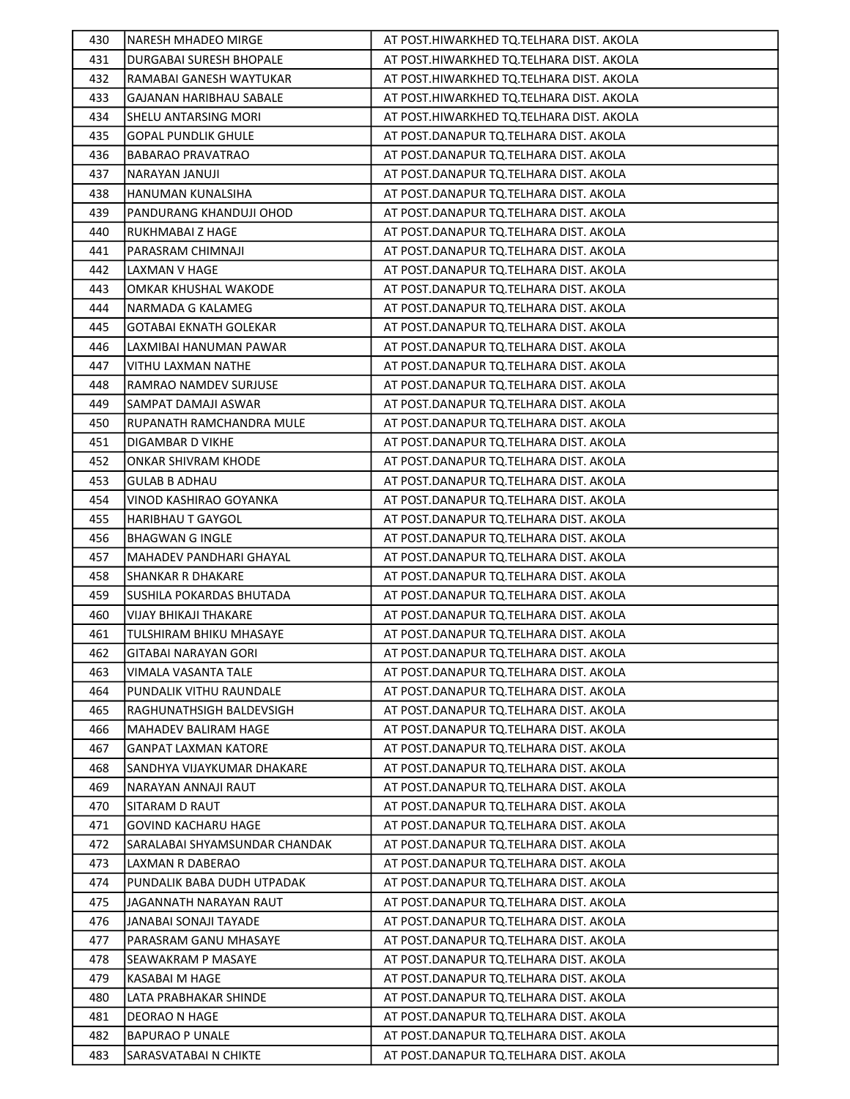| 430 | <b>NARESH MHADEO MIRGE</b>     | AT POST.HIWARKHED TQ.TELHARA DIST. AKOLA |
|-----|--------------------------------|------------------------------------------|
| 431 | DURGABAI SURESH BHOPALE        | AT POST.HIWARKHED TQ.TELHARA DIST. AKOLA |
| 432 | RAMABAI GANESH WAYTUKAR        | AT POST.HIWARKHED TQ.TELHARA DIST. AKOLA |
| 433 | GAJANAN HARIBHAU SABALE        | AT POST.HIWARKHED TQ.TELHARA DIST. AKOLA |
| 434 | SHELU ANTARSING MORI           | AT POST.HIWARKHED TQ.TELHARA DIST. AKOLA |
| 435 | <b>GOPAL PUNDLIK GHULE</b>     | AT POST.DANAPUR TQ.TELHARA DIST. AKOLA   |
| 436 | BABARAO PRAVATRAO              | AT POST.DANAPUR TQ.TELHARA DIST. AKOLA   |
| 437 | NARAYAN JANUJI                 | AT POST.DANAPUR TQ.TELHARA DIST. AKOLA   |
| 438 | HANUMAN KUNALSIHA              | AT POST.DANAPUR TQ.TELHARA DIST. AKOLA   |
| 439 | PANDURANG KHANDUJI OHOD        | AT POST.DANAPUR TQ.TELHARA DIST. AKOLA   |
| 440 | RUKHMABAI Z HAGE               | AT POST.DANAPUR TQ.TELHARA DIST. AKOLA   |
| 441 | PARASRAM CHIMNAJI              | AT POST.DANAPUR TQ.TELHARA DIST. AKOLA   |
| 442 | LAXMAN V HAGE                  | AT POST.DANAPUR TQ.TELHARA DIST. AKOLA   |
| 443 | OMKAR KHUSHAL WAKODE           | AT POST.DANAPUR TQ.TELHARA DIST. AKOLA   |
| 444 | NARMADA G KALAMEG              | AT POST.DANAPUR TQ.TELHARA DIST. AKOLA   |
| 445 | <b>GOTABAI EKNATH GOLEKAR</b>  | AT POST.DANAPUR TQ.TELHARA DIST. AKOLA   |
| 446 | LAXMIBAI HANUMAN PAWAR         | AT POST.DANAPUR TQ.TELHARA DIST. AKOLA   |
| 447 | VITHU LAXMAN NATHE             | AT POST.DANAPUR TQ.TELHARA DIST. AKOLA   |
| 448 | RAMRAO NAMDEV SURJUSE          | AT POST.DANAPUR TQ.TELHARA DIST. AKOLA   |
| 449 | SAMPAT DAMAJI ASWAR            | AT POST.DANAPUR TQ.TELHARA DIST. AKOLA   |
| 450 | RUPANATH RAMCHANDRA MULE       | AT POST.DANAPUR TQ.TELHARA DIST. AKOLA   |
| 451 | DIGAMBAR D VIKHE               | AT POST.DANAPUR TQ.TELHARA DIST. AKOLA   |
| 452 | ONKAR SHIVRAM KHODE            | AT POST.DANAPUR TQ.TELHARA DIST. AKOLA   |
| 453 | GULAB B ADHAU                  | AT POST.DANAPUR TQ.TELHARA DIST. AKOLA   |
| 454 | VINOD KASHIRAO GOYANKA         | AT POST.DANAPUR TQ.TELHARA DIST. AKOLA   |
| 455 | HARIBHAU T GAYGOL              | AT POST.DANAPUR TQ.TELHARA DIST. AKOLA   |
| 456 | <b>BHAGWAN G INGLE</b>         | AT POST.DANAPUR TQ.TELHARA DIST. AKOLA   |
| 457 | MAHADEV PANDHARI GHAYAL        | AT POST.DANAPUR TQ.TELHARA DIST. AKOLA   |
| 458 | <b>SHANKAR R DHAKARE</b>       | AT POST.DANAPUR TQ.TELHARA DIST. AKOLA   |
| 459 | SUSHILA POKARDAS BHUTADA       | AT POST.DANAPUR TQ.TELHARA DIST. AKOLA   |
| 460 | VIJAY BHIKAJI THAKARE          | AT POST.DANAPUR TQ.TELHARA DIST. AKOLA   |
| 461 | <b>TULSHIRAM BHIKU MHASAYE</b> | AT POST.DANAPUR TQ.TELHARA DIST. AKOLA   |
| 462 | <b>GITABAI NARAYAN GORI</b>    | AT POST.DANAPUR TQ.TELHARA DIST. AKOLA   |
| 463 | VIMALA VASANTA TALE            | AT POST.DANAPUR TQ.TELHARA DIST. AKOLA   |
| 464 | PUNDALIK VITHU RAUNDALE        | AT POST.DANAPUR TQ.TELHARA DIST. AKOLA   |
| 465 | RAGHUNATHSIGH BALDEVSIGH       | AT POST.DANAPUR TQ.TELHARA DIST. AKOLA   |
| 466 | <b>MAHADEV BALIRAM HAGE</b>    | AT POST.DANAPUR TQ.TELHARA DIST. AKOLA   |
| 467 | GANPAT LAXMAN KATORE           | AT POST.DANAPUR TQ.TELHARA DIST. AKOLA   |
| 468 | SANDHYA VIJAYKUMAR DHAKARE     | AT POST.DANAPUR TQ.TELHARA DIST. AKOLA   |
| 469 | NARAYAN ANNAJI RAUT            | AT POST.DANAPUR TQ.TELHARA DIST. AKOLA   |
| 470 | SITARAM D RAUT                 | AT POST.DANAPUR TQ.TELHARA DIST. AKOLA   |
| 471 | GOVIND KACHARU HAGE            | AT POST.DANAPUR TO.TELHARA DIST. AKOLA   |
| 472 | SARALABAI SHYAMSUNDAR CHANDAK  | AT POST.DANAPUR TQ.TELHARA DIST. AKOLA   |
| 473 | LAXMAN R DABERAO               | AT POST.DANAPUR TQ.TELHARA DIST. AKOLA   |
| 474 | PUNDALIK BABA DUDH UTPADAK     | AT POST.DANAPUR TQ.TELHARA DIST. AKOLA   |
| 475 | JAGANNATH NARAYAN RAUT         | AT POST.DANAPUR TQ.TELHARA DIST. AKOLA   |
| 476 | JANABAI SONAJI TAYADE          | AT POST.DANAPUR TQ.TELHARA DIST. AKOLA   |
| 477 | PARASRAM GANU MHASAYE          | AT POST.DANAPUR TQ.TELHARA DIST. AKOLA   |
| 478 | SEAWAKRAM P MASAYE             | AT POST.DANAPUR TQ.TELHARA DIST. AKOLA   |
| 479 | KASABAI M HAGE                 | AT POST.DANAPUR TQ.TELHARA DIST. AKOLA   |
| 480 | LATA PRABHAKAR SHINDE          | AT POST.DANAPUR TQ.TELHARA DIST. AKOLA   |
| 481 | DEORAO N HAGE                  | AT POST.DANAPUR TQ.TELHARA DIST. AKOLA   |
| 482 | <b>BAPURAO P UNALE</b>         | AT POST.DANAPUR TQ.TELHARA DIST. AKOLA   |
| 483 | SARASVATABAI N CHIKTE          | AT POST.DANAPUR TQ.TELHARA DIST. AKOLA   |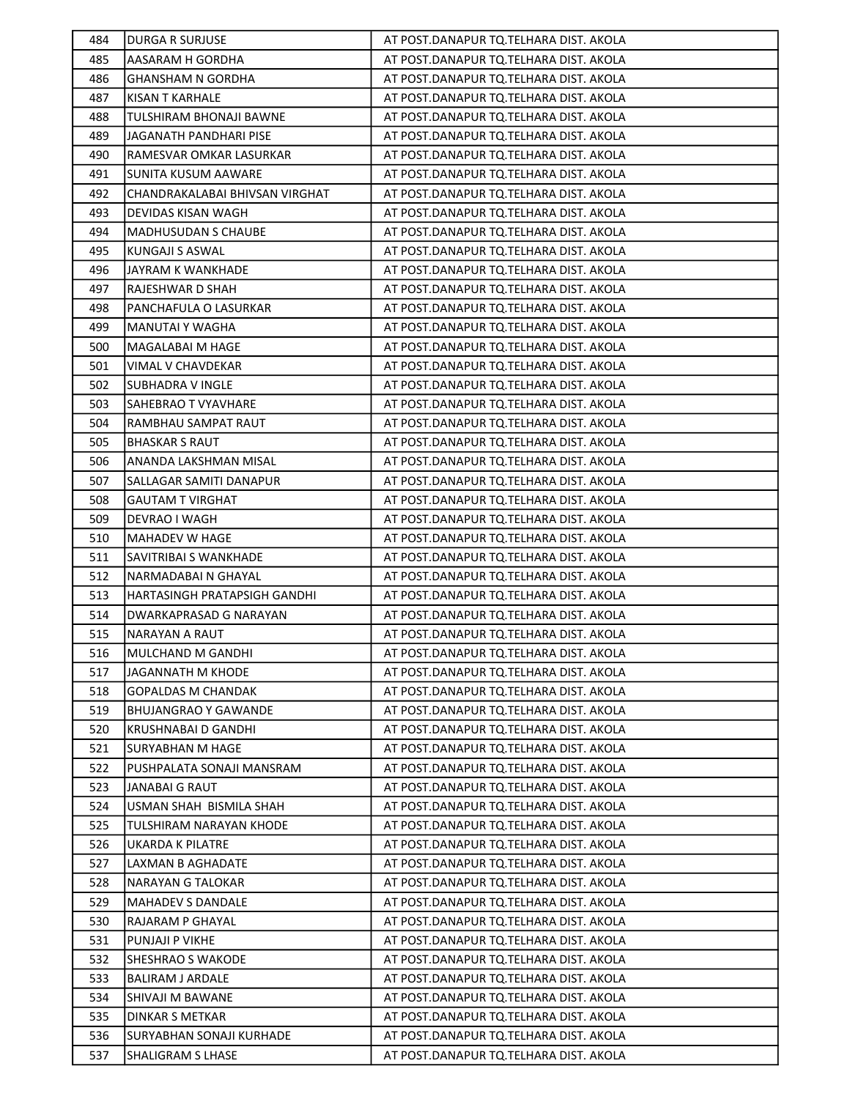| 484 | <b>DURGA R SURJUSE</b>         | AT POST.DANAPUR TQ.TELHARA DIST. AKOLA |
|-----|--------------------------------|----------------------------------------|
| 485 | AASARAM H GORDHA               | AT POST.DANAPUR TQ.TELHARA DIST. AKOLA |
| 486 | <b>GHANSHAM N GORDHA</b>       | AT POST.DANAPUR TQ.TELHARA DIST. AKOLA |
| 487 | <b>KISAN T KARHALE</b>         | AT POST.DANAPUR TQ.TELHARA DIST. AKOLA |
| 488 | TULSHIRAM BHONAJI BAWNE        | AT POST.DANAPUR TQ.TELHARA DIST. AKOLA |
| 489 | JAGANATH PANDHARI PISE         | AT POST.DANAPUR TQ.TELHARA DIST. AKOLA |
| 490 | RAMESVAR OMKAR LASURKAR        | AT POST.DANAPUR TQ.TELHARA DIST. AKOLA |
| 491 | <b>SUNITA KUSUM AAWARE</b>     | AT POST.DANAPUR TQ.TELHARA DIST. AKOLA |
| 492 | CHANDRAKALABAI BHIVSAN VIRGHAT | AT POST.DANAPUR TQ.TELHARA DIST. AKOLA |
| 493 | DEVIDAS KISAN WAGH             | AT POST.DANAPUR TQ.TELHARA DIST. AKOLA |
| 494 | <b>MADHUSUDAN S CHAUBE</b>     | AT POST.DANAPUR TQ.TELHARA DIST. AKOLA |
| 495 | KUNGAJI S ASWAL                | AT POST.DANAPUR TQ.TELHARA DIST. AKOLA |
| 496 | JAYRAM K WANKHADE              | AT POST.DANAPUR TQ.TELHARA DIST. AKOLA |
| 497 | RAJESHWAR D SHAH               | AT POST.DANAPUR TQ.TELHARA DIST. AKOLA |
| 498 | PANCHAFULA O LASURKAR          | AT POST.DANAPUR TQ.TELHARA DIST. AKOLA |
| 499 | MANUTAI Y WAGHA                | AT POST.DANAPUR TQ.TELHARA DIST. AKOLA |
| 500 | MAGALABAI M HAGE               | AT POST.DANAPUR TQ.TELHARA DIST. AKOLA |
| 501 | VIMAL V CHAVDEKAR              | AT POST.DANAPUR TQ.TELHARA DIST. AKOLA |
| 502 | <b>SUBHADRA V INGLE</b>        | AT POST.DANAPUR TQ.TELHARA DIST. AKOLA |
| 503 | SAHEBRAO T VYAVHARE            | AT POST.DANAPUR TQ.TELHARA DIST. AKOLA |
| 504 | RAMBHAU SAMPAT RAUT            | AT POST.DANAPUR TQ.TELHARA DIST. AKOLA |
| 505 | <b>BHASKAR S RAUT</b>          | AT POST.DANAPUR TQ.TELHARA DIST. AKOLA |
| 506 | ANANDA LAKSHMAN MISAL          | AT POST.DANAPUR TQ.TELHARA DIST. AKOLA |
| 507 | SALLAGAR SAMITI DANAPUR        | AT POST.DANAPUR TQ.TELHARA DIST. AKOLA |
| 508 | <b>GAUTAM T VIRGHAT</b>        | AT POST.DANAPUR TQ.TELHARA DIST. AKOLA |
| 509 | DEVRAO I WAGH                  | AT POST.DANAPUR TQ.TELHARA DIST. AKOLA |
| 510 | MAHADEV W HAGE                 | AT POST.DANAPUR TQ.TELHARA DIST. AKOLA |
| 511 | SAVITRIBAI S WANKHADE          | AT POST.DANAPUR TQ.TELHARA DIST. AKOLA |
| 512 | NARMADABAI N GHAYAL            | AT POST.DANAPUR TQ.TELHARA DIST. AKOLA |
| 513 | HARTASINGH PRATAPSIGH GANDHI   | AT POST.DANAPUR TQ.TELHARA DIST. AKOLA |
| 514 | DWARKAPRASAD G NARAYAN         | AT POST.DANAPUR TQ.TELHARA DIST. AKOLA |
| 515 | <b>NARAYAN A RAUT</b>          | AT POST.DANAPUR TQ.TELHARA DIST. AKOLA |
| 516 | MULCHAND M GANDHI              | AT POST.DANAPUR TQ.TELHARA DIST. AKOLA |
| 517 | JAGANNATH M KHODE              | AT POST.DANAPUR TQ.TELHARA DIST. AKOLA |
| 518 | <b>GOPALDAS M CHANDAK</b>      | AT POST.DANAPUR TQ.TELHARA DIST. AKOLA |
| 519 | <b>BHUJANGRAO Y GAWANDE</b>    | AT POST.DANAPUR TQ.TELHARA DIST. AKOLA |
| 520 | KRUSHNABAI D GANDHI            | AT POST.DANAPUR TQ.TELHARA DIST. AKOLA |
| 521 | <b>SURYABHAN M HAGE</b>        | AT POST.DANAPUR TQ.TELHARA DIST. AKOLA |
| 522 | PUSHPALATA SONAJI MANSRAM      | AT POST.DANAPUR TQ.TELHARA DIST. AKOLA |
| 523 | <b>JANABAI G RAUT</b>          | AT POST.DANAPUR TQ.TELHARA DIST. AKOLA |
| 524 | USMAN SHAH BISMILA SHAH        | AT POST.DANAPUR TQ.TELHARA DIST. AKOLA |
| 525 | <b>TULSHIRAM NARAYAN KHODE</b> | AT POST.DANAPUR TQ.TELHARA DIST. AKOLA |
| 526 | UKARDA K PILATRE               | AT POST.DANAPUR TQ.TELHARA DIST. AKOLA |
| 527 | LAXMAN B AGHADATE              | AT POST.DANAPUR TQ.TELHARA DIST. AKOLA |
| 528 | NARAYAN G TALOKAR              | AT POST.DANAPUR TQ.TELHARA DIST. AKOLA |
| 529 | MAHADEV S DANDALE              | AT POST.DANAPUR TQ.TELHARA DIST. AKOLA |
| 530 | RAJARAM P GHAYAL               | AT POST.DANAPUR TQ.TELHARA DIST. AKOLA |
| 531 | PUNJAJI P VIKHE                | AT POST.DANAPUR TQ.TELHARA DIST. AKOLA |
| 532 | <b>SHESHRAO S WAKODE</b>       | AT POST.DANAPUR TQ.TELHARA DIST. AKOLA |
| 533 | <b>BALIRAM J ARDALE</b>        | AT POST.DANAPUR TQ.TELHARA DIST. AKOLA |
| 534 | SHIVAJI M BAWANE               | AT POST.DANAPUR TQ.TELHARA DIST. AKOLA |
| 535 | <b>DINKAR S METKAR</b>         | AT POST.DANAPUR TQ.TELHARA DIST. AKOLA |
| 536 | SURYABHAN SONAJI KURHADE       | AT POST.DANAPUR TQ.TELHARA DIST. AKOLA |
| 537 | <b>SHALIGRAM S LHASE</b>       | AT POST.DANAPUR TQ.TELHARA DIST. AKOLA |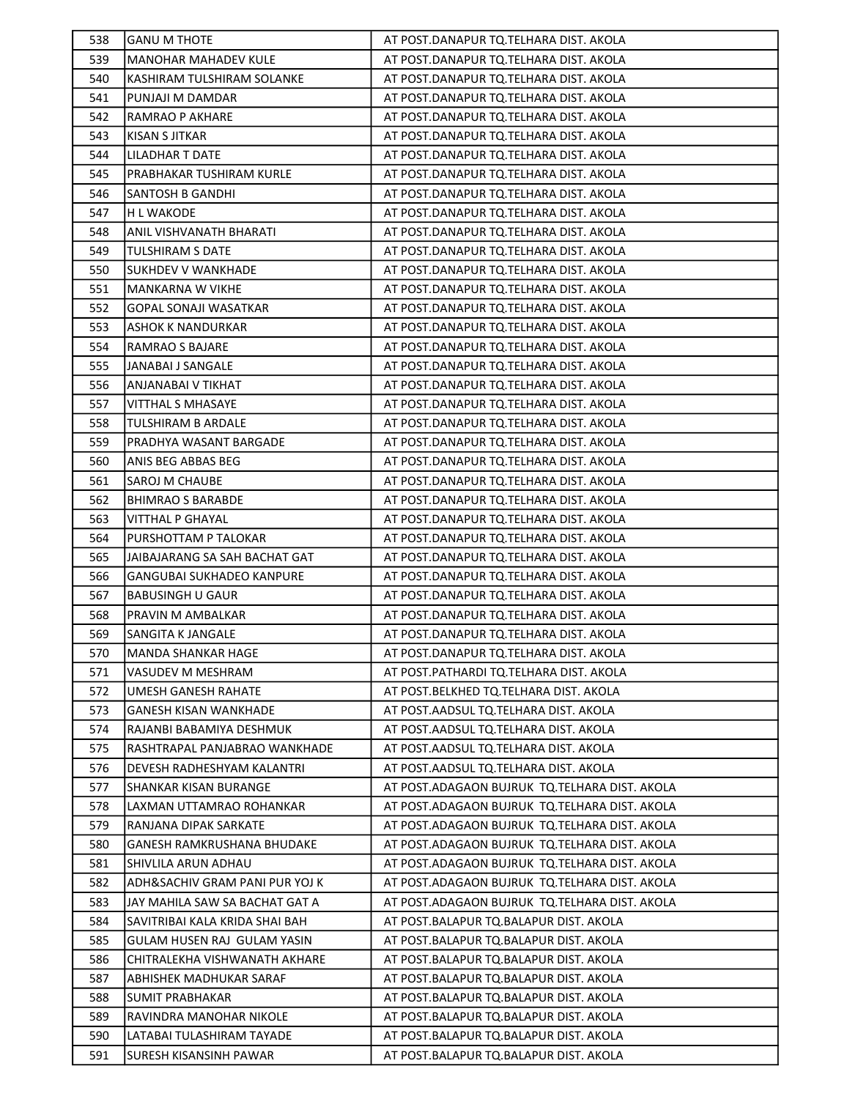| 538 | <b>GANU M THOTE</b>              | AT POST.DANAPUR TQ.TELHARA DIST. AKOLA          |
|-----|----------------------------------|-------------------------------------------------|
| 539 | <b>MANOHAR MAHADEV KULE</b>      | AT POST.DANAPUR TQ.TELHARA DIST. AKOLA          |
| 540 | KASHIRAM TULSHIRAM SOLANKE       | AT POST.DANAPUR TQ.TELHARA DIST. AKOLA          |
| 541 | PUNJAJI M DAMDAR                 | AT POST.DANAPUR TQ.TELHARA DIST. AKOLA          |
| 542 | <b>RAMRAO P AKHARE</b>           | AT POST.DANAPUR TQ.TELHARA DIST. AKOLA          |
| 543 | KISAN S JITKAR                   | AT POST.DANAPUR TQ.TELHARA DIST. AKOLA          |
| 544 | LILADHAR T DATE                  | AT POST.DANAPUR TQ.TELHARA DIST. AKOLA          |
| 545 | PRABHAKAR TUSHIRAM KURLE         | AT POST.DANAPUR TQ.TELHARA DIST. AKOLA          |
| 546 | SANTOSH B GANDHI                 | AT POST.DANAPUR TQ.TELHARA DIST. AKOLA          |
| 547 | H L WAKODE                       | AT POST.DANAPUR TQ.TELHARA DIST. AKOLA          |
| 548 | ANIL VISHVANATH BHARATI          | AT POST.DANAPUR TQ.TELHARA DIST. AKOLA          |
| 549 | TULSHIRAM S DATE                 | AT POST.DANAPUR TQ.TELHARA DIST. AKOLA          |
| 550 | <b>SUKHDEV V WANKHADE</b>        | AT POST.DANAPUR TQ.TELHARA DIST. AKOLA          |
| 551 | MANKARNA W VIKHE                 | AT POST.DANAPUR TQ.TELHARA DIST. AKOLA          |
| 552 | <b>GOPAL SONAJI WASATKAR</b>     | AT POST.DANAPUR TQ.TELHARA DIST. AKOLA          |
| 553 | ASHOK K NANDURKAR                | AT POST.DANAPUR TQ.TELHARA DIST. AKOLA          |
| 554 | RAMRAO S BAJARE                  | AT POST.DANAPUR TQ.TELHARA DIST. AKOLA          |
| 555 | JANABAI J SANGALE                | AT POST.DANAPUR TQ.TELHARA DIST. AKOLA          |
| 556 | ANJANABAI V TIKHAT               | AT POST.DANAPUR TQ.TELHARA DIST. AKOLA          |
| 557 | <b>VITTHAL S MHASAYE</b>         | AT POST.DANAPUR TQ.TELHARA DIST. AKOLA          |
| 558 | TULSHIRAM B ARDALE               | AT POST.DANAPUR TQ.TELHARA DIST. AKOLA          |
| 559 | PRADHYA WASANT BARGADE           | AT POST.DANAPUR TQ.TELHARA DIST. AKOLA          |
| 560 | ANIS BEG ABBAS BEG               | AT POST.DANAPUR TQ.TELHARA DIST. AKOLA          |
| 561 | SAROJ M CHAUBE                   | AT POST.DANAPUR TQ.TELHARA DIST. AKOLA          |
| 562 | <b>BHIMRAO S BARABDE</b>         | AT POST.DANAPUR TQ.TELHARA DIST. AKOLA          |
| 563 | VITTHAL P GHAYAL                 | AT POST.DANAPUR TQ.TELHARA DIST. AKOLA          |
| 564 | PURSHOTTAM P TALOKAR             | AT POST.DANAPUR TQ.TELHARA DIST. AKOLA          |
| 565 | JAIBAJARANG SA SAH BACHAT GAT    | AT POST.DANAPUR TQ.TELHARA DIST. AKOLA          |
| 566 | <b>GANGUBAI SUKHADEO KANPURE</b> | AT POST.DANAPUR TQ.TELHARA DIST. AKOLA          |
| 567 | <b>BABUSINGH U GAUR</b>          | AT POST.DANAPUR TQ.TELHARA DIST. AKOLA          |
| 568 | PRAVIN M AMBALKAR                | AT POST.DANAPUR TQ.TELHARA DIST. AKOLA          |
| 569 | SANGITA K JANGALE                | AT POST.DANAPUR TQ.TELHARA DIST. AKOLA          |
| 570 | MANDA SHANKAR HAGE               | AT POST.DANAPUR TQ.TELHARA DIST. AKOLA          |
| 571 | VASUDEV M MESHRAM                | AT POST. PATHARDI TQ. TELHARA DIST. AKOLA       |
| 572 | UMESH GANESH RAHATE              | AT POST. BELKHED TQ. TELHARA DIST. AKOLA        |
| 573 | GANESH KISAN WANKHADE            | AT POST.AADSUL TQ.TELHARA DIST. AKOLA           |
| 574 | RAJANBI BABAMIYA DESHMUK         | AT POST.AADSUL TO.TELHARA DIST. AKOLA           |
| 575 | RASHTRAPAL PANJABRAO WANKHADE    | AT POST. AADSUL TQ. TELHARA DIST. AKOLA         |
| 576 | DEVESH RADHESHYAM KALANTRI       | AT POST.AADSUL TQ.TELHARA DIST. AKOLA           |
| 577 | SHANKAR KISAN BURANGE            | AT POST.ADAGAON BUJRUK TQ.TELHARA DIST. AKOLA   |
| 578 | LAXMAN UTTAMRAO ROHANKAR         | AT POST.ADAGAON BUJRUK TQ.TELHARA DIST. AKOLA   |
| 579 | RANJANA DIPAK SARKATE            | AT POST.ADAGAON BUJRUK TQ.TELHARA DIST. AKOLA   |
| 580 | GANESH RAMKRUSHANA BHUDAKE       | AT POST.ADAGAON BUJRUK TQ.TELHARA DIST. AKOLA   |
| 581 | SHIVLILA ARUN ADHAU              | AT POST.ADAGAON BUJRUK TQ.TELHARA DIST. AKOLA   |
| 582 | ADH&SACHIV GRAM PANI PUR YOJ K   | AT POST.ADAGAON BUJRUK TQ.TELHARA DIST. AKOLA   |
| 583 | JAY MAHILA SAW SA BACHAT GAT A   | AT POST. ADAGAON BUJRUK TQ. TELHARA DIST. AKOLA |
| 584 | SAVITRIBAI KALA KRIDA SHAI BAH   | AT POST.BALAPUR TQ.BALAPUR DIST. AKOLA          |
| 585 | GULAM HUSEN RAJ GULAM YASIN      | AT POST. BALAPUR TQ. BALAPUR DIST. AKOLA        |
| 586 | CHITRALEKHA VISHWANATH AKHARE    | AT POST.BALAPUR TQ.BALAPUR DIST. AKOLA          |
| 587 | ABHISHEK MADHUKAR SARAF          | AT POST.BALAPUR TQ.BALAPUR DIST. AKOLA          |
| 588 | SUMIT PRABHAKAR                  | AT POST.BALAPUR TQ.BALAPUR DIST. AKOLA          |
| 589 | RAVINDRA MANOHAR NIKOLE          | AT POST.BALAPUR TQ.BALAPUR DIST. AKOLA          |
| 590 | LATABAI TULASHIRAM TAYADE        | AT POST.BALAPUR TQ.BALAPUR DIST. AKOLA          |
| 591 | SURESH KISANSINH PAWAR           | AT POST.BALAPUR TQ.BALAPUR DIST. AKOLA          |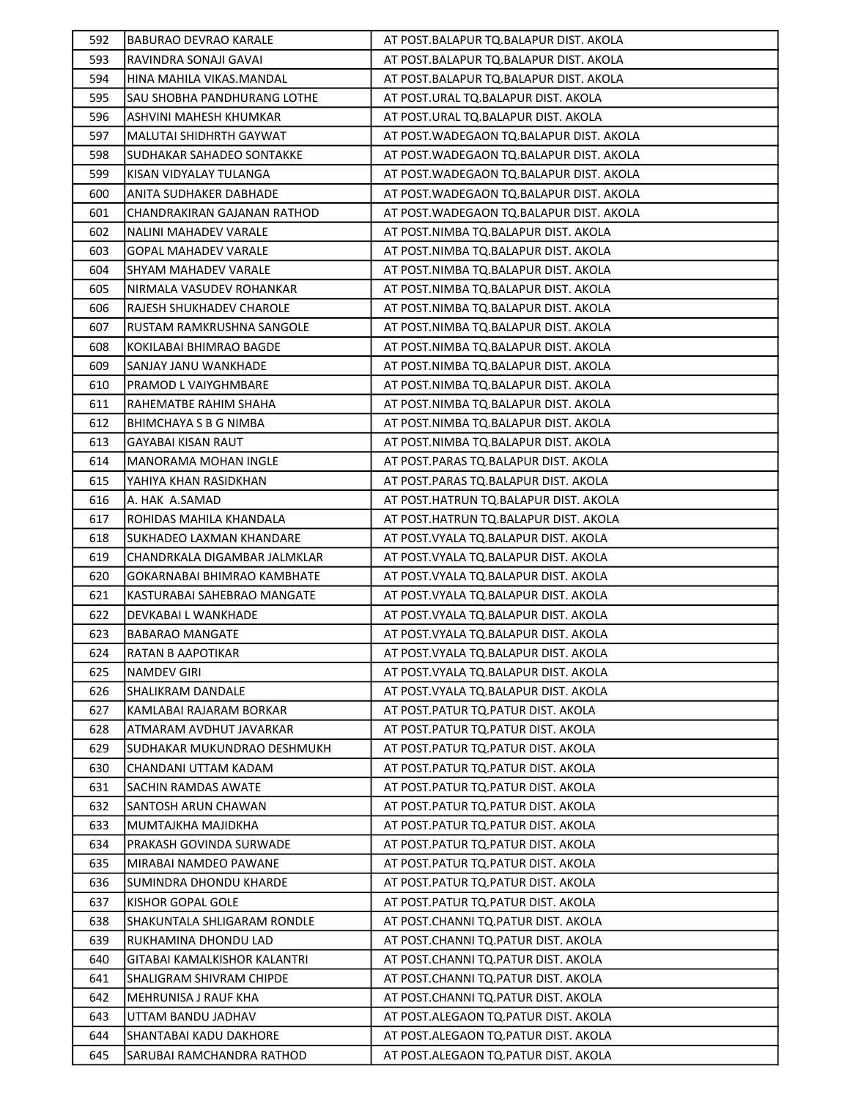| 592 | <b>BABURAO DEVRAO KARALE</b>   | AT POST.BALAPUR TQ.BALAPUR DIST. AKOLA    |
|-----|--------------------------------|-------------------------------------------|
| 593 | RAVINDRA SONAJI GAVAI          | AT POST.BALAPUR TQ.BALAPUR DIST. AKOLA    |
| 594 | HINA MAHILA VIKAS.MANDAL       | AT POST.BALAPUR TQ.BALAPUR DIST. AKOLA    |
| 595 | SAU SHOBHA PANDHURANG LOTHE    | AT POST.URAL TQ.BALAPUR DIST. AKOLA       |
| 596 | ASHVINI MAHESH KHUMKAR         | AT POST.URAL TQ.BALAPUR DIST. AKOLA       |
| 597 | <b>MALUTAI SHIDHRTH GAYWAT</b> | AT POST.WADEGAON TQ.BALAPUR DIST. AKOLA   |
| 598 | SUDHAKAR SAHADEO SONTAKKE      | AT POST. WADEGAON TO. BALAPUR DIST. AKOLA |
| 599 | KISAN VIDYALAY TULANGA         | AT POST. WADEGAON TO. BALAPUR DIST. AKOLA |
| 600 | ANITA SUDHAKER DABHADE         | AT POST. WADEGAON TO. BALAPUR DIST. AKOLA |
| 601 | CHANDRAKIRAN GAJANAN RATHOD    | AT POST. WADEGAON TO. BALAPUR DIST. AKOLA |
| 602 | NALINI MAHADEV VARALE          | AT POST.NIMBA TQ.BALAPUR DIST. AKOLA      |
| 603 | <b>GOPAL MAHADEV VARALE</b>    | AT POST.NIMBA TQ.BALAPUR DIST. AKOLA      |
| 604 | SHYAM MAHADEV VARALE           | AT POST.NIMBA TQ.BALAPUR DIST. AKOLA      |
| 605 | NIRMALA VASUDEV ROHANKAR       | AT POST.NIMBA TQ.BALAPUR DIST. AKOLA      |
| 606 | RAJESH SHUKHADEV CHAROLE       | AT POST.NIMBA TQ.BALAPUR DIST. AKOLA      |
| 607 | RUSTAM RAMKRUSHNA SANGOLE      | AT POST.NIMBA TQ.BALAPUR DIST. AKOLA      |
| 608 | KOKILABAI BHIMRAO BAGDE        | AT POST.NIMBA TQ.BALAPUR DIST. AKOLA      |
| 609 | SANJAY JANU WANKHADE           | AT POST.NIMBA TQ.BALAPUR DIST. AKOLA      |
| 610 | PRAMOD L VAIYGHMBARE           | AT POST.NIMBA TQ.BALAPUR DIST. AKOLA      |
| 611 | RAHEMATBE RAHIM SHAHA          | AT POST.NIMBA TQ.BALAPUR DIST. AKOLA      |
| 612 | BHIMCHAYA S B G NIMBA          | AT POST.NIMBA TQ.BALAPUR DIST. AKOLA      |
| 613 | GAYABAI KISAN RAUT             | AT POST.NIMBA TQ.BALAPUR DIST. AKOLA      |
| 614 | <b>MANORAMA MOHAN INGLE</b>    | AT POST.PARAS TQ.BALAPUR DIST. AKOLA      |
| 615 | YAHIYA KHAN RASIDKHAN          | AT POST.PARAS TQ.BALAPUR DIST. AKOLA      |
| 616 | A. HAK A.SAMAD                 | AT POST.HATRUN TQ.BALAPUR DIST. AKOLA     |
| 617 | ROHIDAS MAHILA KHANDALA        | AT POST.HATRUN TQ.BALAPUR DIST. AKOLA     |
| 618 | SUKHADEO LAXMAN KHANDARE       | AT POST. VYALA TQ. BALAPUR DIST. AKOLA    |
| 619 | CHANDRKALA DIGAMBAR JALMKLAR   | AT POST. VYALA TQ. BALAPUR DIST. AKOLA    |
| 620 | GOKARNABAI BHIMRAO KAMBHATE    | AT POST. VYALA TQ. BALAPUR DIST. AKOLA    |
| 621 | KASTURABAI SAHEBRAO MANGATE    | AT POST. VYALA TQ. BALAPUR DIST. AKOLA    |
| 622 | DEVKABAI L WANKHADE            | AT POST. VYALA TQ. BALAPUR DIST. AKOLA    |
| 623 | <b>BABARAO MANGATE</b>         | AT POST. VYALA TQ. BALAPUR DIST. AKOLA    |
| 624 | RATAN B AAPOTIKAR              | AT POST. VYALA TQ. BALAPUR DIST. AKOLA    |
| 625 | <b>NAMDEV GIRI</b>             | AT POST. VYALA TQ. BALAPUR DIST. AKOLA    |
| 626 | SHALIKRAM DANDALE              | AT POST. VYALA TQ. BALAPUR DIST. AKOLA    |
| 627 | KAMLABAI RAJARAM BORKAR        | AT POST.PATUR TO.PATUR DIST. AKOLA        |
| 628 | ATMARAM AVDHUT JAVARKAR        | AT POST.PATUR TQ.PATUR DIST. AKOLA        |
| 629 | SUDHAKAR MUKUNDRAO DESHMUKH    | AT POST. PATUR TQ. PATUR DIST. AKOLA      |
| 630 | CHANDANI UTTAM KADAM           | AT POST. PATUR TQ. PATUR DIST. AKOLA      |
| 631 | SACHIN RAMDAS AWATE            | AT POST. PATUR TQ. PATUR DIST. AKOLA      |
| 632 | SANTOSH ARUN CHAWAN            | AT POST.PATUR TQ.PATUR DIST. AKOLA        |
| 633 | MUMTAJKHA MAJIDKHA             | AT POST. PATUR TO. PATUR DIST. AKOLA      |
| 634 | PRAKASH GOVINDA SURWADE        | AT POST.PATUR TQ.PATUR DIST. AKOLA        |
| 635 | MIRABAI NAMDEO PAWANE          | AT POST. PATUR TQ. PATUR DIST. AKOLA      |
| 636 | SUMINDRA DHONDU KHARDE         | AT POST. PATUR TQ. PATUR DIST. AKOLA      |
| 637 | KISHOR GOPAL GOLE              | AT POST.PATUR TQ.PATUR DIST. AKOLA        |
| 638 | SHAKUNTALA SHLIGARAM RONDLE    | AT POST.CHANNI TQ.PATUR DIST. AKOLA       |
| 639 | RUKHAMINA DHONDU LAD           | AT POST.CHANNI TQ.PATUR DIST. AKOLA       |
| 640 | GITABAI KAMALKISHOR KALANTRI   | AT POST.CHANNI TQ.PATUR DIST. AKOLA       |
| 641 | SHALIGRAM SHIVRAM CHIPDE       | AT POST.CHANNI TQ.PATUR DIST. AKOLA       |
| 642 | MEHRUNISA J RAUF KHA           | AT POST.CHANNI TQ.PATUR DIST. AKOLA       |
| 643 | UTTAM BANDU JADHAV             | AT POST.ALEGAON TQ.PATUR DIST. AKOLA      |
| 644 | SHANTABAI KADU DAKHORE         | AT POST.ALEGAON TQ.PATUR DIST. AKOLA      |
| 645 | SARUBAI RAMCHANDRA RATHOD      | AT POST.ALEGAON TQ.PATUR DIST. AKOLA      |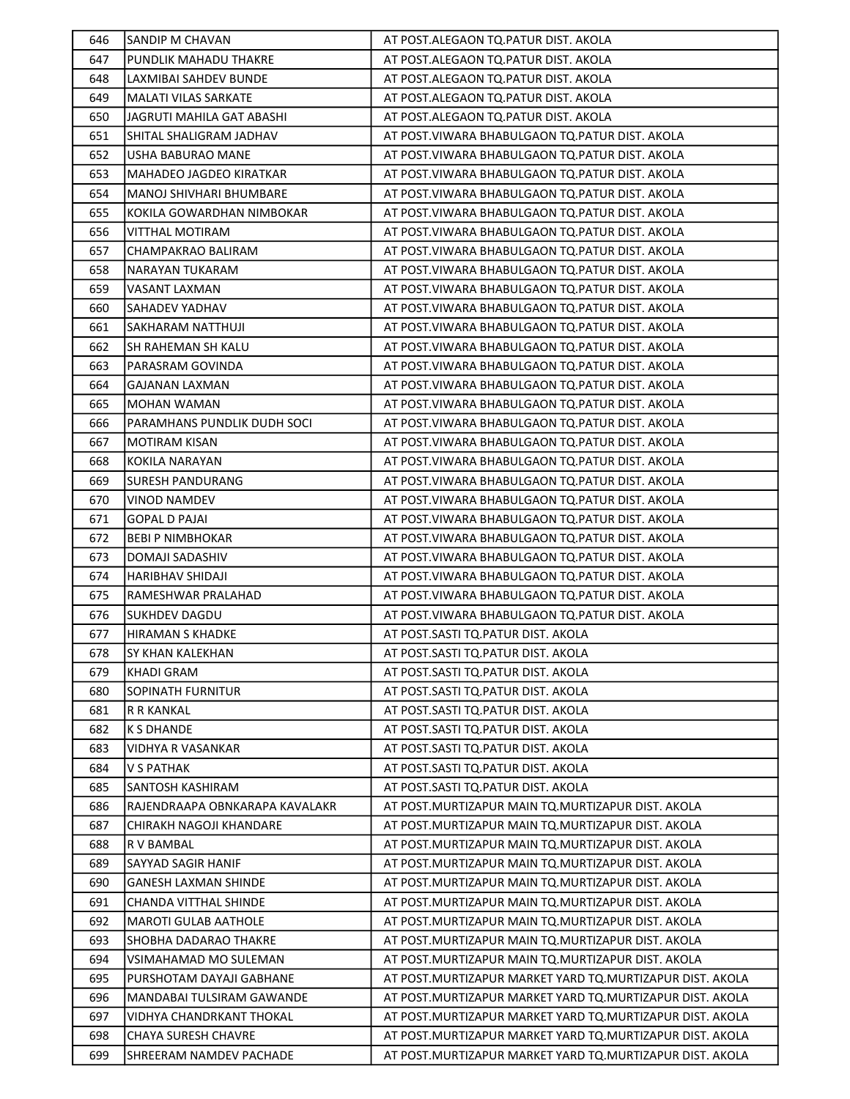| 646        | SANDIP M CHAVAN                                        | AT POST.ALEGAON TO.PATUR DIST. AKOLA                                                                                     |
|------------|--------------------------------------------------------|--------------------------------------------------------------------------------------------------------------------------|
| 647        | PUNDLIK MAHADU THAKRE                                  | AT POST.ALEGAON TO.PATUR DIST. AKOLA                                                                                     |
| 648        | LAXMIBAI SAHDEV BUNDE                                  | AT POST.ALEGAON TO.PATUR DIST. AKOLA                                                                                     |
| 649        | <b>MALATI VILAS SARKATE</b>                            | AT POST.ALEGAON TQ.PATUR DIST. AKOLA                                                                                     |
| 650        | JAGRUTI MAHILA GAT ABASHI                              | AT POST.ALEGAON TQ.PATUR DIST. AKOLA                                                                                     |
| 651        | SHITAL SHALIGRAM JADHAV                                | AT POST. VIWARA BHABULGAON TQ. PATUR DIST. AKOLA                                                                         |
| 652        | USHA BABURAO MANE                                      | AT POST.VIWARA BHABULGAON TQ.PATUR DIST. AKOLA                                                                           |
| 653        | MAHADEO JAGDEO KIRATKAR                                | AT POST. VIWARA BHABULGAON TO. PATUR DIST. AKOLA                                                                         |
| 654        | MANOJ SHIVHARI BHUMBARE                                | AT POST. VIWARA BHABULGAON TO. PATUR DIST. AKOLA                                                                         |
| 655        | KOKILA GOWARDHAN NIMBOKAR                              | AT POST. VIWARA BHABULGAON TO. PATUR DIST. AKOLA                                                                         |
| 656        | VITTHAL MOTIRAM                                        | AT POST. VIWARA BHABULGAON TO. PATUR DIST. AKOLA                                                                         |
| 657        | CHAMPAKRAO BALIRAM                                     | AT POST. VIWARA BHABULGAON TQ. PATUR DIST. AKOLA                                                                         |
| 658        | NARAYAN TUKARAM                                        | AT POST. VIWARA BHABULGAON TO. PATUR DIST. AKOLA                                                                         |
| 659        | VASANT LAXMAN                                          | AT POST. VIWARA BHABULGAON TQ. PATUR DIST. AKOLA                                                                         |
| 660        | SAHADEV YADHAV                                         | AT POST. VIWARA BHABULGAON TO. PATUR DIST. AKOLA                                                                         |
| 661        | SAKHARAM NATTHUJI                                      | AT POST. VIWARA BHABULGAON TO. PATUR DIST. AKOLA                                                                         |
| 662        | SH RAHEMAN SH KALU                                     | AT POST. VIWARA BHABULGAON TQ. PATUR DIST. AKOLA                                                                         |
| 663        | PARASRAM GOVINDA                                       | AT POST. VIWARA BHABULGAON TO. PATUR DIST. AKOLA                                                                         |
| 664        | <b>GAJANAN LAXMAN</b>                                  | AT POST. VIWARA BHABULGAON TO. PATUR DIST. AKOLA                                                                         |
| 665        | <b>MOHAN WAMAN</b>                                     | AT POST. VIWARA BHABULGAON TO. PATUR DIST. AKOLA                                                                         |
| 666        | PARAMHANS PUNDLIK DUDH SOCI                            | AT POST. VIWARA BHABULGAON TO. PATUR DIST. AKOLA                                                                         |
| 667        | <b>MOTIRAM KISAN</b>                                   | AT POST. VIWARA BHABULGAON TQ. PATUR DIST. AKOLA                                                                         |
| 668        | <b>KOKILA NARAYAN</b>                                  | AT POST. VIWARA BHABULGAON TO. PATUR DIST. AKOLA                                                                         |
| 669        | SURESH PANDURANG                                       | AT POST. VIWARA BHABULGAON TQ. PATUR DIST. AKOLA                                                                         |
| 670        | <b>VINOD NAMDEV</b>                                    | AT POST. VIWARA BHABULGAON TQ. PATUR DIST. AKOLA                                                                         |
| 671        | GOPAL D PAJAI                                          | AT POST. VIWARA BHABULGAON TQ. PATUR DIST. AKOLA                                                                         |
| 672        | <b>BEBI P NIMBHOKAR</b>                                | AT POST. VIWARA BHABULGAON TO. PATUR DIST. AKOLA                                                                         |
| 673        | DOMAJI SADASHIV                                        | AT POST. VIWARA BHABULGAON TO. PATUR DIST. AKOLA                                                                         |
| 674        | HARIBHAV SHIDAJI                                       | AT POST. VIWARA BHABULGAON TO. PATUR DIST. AKOLA                                                                         |
| 675        | RAMESHWAR PRALAHAD                                     | AT POST. VIWARA BHABULGAON TO. PATUR DIST. AKOLA                                                                         |
| 676        | SUKHDEV DAGDU                                          | AT POST. VIWARA BHABULGAON TQ. PATUR DIST. AKOLA                                                                         |
| 677        | <b>HIRAMAN S KHADKE</b>                                | AT POST.SASTI TQ.PATUR DIST. AKOLA                                                                                       |
| 678        | SY KHAN KALEKHAN                                       | AT POST.SASTI TQ.PATUR DIST. AKOLA                                                                                       |
| 679        | <b>KHADI GRAM</b>                                      | AT POST.SASTI TQ.PATUR DIST. AKOLA                                                                                       |
| 680        | SOPINATH FURNITUR                                      | AT POST.SASTI TQ.PATUR DIST. AKOLA                                                                                       |
| 681        | R R KANKAL                                             | AT POST.SASTI TO.PATUR DIST. AKOLA                                                                                       |
| 682        | <b>K S DHANDE</b>                                      | AT POST.SASTI TQ.PATUR DIST. AKOLA                                                                                       |
| 683        | VIDHYA R VASANKAR                                      | AT POST.SASTI TQ.PATUR DIST. AKOLA                                                                                       |
| 684        | <b>V S PATHAK</b>                                      | AT POST.SASTI TQ.PATUR DIST. AKOLA                                                                                       |
| 685        | SANTOSH KASHIRAM                                       | AT POST.SASTI TQ.PATUR DIST. AKOLA                                                                                       |
| 686        | RAJENDRAAPA OBNKARAPA KAVALAKR                         | AT POST.MURTIZAPUR MAIN TQ.MURTIZAPUR DIST. AKOLA                                                                        |
| 687        | CHIRAKH NAGOJI KHANDARE                                | AT POST. MURTIZAPUR MAIN TQ. MURTIZAPUR DIST. AKOLA                                                                      |
| 688        | R V BAMBAL                                             | AT POST. MURTIZAPUR MAIN TQ. MURTIZAPUR DIST. AKOLA                                                                      |
| 689        | SAYYAD SAGIR HANIF                                     | AT POST.MURTIZAPUR MAIN TQ.MURTIZAPUR DIST. AKOLA                                                                        |
| 690        | <b>GANESH LAXMAN SHINDE</b>                            | AT POST.MURTIZAPUR MAIN TQ.MURTIZAPUR DIST. AKOLA                                                                        |
| 691        | CHANDA VITTHAL SHINDE                                  | AT POST.MURTIZAPUR MAIN TQ.MURTIZAPUR DIST. AKOLA                                                                        |
| 692        | <b>MAROTI GULAB AATHOLE</b>                            | AT POST. MURTIZAPUR MAIN TQ. MURTIZAPUR DIST. AKOLA                                                                      |
| 693        | SHOBHA DADARAO THAKRE                                  | AT POST. MURTIZAPUR MAIN TQ. MURTIZAPUR DIST. AKOLA                                                                      |
| 694        | VSIMAHAMAD MO SULEMAN                                  | AT POST. MURTIZAPUR MAIN TO. MURTIZAPUR DIST. AKOLA                                                                      |
| 695        | PURSHOTAM DAYAJI GABHANE                               | AT POST.MURTIZAPUR MARKET YARD TO.MURTIZAPUR DIST. AKOLA                                                                 |
| 696        | MANDABAI TULSIRAM GAWANDE                              | AT POST.MURTIZAPUR MARKET YARD TQ.MURTIZAPUR DIST. AKOLA                                                                 |
| 697<br>698 | VIDHYA CHANDRKANT THOKAL<br><b>CHAYA SURESH CHAVRE</b> | AT POST. MURTIZAPUR MARKET YARD TO. MURTIZAPUR DIST. AKOLA<br>AT POST. MURTIZAPUR MARKET YARD TO. MURTIZAPUR DIST. AKOLA |
| 699        | SHREERAM NAMDEV PACHADE                                | AT POST. MURTIZAPUR MARKET YARD TQ. MURTIZAPUR DIST. AKOLA                                                               |
|            |                                                        |                                                                                                                          |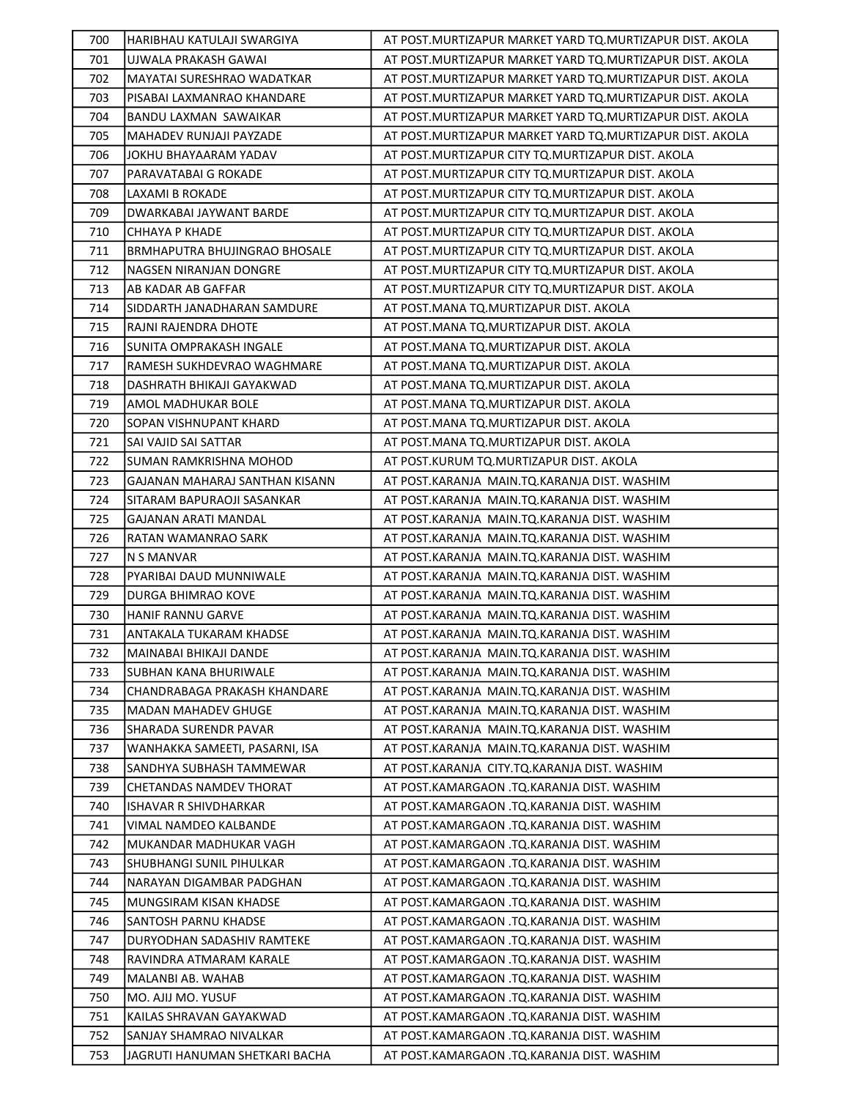| 700        | HARIBHAU KATULAJI SWARGIYA                         | AT POST. MURTIZAPUR MARKET YARD TO. MURTIZAPUR DIST. AKOLA                               |
|------------|----------------------------------------------------|------------------------------------------------------------------------------------------|
| 701        | UJWALA PRAKASH GAWAI                               | AT POST. MURTIZAPUR MARKET YARD TO. MURTIZAPUR DIST. AKOLA                               |
| 702        | MAYATAI SURESHRAO WADATKAR                         | AT POST. MURTIZAPUR MARKET YARD TO. MURTIZAPUR DIST. AKOLA                               |
| 703        | PISABAI LAXMANRAO KHANDARE                         | AT POST. MURTIZAPUR MARKET YARD TQ. MURTIZAPUR DIST. AKOLA                               |
| 704        | BANDU LAXMAN SAWAIKAR                              | AT POST. MURTIZAPUR MARKET YARD TO. MURTIZAPUR DIST. AKOLA                               |
| 705        | MAHADEV RUNJAJI PAYZADE                            | AT POST.MURTIZAPUR MARKET YARD TQ.MURTIZAPUR DIST. AKOLA                                 |
| 706        | JOKHU BHAYAARAM YADAV                              | AT POST.MURTIZAPUR CITY TQ.MURTIZAPUR DIST. AKOLA                                        |
| 707        | PARAVATABAI G ROKADE                               | AT POST. MURTIZAPUR CITY TQ. MURTIZAPUR DIST. AKOLA                                      |
| 708        | LAXAMI B ROKADE                                    | AT POST. MURTIZAPUR CITY TO. MURTIZAPUR DIST. AKOLA                                      |
| 709        | DWARKABAI JAYWANT BARDE                            | AT POST. MURTIZAPUR CITY TO. MURTIZAPUR DIST. AKOLA                                      |
| 710        | CHHAYA P KHADE                                     | AT POST. MURTIZAPUR CITY TO. MURTIZAPUR DIST. AKOLA                                      |
| 711        | BRMHAPUTRA BHUJINGRAO BHOSALE                      | AT POST. MURTIZAPUR CITY TQ. MURTIZAPUR DIST. AKOLA                                      |
| 712        | NAGSEN NIRANJAN DONGRE                             | AT POST. MURTIZAPUR CITY TO. MURTIZAPUR DIST. AKOLA                                      |
| 713        | AB KADAR AB GAFFAR                                 | AT POST. MURTIZAPUR CITY TO. MURTIZAPUR DIST. AKOLA                                      |
| 714        | SIDDARTH JANADHARAN SAMDURE                        | AT POST.MANA TQ.MURTIZAPUR DIST. AKOLA                                                   |
| 715        | RAJNI RAJENDRA DHOTE                               | AT POST. MANA TQ. MURTIZAPUR DIST. AKOLA                                                 |
| 716        | SUNITA OMPRAKASH INGALE                            | AT POST.MANA TQ.MURTIZAPUR DIST. AKOLA                                                   |
| 717        | RAMESH SUKHDEVRAO WAGHMARE                         | AT POST.MANA TQ.MURTIZAPUR DIST. AKOLA                                                   |
| 718        | DASHRATH BHIKAJI GAYAKWAD                          | AT POST.MANA TQ.MURTIZAPUR DIST. AKOLA                                                   |
| 719        | AMOL MADHUKAR BOLE                                 | AT POST.MANA TQ.MURTIZAPUR DIST. AKOLA                                                   |
| 720        | SOPAN VISHNUPANT KHARD                             | AT POST.MANA TQ.MURTIZAPUR DIST. AKOLA                                                   |
| 721        | SAI VAJID SAI SATTAR                               | AT POST.MANA TQ.MURTIZAPUR DIST. AKOLA                                                   |
| 722        | <b>SUMAN RAMKRISHNA MOHOD</b>                      | AT POST.KURUM TQ.MURTIZAPUR DIST. AKOLA                                                  |
| 723        | GAJANAN MAHARAJ SANTHAN KISANN                     | AT POST.KARANJA MAIN.TQ.KARANJA DIST. WASHIM                                             |
| 724        | SITARAM BAPURAOJI SASANKAR                         | AT POST.KARANJA MAIN.TQ.KARANJA DIST. WASHIM                                             |
| 725        | <b>GAJANAN ARATI MANDAL</b>                        | AT POST.KARANJA MAIN.TQ.KARANJA DIST. WASHIM                                             |
| 726        | RATAN WAMANRAO SARK                                | AT POST.KARANJA MAIN.TQ.KARANJA DIST. WASHIM                                             |
| 727        | N S MANVAR                                         | AT POST.KARANJA MAIN.TQ.KARANJA DIST. WASHIM                                             |
| 728        | PYARIBAI DAUD MUNNIWALE                            | AT POST.KARANJA MAIN.TQ.KARANJA DIST. WASHIM                                             |
| 729        | DURGA BHIMRAO KOVE                                 | AT POST.KARANJA MAIN.TQ.KARANJA DIST. WASHIM                                             |
| 730        | <b>HANIF RANNU GARVE</b>                           | AT POST.KARANJA MAIN.TQ.KARANJA DIST. WASHIM                                             |
| 731        | <b>ANTAKALA TUKARAM KHADSE</b>                     | AT POST.KARANJA MAIN.TQ.KARANJA DIST. WASHIM                                             |
| 732        | MAINABAI BHIKAJI DANDE                             | AT POST.KARANJA MAIN.TQ.KARANJA DIST. WASHIM                                             |
| 733        | SUBHAN KANA BHURIWALE                              | AT POST.KARANJA MAIN.TQ.KARANJA DIST. WASHIM                                             |
| 734        | CHANDRABAGA PRAKASH KHANDARE                       | AT POST.KARANJA MAIN.TQ.KARANJA DIST. WASHIM                                             |
| 735        | <b>MADAN MAHADEV GHUGE</b>                         | AT POST.KARANJA MAIN.TQ.KARANJA DIST. WASHIM                                             |
| 736        | SHARADA SURENDR PAVAR                              | AT POST.KARANJA MAIN.TQ.KARANJA DIST. WASHIM                                             |
| 737        | WANHAKKA SAMEETI, PASARNI, ISA                     | AT POST.KARANJA MAIN.TQ.KARANJA DIST. WASHIM                                             |
| 738        | SANDHYA SUBHASH TAMMEWAR                           | AT POST.KARANJA CITY.TQ.KARANJA DIST. WASHIM                                             |
| 739        | CHETANDAS NAMDEV THORAT                            | AT POST.KAMARGAON .TQ.KARANJA DIST. WASHIM                                               |
| 740        | ISHAVAR R SHIVDHARKAR                              | AT POST.KAMARGAON .TQ.KARANJA DIST. WASHIM                                               |
| 741        | VIMAL NAMDEO KALBANDE                              | AT POST.KAMARGAON .TQ.KARANJA DIST. WASHIM                                               |
| 742        | MUKANDAR MADHUKAR VAGH                             | AT POST.KAMARGAON .TQ.KARANJA DIST. WASHIM                                               |
| 743        | SHUBHANGI SUNIL PIHULKAR                           | AT POST.KAMARGAON .TQ.KARANJA DIST. WASHIM                                               |
| 744        | NARAYAN DIGAMBAR PADGHAN                           | AT POST.KAMARGAON .TQ.KARANJA DIST. WASHIM                                               |
| 745        | MUNGSIRAM KISAN KHADSE                             | AT POST.KAMARGAON .TQ.KARANJA DIST. WASHIM                                               |
| 746        | <b>SANTOSH PARNU KHADSE</b>                        | AT POST.KAMARGAON .TQ.KARANJA DIST. WASHIM                                               |
| 747        | DURYODHAN SADASHIV RAMTEKE                         | AT POST.KAMARGAON .TQ.KARANJA DIST. WASHIM                                               |
| 748        | RAVINDRA ATMARAM KARALE                            | AT POST.KAMARGAON .TQ.KARANJA DIST. WASHIM                                               |
| 749        | MALANBI AB. WAHAB                                  | AT POST.KAMARGAON .TQ.KARANJA DIST. WASHIM                                               |
| 750        | MO. AJIJ MO. YUSUF                                 | AT POST.KAMARGAON .TQ.KARANJA DIST. WASHIM                                               |
| 751<br>752 | KAILAS SHRAVAN GAYAKWAD<br>SANJAY SHAMRAO NIVALKAR | AT POST.KAMARGAON .TQ.KARANJA DIST. WASHIM<br>AT POST.KAMARGAON .TQ.KARANJA DIST. WASHIM |
| 753        | JAGRUTI HANUMAN SHETKARI BACHA                     | AT POST.KAMARGAON .TQ.KARANJA DIST. WASHIM                                               |
|            |                                                    |                                                                                          |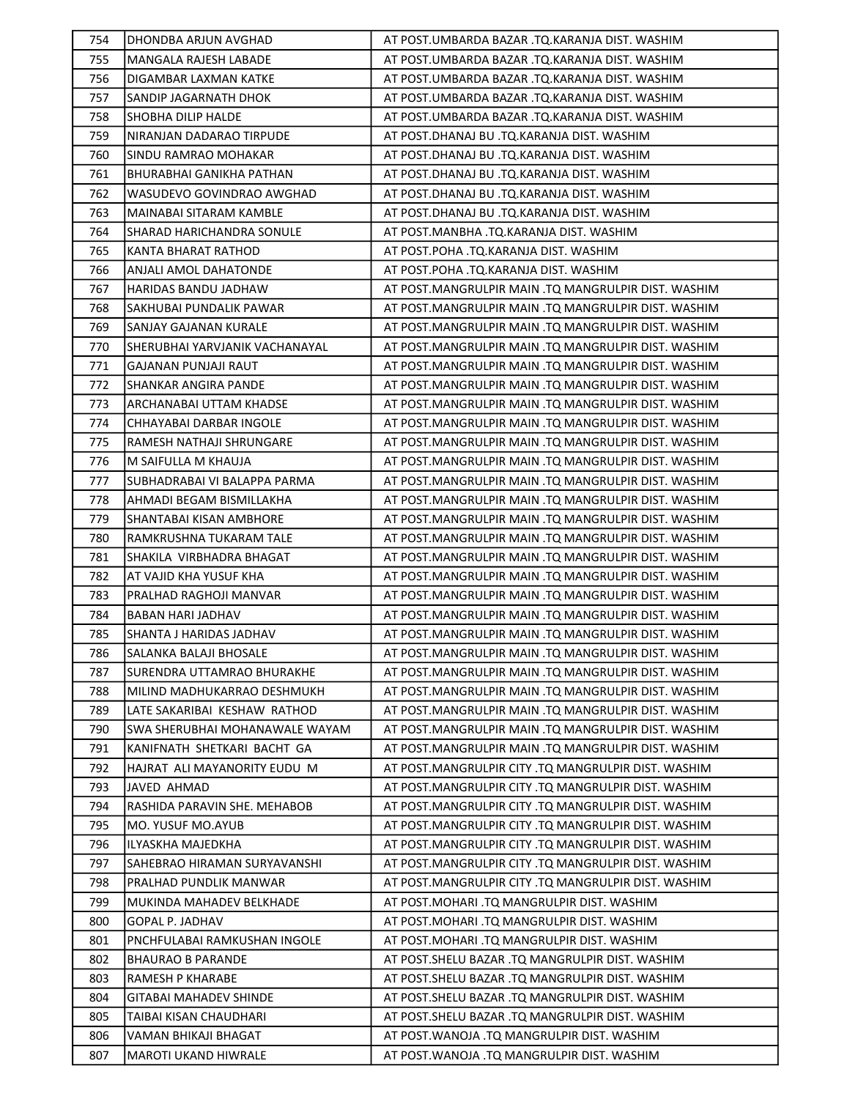| 754 | DHONDBA ARJUN AVGHAD           | AT POST.UMBARDA BAZAR .TQ.KARANJA DIST. WASHIM        |
|-----|--------------------------------|-------------------------------------------------------|
| 755 | MANGALA RAJESH LABADE          | AT POST.UMBARDA BAZAR .TQ.KARANJA DIST. WASHIM        |
| 756 | DIGAMBAR LAXMAN KATKE          | AT POST.UMBARDA BAZAR .TQ.KARANJA DIST. WASHIM        |
| 757 | SANDIP JAGARNATH DHOK          | AT POST.UMBARDA BAZAR .TQ.KARANJA DIST. WASHIM        |
| 758 | <b>SHOBHA DILIP HALDE</b>      | AT POST.UMBARDA BAZAR .TQ.KARANJA DIST. WASHIM        |
| 759 | NIRANJAN DADARAO TIRPUDE       | AT POST.DHANAJ BU .TQ.KARANJA DIST. WASHIM            |
| 760 | SINDU RAMRAO MOHAKAR           | AT POST.DHANAJ BU .TQ.KARANJA DIST. WASHIM            |
| 761 | BHURABHAI GANIKHA PATHAN       | AT POST.DHANAJ BU .TQ.KARANJA DIST. WASHIM            |
| 762 | WASUDEVO GOVINDRAO AWGHAD      | AT POST.DHANAJ BU .TQ.KARANJA DIST. WASHIM            |
| 763 | MAINABAI SITARAM KAMBLE        | AT POST.DHANAJ BU .TQ.KARANJA DIST. WASHIM            |
| 764 | SHARAD HARICHANDRA SONULE      | AT POST.MANBHA .TQ.KARANJA DIST. WASHIM               |
| 765 | <b>KANTA BHARAT RATHOD</b>     | AT POST.POHA .TQ.KARANJA DIST. WASHIM                 |
| 766 | ANJALI AMOL DAHATONDE          | AT POST.POHA .TQ.KARANJA DIST. WASHIM                 |
| 767 | HARIDAS BANDU JADHAW           | AT POST.MANGRULPIR MAIN .TQ MANGRULPIR DIST. WASHIM   |
| 768 | SAKHUBAI PUNDALIK PAWAR        | AT POST.MANGRULPIR MAIN .TQ MANGRULPIR DIST. WASHIM   |
| 769 | SANJAY GAJANAN KURALE          | AT POST.MANGRULPIR MAIN .TQ MANGRULPIR DIST. WASHIM   |
| 770 | SHERUBHAI YARVJANIK VACHANAYAL | AT POST.MANGRULPIR MAIN .TQ MANGRULPIR DIST. WASHIM   |
| 771 | <b>GAJANAN PUNJAJI RAUT</b>    | AT POST.MANGRULPIR MAIN .TQ MANGRULPIR DIST. WASHIM   |
| 772 | <b>SHANKAR ANGIRA PANDE</b>    | AT POST.MANGRULPIR MAIN .TQ MANGRULPIR DIST. WASHIM   |
| 773 | ARCHANABAI UTTAM KHADSE        | AT POST.MANGRULPIR MAIN .TQ MANGRULPIR DIST. WASHIM   |
| 774 | CHHAYABAI DARBAR INGOLE        | AT POST.MANGRULPIR MAIN .TQ MANGRULPIR DIST. WASHIM   |
| 775 | RAMESH NATHAJI SHRUNGARE       | AT POST. MANGRULPIR MAIN . TQ MANGRULPIR DIST. WASHIM |
| 776 | M SAIFULLA M KHAUJA            | AT POST.MANGRULPIR MAIN .TQ MANGRULPIR DIST. WASHIM   |
| 777 | SUBHADRABAI VI BALAPPA PARMA   | AT POST.MANGRULPIR MAIN .TQ MANGRULPIR DIST. WASHIM   |
| 778 | AHMADI BEGAM BISMILLAKHA       | AT POST.MANGRULPIR MAIN .TQ MANGRULPIR DIST. WASHIM   |
| 779 | <b>SHANTABAI KISAN AMBHORE</b> | AT POST.MANGRULPIR MAIN .TQ MANGRULPIR DIST. WASHIM   |
| 780 | RAMKRUSHNA TUKARAM TALE        | AT POST.MANGRULPIR MAIN .TQ MANGRULPIR DIST. WASHIM   |
| 781 | SHAKILA VIRBHADRA BHAGAT       | AT POST.MANGRULPIR MAIN .TQ MANGRULPIR DIST. WASHIM   |
| 782 | AT VAJID KHA YUSUF KHA         | AT POST.MANGRULPIR MAIN .TQ MANGRULPIR DIST. WASHIM   |
| 783 | PRALHAD RAGHOJI MANVAR         | AT POST.MANGRULPIR MAIN .TQ MANGRULPIR DIST. WASHIM   |
| 784 | BABAN HARI JADHAV              | AT POST.MANGRULPIR MAIN .TQ MANGRULPIR DIST. WASHIM   |
| 785 | SHANTA J HARIDAS JADHAV        | AT POST.MANGRULPIR MAIN .TQ MANGRULPIR DIST. WASHIM   |
| 786 | SALANKA BALAJI BHOSALE         | AT POST.MANGRULPIR MAIN .TQ MANGRULPIR DIST. WASHIM   |
| 787 | SURENDRA UTTAMRAO BHURAKHE     | AT POST.MANGRULPIR MAIN .TQ MANGRULPIR DIST. WASHIM   |
| 788 | MILIND MADHUKARRAO DESHMUKH    | AT POST.MANGRULPIR MAIN .TQ MANGRULPIR DIST. WASHIM   |
| 789 | LATE SAKARIBAI KESHAW RATHOD   | AT POST.MANGRULPIR MAIN .TQ MANGRULPIR DIST. WASHIM   |
| 790 | SWA SHERUBHAI MOHANAWALE WAYAM | AT POST.MANGRULPIR MAIN .TQ MANGRULPIR DIST. WASHIM   |
| 791 | KANIFNATH SHETKARI BACHT GA    | AT POST.MANGRULPIR MAIN .TQ MANGRULPIR DIST. WASHIM   |
| 792 | HAJRAT ALI MAYANORITY EUDU M   | AT POST.MANGRULPIR CITY .TQ MANGRULPIR DIST. WASHIM   |
| 793 | JAVED AHMAD                    | AT POST.MANGRULPIR CITY .TQ MANGRULPIR DIST. WASHIM   |
| 794 | RASHIDA PARAVIN SHE. MEHABOB   | AT POST.MANGRULPIR CITY .TQ MANGRULPIR DIST. WASHIM   |
| 795 | MO. YUSUF MO.AYUB              | AT POST.MANGRULPIR CITY .TQ MANGRULPIR DIST. WASHIM   |
| 796 | ILYASKHA MAJEDKHA              | AT POST.MANGRULPIR CITY .TQ MANGRULPIR DIST. WASHIM   |
| 797 | SAHEBRAO HIRAMAN SURYAVANSHI   | AT POST.MANGRULPIR CITY .TQ MANGRULPIR DIST. WASHIM   |
| 798 | PRALHAD PUNDLIK MANWAR         | AT POST.MANGRULPIR CITY .TQ MANGRULPIR DIST. WASHIM   |
| 799 | MUKINDA MAHADEV BELKHADE       | AT POST. MOHARI .TQ MANGRULPIR DIST. WASHIM           |
| 800 | <b>GOPAL P. JADHAV</b>         | AT POST. MOHARI .TQ MANGRULPIR DIST. WASHIM           |
| 801 | PNCHFULABAI RAMKUSHAN INGOLE   | AT POST. MOHARI .TQ MANGRULPIR DIST. WASHIM           |
| 802 | <b>BHAURAO B PARANDE</b>       | AT POST. SHELU BAZAR .TQ MANGRULPIR DIST. WASHIM      |
| 803 | RAMESH P KHARABE               | AT POST.SHELU BAZAR .TQ MANGRULPIR DIST. WASHIM       |
| 804 | GITABAI MAHADEV SHINDE         | AT POST.SHELU BAZAR .TQ MANGRULPIR DIST. WASHIM       |
| 805 | TAIBAI KISAN CHAUDHARI         | AT POST.SHELU BAZAR .TQ MANGRULPIR DIST. WASHIM       |
| 806 | VAMAN BHIKAJI BHAGAT           | AT POST. WANOJA .TQ MANGRULPIR DIST. WASHIM           |
| 807 | <b>MAROTI UKAND HIWRALE</b>    | AT POST.WANOJA .TQ MANGRULPIR DIST. WASHIM            |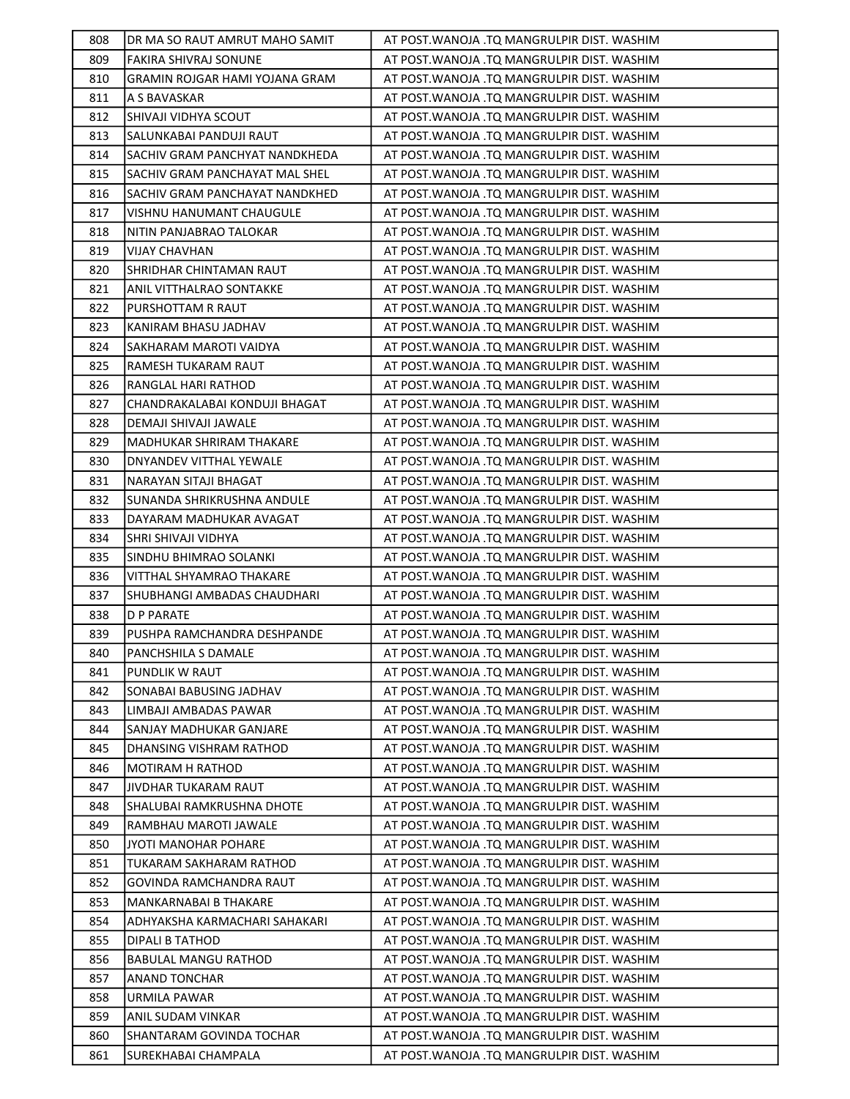| 808 | DR MA SO RAUT AMRUT MAHO SAMIT | AT POST. WANOJA .TQ MANGRULPIR DIST. WASHIM  |
|-----|--------------------------------|----------------------------------------------|
| 809 | FAKIRA SHIVRAJ SONUNE          | AT POST.WANOJA .TQ MANGRULPIR DIST. WASHIM   |
| 810 | GRAMIN ROJGAR HAMI YOJANA GRAM | AT POST. WANOJA . TQ MANGRULPIR DIST. WASHIM |
| 811 | A S BAVASKAR                   | AT POST. WANOJA .TQ MANGRULPIR DIST. WASHIM  |
| 812 | SHIVAJI VIDHYA SCOUT           | AT POST. WANOJA .TQ MANGRULPIR DIST. WASHIM  |
| 813 | SALUNKABAI PANDUJI RAUT        | AT POST. WANOJA .TQ MANGRULPIR DIST. WASHIM  |
| 814 | SACHIV GRAM PANCHYAT NANDKHEDA | AT POST. WANOJA .TQ MANGRULPIR DIST. WASHIM  |
| 815 | SACHIV GRAM PANCHAYAT MAL SHEL | AT POST. WANOJA . TQ MANGRULPIR DIST. WASHIM |
| 816 | SACHIV GRAM PANCHAYAT NANDKHED | AT POST. WANOJA .TQ MANGRULPIR DIST. WASHIM  |
| 817 | VISHNU HANUMANT CHAUGULE       | AT POST.WANOJA .TQ MANGRULPIR DIST. WASHIM   |
| 818 | NITIN PANJABRAO TALOKAR        | AT POST. WANOJA .TQ MANGRULPIR DIST. WASHIM  |
| 819 | VIJAY CHAVHAN                  | AT POST. WANOJA .TQ MANGRULPIR DIST. WASHIM  |
| 820 | SHRIDHAR CHINTAMAN RAUT        | AT POST. WANOJA .TQ MANGRULPIR DIST. WASHIM  |
| 821 | ANIL VITTHALRAO SONTAKKE       | AT POST. WANOJA .TQ MANGRULPIR DIST. WASHIM  |
| 822 | PURSHOTTAM R RAUT              | AT POST. WANOJA .TQ MANGRULPIR DIST. WASHIM  |
| 823 | KANIRAM BHASU JADHAV           | AT POST. WANOJA . TQ MANGRULPIR DIST. WASHIM |
| 824 | SAKHARAM MAROTI VAIDYA         | AT POST. WANOJA . TQ MANGRULPIR DIST. WASHIM |
| 825 | RAMESH TUKARAM RAUT            | AT POST. WANOJA .TQ MANGRULPIR DIST. WASHIM  |
| 826 | RANGLAL HARI RATHOD            | AT POST. WANOJA .TQ MANGRULPIR DIST. WASHIM  |
| 827 | CHANDRAKALABAI KONDUJI BHAGAT  | AT POST. WANOJA .TQ MANGRULPIR DIST. WASHIM  |
| 828 | DEMAJI SHIVAJI JAWALE          | AT POST. WANOJA .TQ MANGRULPIR DIST. WASHIM  |
| 829 | MADHUKAR SHRIRAM THAKARE       | AT POST. WANOJA .TQ MANGRULPIR DIST. WASHIM  |
| 830 | DNYANDEV VITTHAL YEWALE        | AT POST. WANOJA .TQ MANGRULPIR DIST. WASHIM  |
| 831 | NARAYAN SITAJI BHAGAT          | AT POST. WANOJA .TQ MANGRULPIR DIST. WASHIM  |
| 832 | SUNANDA SHRIKRUSHNA ANDULE     | AT POST. WANOJA .TQ MANGRULPIR DIST. WASHIM  |
| 833 | DAYARAM MADHUKAR AVAGAT        | AT POST. WANOJA .TQ MANGRULPIR DIST. WASHIM  |
| 834 | SHRI SHIVAJI VIDHYA            | AT POST. WANOJA .TQ MANGRULPIR DIST. WASHIM  |
| 835 | SINDHU BHIMRAO SOLANKI         | AT POST. WANOJA .TQ MANGRULPIR DIST. WASHIM  |
| 836 | VITTHAL SHYAMRAO THAKARE       | AT POST. WANOJA .TQ MANGRULPIR DIST. WASHIM  |
| 837 | SHUBHANGI AMBADAS CHAUDHARI    | AT POST. WANOJA .TQ MANGRULPIR DIST. WASHIM  |
| 838 | D P PARATE                     | AT POST. WANOJA .TQ MANGRULPIR DIST. WASHIM  |
| 839 | PUSHPA RAMCHANDRA DESHPANDE    | AT POST. WANOJA . TQ MANGRULPIR DIST. WASHIM |
| 840 | PANCHSHILA S DAMALE            | AT POST. WANOJA .TQ MANGRULPIR DIST. WASHIM  |
| 841 | PUNDLIK W RAUT                 | AT POST. WANOJA .TQ MANGRULPIR DIST. WASHIM  |
| 842 | SONABAI BABUSING JADHAV        | AT POST. WANOJA .TQ MANGRULPIR DIST. WASHIM  |
| 843 | LIMBAJI AMBADAS PAWAR          | AT POST.WANOJA .TQ MANGRULPIR DIST. WASHIM   |
| 844 | SANJAY MADHUKAR GANJARE        | AT POST.WANOJA .TQ MANGRULPIR DIST. WASHIM   |
| 845 | DHANSING VISHRAM RATHOD        | AT POST. WANOJA .TQ MANGRULPIR DIST. WASHIM  |
| 846 | <b>MOTIRAM H RATHOD</b>        | AT POST. WANOJA .TQ MANGRULPIR DIST. WASHIM  |
| 847 | JIVDHAR TUKARAM RAUT           | AT POST. WANOJA .TQ MANGRULPIR DIST. WASHIM  |
| 848 | SHALUBAI RAMKRUSHNA DHOTE      | AT POST. WANOJA .TQ MANGRULPIR DIST. WASHIM  |
| 849 | RAMBHAU MAROTI JAWALE          | AT POST. WANOJA .TQ MANGRULPIR DIST. WASHIM  |
| 850 | JYOTI MANOHAR POHARE           | AT POST.WANOJA .TQ MANGRULPIR DIST. WASHIM   |
| 851 | TUKARAM SAKHARAM RATHOD        | AT POST. WANOJA .TQ MANGRULPIR DIST. WASHIM  |
| 852 | GOVINDA RAMCHANDRA RAUT        | AT POST. WANOJA .TQ MANGRULPIR DIST. WASHIM  |
| 853 | MANKARNABAI B THAKARE          | AT POST.WANOJA .TQ MANGRULPIR DIST. WASHIM   |
| 854 | ADHYAKSHA KARMACHARI SAHAKARI  | AT POST.WANOJA .TQ MANGRULPIR DIST. WASHIM   |
| 855 | DIPALI B TATHOD                | AT POST. WANOJA .TQ MANGRULPIR DIST. WASHIM  |
| 856 | <b>BABULAL MANGU RATHOD</b>    | AT POST. WANOJA .TQ MANGRULPIR DIST. WASHIM  |
| 857 | ANAND TONCHAR                  | AT POST.WANOJA .TQ MANGRULPIR DIST. WASHIM   |
| 858 | URMILA PAWAR                   | AT POST. WANOJA .TQ MANGRULPIR DIST. WASHIM  |
| 859 | ANIL SUDAM VINKAR              | AT POST.WANOJA .TQ MANGRULPIR DIST. WASHIM   |
| 860 | SHANTARAM GOVINDA TOCHAR       | AT POST. WANOJA . TQ MANGRULPIR DIST. WASHIM |
| 861 | SUREKHABAI CHAMPALA            | AT POST. WANOJA .TQ MANGRULPIR DIST. WASHIM  |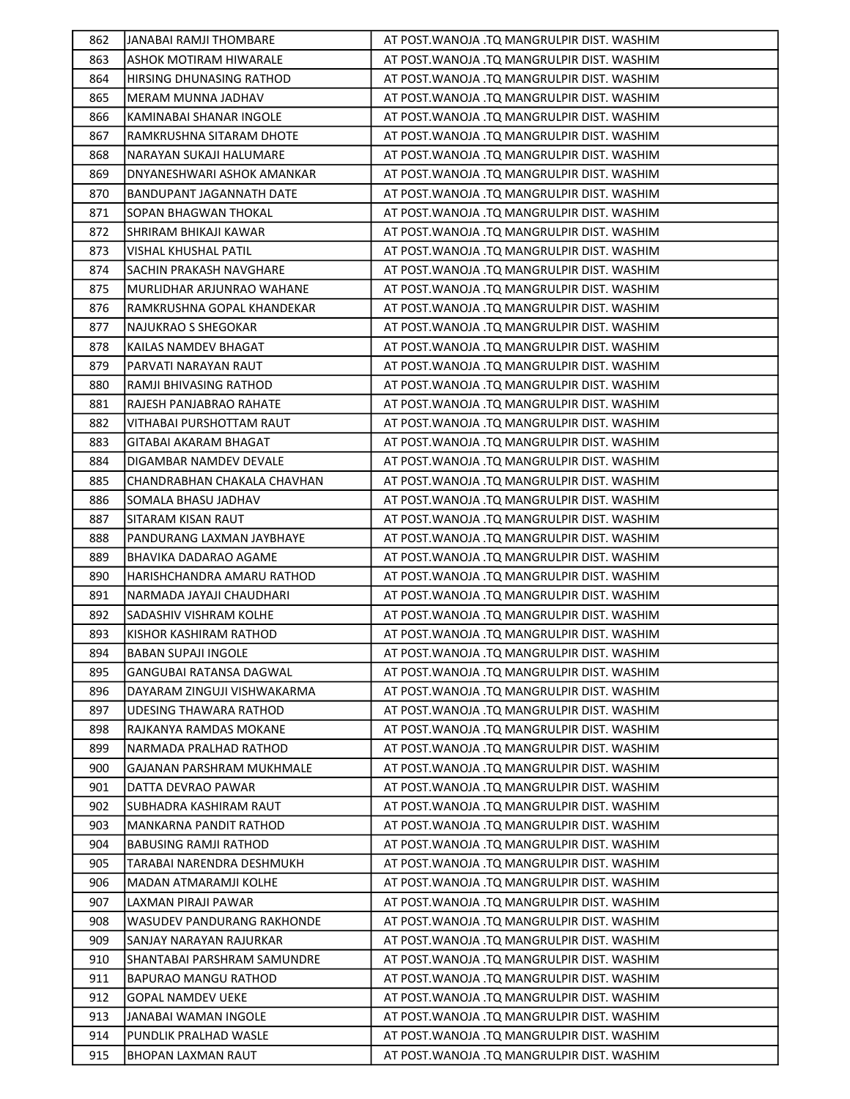| 862        | JANABAI RAMJI THOMBARE                                 | AT POST. WANOJA .TQ MANGRULPIR DIST. WASHIM                                                |
|------------|--------------------------------------------------------|--------------------------------------------------------------------------------------------|
| 863        | ASHOK MOTIRAM HIWARALE                                 | AT POST. WANOJA .TQ MANGRULPIR DIST. WASHIM                                                |
| 864        | HIRSING DHUNASING RATHOD                               | AT POST. WANOJA . TQ MANGRULPIR DIST. WASHIM                                               |
| 865        | MERAM MUNNA JADHAV                                     | AT POST. WANOJA .TQ MANGRULPIR DIST. WASHIM                                                |
| 866        | KAMINABAI SHANAR INGOLE                                | AT POST. WANOJA .TQ MANGRULPIR DIST. WASHIM                                                |
| 867        | RAMKRUSHNA SITARAM DHOTE                               | AT POST. WANOJA .TQ MANGRULPIR DIST. WASHIM                                                |
| 868        | NARAYAN SUKAJI HALUMARE                                | AT POST. WANOJA .TQ MANGRULPIR DIST. WASHIM                                                |
| 869        | DNYANESHWARI ASHOK AMANKAR                             | AT POST. WANOJA .TQ MANGRULPIR DIST. WASHIM                                                |
| 870        | BANDUPANT JAGANNATH DATE                               | AT POST. WANOJA .TQ MANGRULPIR DIST. WASHIM                                                |
| 871        | SOPAN BHAGWAN THOKAL                                   | AT POST. WANOJA .TQ MANGRULPIR DIST. WASHIM                                                |
| 872        | SHRIRAM BHIKAJI KAWAR                                  | AT POST. WANOJA .TQ MANGRULPIR DIST. WASHIM                                                |
| 873        | VISHAL KHUSHAL PATIL                                   | AT POST. WANOJA .TQ MANGRULPIR DIST. WASHIM                                                |
| 874        | SACHIN PRAKASH NAVGHARE                                | AT POST. WANOJA .TQ MANGRULPIR DIST. WASHIM                                                |
| 875        | MURLIDHAR ARJUNRAO WAHANE                              | AT POST. WANOJA .TQ MANGRULPIR DIST. WASHIM                                                |
| 876        | RAMKRUSHNA GOPAL KHANDEKAR                             | AT POST. WANOJA .TQ MANGRULPIR DIST. WASHIM                                                |
| 877        | NAJUKRAO S SHEGOKAR                                    | AT POST. WANOJA . TQ MANGRULPIR DIST. WASHIM                                               |
| 878        | KAILAS NAMDEV BHAGAT                                   | AT POST. WANOJA .TQ MANGRULPIR DIST. WASHIM                                                |
| 879        | PARVATI NARAYAN RAUT                                   | AT POST.WANOJA .TQ MANGRULPIR DIST. WASHIM                                                 |
| 880        | RAMJI BHIVASING RATHOD                                 | AT POST. WANOJA .TQ MANGRULPIR DIST. WASHIM                                                |
| 881        | RAJESH PANJABRAO RAHATE                                | AT POST. WANOJA .TQ MANGRULPIR DIST. WASHIM                                                |
| 882        | VITHABAI PURSHOTTAM RAUT                               | AT POST. WANOJA .TQ MANGRULPIR DIST. WASHIM                                                |
| 883        | GITABAI AKARAM BHAGAT                                  | AT POST. WANOJA . TQ MANGRULPIR DIST. WASHIM                                               |
| 884        | DIGAMBAR NAMDEV DEVALE                                 | AT POST.WANOJA .TQ MANGRULPIR DIST. WASHIM                                                 |
| 885        | CHANDRABHAN CHAKALA CHAVHAN                            | AT POST. WANOJA .TQ MANGRULPIR DIST. WASHIM                                                |
| 886        | SOMALA BHASU JADHAV                                    | AT POST. WANOJA .TQ MANGRULPIR DIST. WASHIM                                                |
| 887        | SITARAM KISAN RAUT                                     | AT POST. WANOJA .TQ MANGRULPIR DIST. WASHIM                                                |
| 888        | PANDURANG LAXMAN JAYBHAYE                              | AT POST. WANOJA .TQ MANGRULPIR DIST. WASHIM                                                |
| 889        | BHAVIKA DADARAO AGAME                                  | AT POST. WANOJA .TQ MANGRULPIR DIST. WASHIM                                                |
| 890        | HARISHCHANDRA AMARU RATHOD                             | AT POST. WANOJA .TQ MANGRULPIR DIST. WASHIM                                                |
| 891        | NARMADA JAYAJI CHAUDHARI                               | AT POST. WANOJA .TQ MANGRULPIR DIST. WASHIM                                                |
| 892        | SADASHIV VISHRAM KOLHE                                 | AT POST. WANOJA .TQ MANGRULPIR DIST. WASHIM                                                |
| 893        | KISHOR KASHIRAM RATHOD                                 | AT POST. WANOJA .TQ MANGRULPIR DIST. WASHIM                                                |
| 894        | <b>BABAN SUPAJI INGOLE</b>                             | AT POST. WANOJA .TQ MANGRULPIR DIST. WASHIM                                                |
| 895        | GANGUBAI RATANSA DAGWAL                                | AT POST. WANOJA .TQ MANGRULPIR DIST. WASHIM                                                |
| 896        | DAYARAM ZINGUJI VISHWAKARMA                            | AT POST. WANOJA .TQ MANGRULPIR DIST. WASHIM                                                |
| 897        | <b>UDESING THAWARA RATHOD</b>                          | AT POST. WANOJA .TQ MANGRULPIR DIST. WASHIM                                                |
| 898        | RAJKANYA RAMDAS MOKANE                                 | AT POST.WANOJA .TQ MANGRULPIR DIST. WASHIM                                                 |
| 899        | NARMADA PRALHAD RATHOD                                 | AT POST.WANOJA .TQ MANGRULPIR DIST. WASHIM                                                 |
| 900        | GAJANAN PARSHRAM MUKHMALE                              | AT POST. WANOJA .TQ MANGRULPIR DIST. WASHIM                                                |
| 901        | DATTA DEVRAO PAWAR                                     | AT POST. WANOJA .TQ MANGRULPIR DIST. WASHIM                                                |
| 902        | SUBHADRA KASHIRAM RAUT                                 | AT POST. WANOJA . TQ MANGRULPIR DIST. WASHIM                                               |
| 903        | <b>MANKARNA PANDIT RATHOD</b>                          | AT POST. WANOJA .TQ MANGRULPIR DIST. WASHIM                                                |
| 904        | <b>BABUSING RAMJI RATHOD</b>                           | AT POST.WANOJA .TQ MANGRULPIR DIST. WASHIM                                                 |
| 905        | TARABAI NARENDRA DESHMUKH                              | AT POST. WANOJA .TQ MANGRULPIR DIST. WASHIM                                                |
| 906        | MADAN ATMARAMJI KOLHE                                  | AT POST. WANOJA .TQ MANGRULPIR DIST. WASHIM                                                |
| 907        | LAXMAN PIRAJI PAWAR                                    | AT POST. WANOJA .TQ MANGRULPIR DIST. WASHIM                                                |
| 908<br>909 | WASUDEV PANDURANG RAKHONDE                             | AT POST. WANOJA .TQ MANGRULPIR DIST. WASHIM                                                |
| 910        | SANJAY NARAYAN RAJURKAR<br>SHANTABAI PARSHRAM SAMUNDRE | AT POST. WANOJA .TQ MANGRULPIR DIST. WASHIM<br>AT POST. WANOJA .TQ MANGRULPIR DIST. WASHIM |
| 911        | BAPURAO MANGU RATHOD                                   | AT POST. WANOJA .TQ MANGRULPIR DIST. WASHIM                                                |
| 912        | <b>GOPAL NAMDEV UEKE</b>                               | AT POST. WANOJA .TQ MANGRULPIR DIST. WASHIM                                                |
| 913        | JANABAI WAMAN INGOLE                                   | AT POST.WANOJA .TQ MANGRULPIR DIST. WASHIM                                                 |
| 914        | PUNDLIK PRALHAD WASLE                                  | AT POST. WANOJA .TQ MANGRULPIR DIST. WASHIM                                                |
| 915        | BHOPAN LAXMAN RAUT                                     | AT POST. WANOJA .TQ MANGRULPIR DIST. WASHIM                                                |
|            |                                                        |                                                                                            |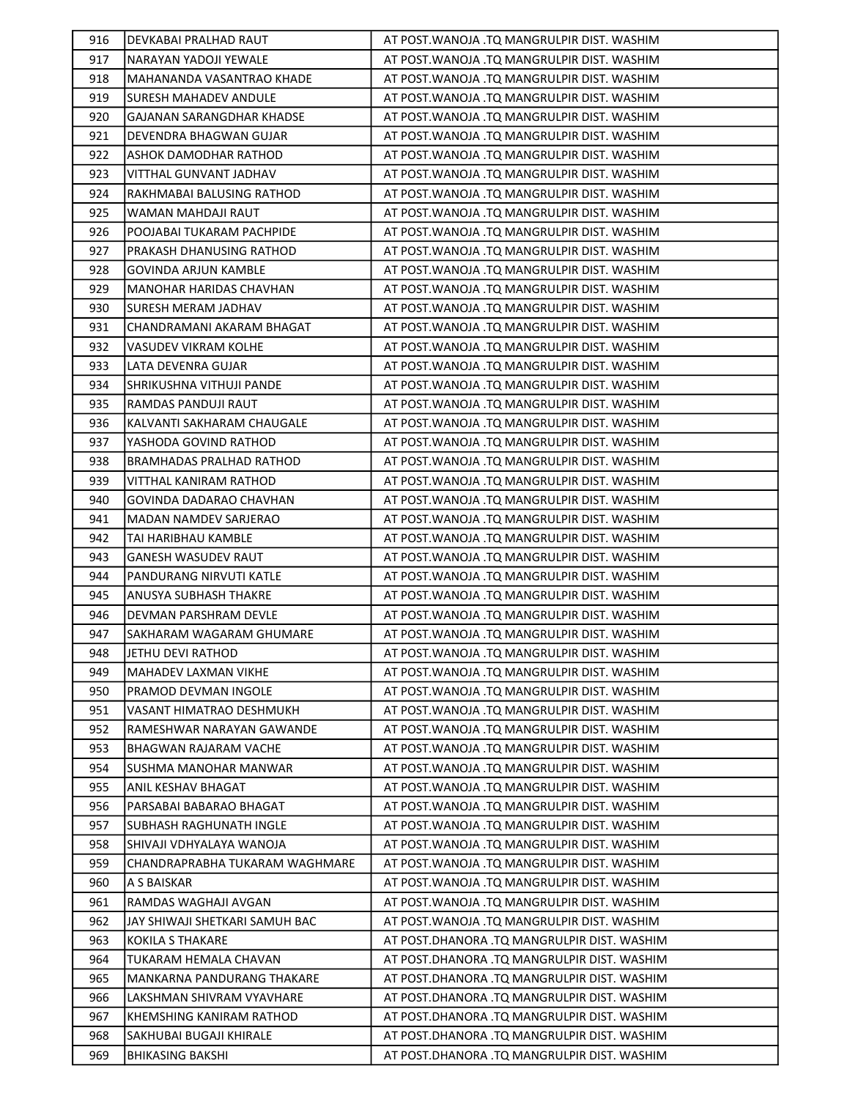| 916 | DEVKABAI PRALHAD RAUT           | AT POST. WANOJA .TQ MANGRULPIR DIST. WASHIM  |
|-----|---------------------------------|----------------------------------------------|
| 917 | NARAYAN YADOJI YEWALE           | AT POST.WANOJA .TQ MANGRULPIR DIST. WASHIM   |
| 918 | MAHANANDA VASANTRAO KHADE       | AT POST. WANOJA .TQ MANGRULPIR DIST. WASHIM  |
| 919 | <b>SURESH MAHADEV ANDULE</b>    | AT POST.WANOJA .TQ MANGRULPIR DIST. WASHIM   |
| 920 | GAJANAN SARANGDHAR KHADSE       | AT POST. WANOJA . TQ MANGRULPIR DIST. WASHIM |
| 921 | DEVENDRA BHAGWAN GUJAR          | AT POST. WANOJA .TQ MANGRULPIR DIST. WASHIM  |
| 922 | ASHOK DAMODHAR RATHOD           | AT POST. WANOJA .TQ MANGRULPIR DIST. WASHIM  |
| 923 | VITTHAL GUNVANT JADHAV          | AT POST.WANOJA .TQ MANGRULPIR DIST. WASHIM   |
| 924 | RAKHMABAI BALUSING RATHOD       | AT POST.WANOJA .TQ MANGRULPIR DIST. WASHIM   |
| 925 | WAMAN MAHDAJI RAUT              | AT POST. WANOJA .TQ MANGRULPIR DIST. WASHIM  |
| 926 | POOJABAI TUKARAM PACHPIDE       | AT POST. WANOJA . TQ MANGRULPIR DIST. WASHIM |
| 927 | PRAKASH DHANUSING RATHOD        | AT POST. WANOJA .TQ MANGRULPIR DIST. WASHIM  |
| 928 | <b>GOVINDA ARJUN KAMBLE</b>     | AT POST. WANOJA . TQ MANGRULPIR DIST. WASHIM |
| 929 | <b>MANOHAR HARIDAS CHAVHAN</b>  | AT POST.WANOJA .TQ MANGRULPIR DIST. WASHIM   |
| 930 | SURESH MERAM JADHAV             | AT POST. WANOJA .TQ MANGRULPIR DIST. WASHIM  |
| 931 | CHANDRAMANI AKARAM BHAGAT       | AT POST. WANOJA .TQ MANGRULPIR DIST. WASHIM  |
| 932 | VASUDEV VIKRAM KOLHE            | AT POST. WANOJA .TQ MANGRULPIR DIST. WASHIM  |
| 933 | LATA DEVENRA GUJAR              | AT POST.WANOJA .TQ MANGRULPIR DIST. WASHIM   |
| 934 | SHRIKUSHNA VITHUJI PANDE        | AT POST. WANOJA .TQ MANGRULPIR DIST. WASHIM  |
| 935 | RAMDAS PANDUJI RAUT             | AT POST. WANOJA .TQ MANGRULPIR DIST. WASHIM  |
| 936 | KALVANTI SAKHARAM CHAUGALE      | AT POST. WANOJA .TQ MANGRULPIR DIST. WASHIM  |
| 937 | YASHODA GOVIND RATHOD           | AT POST. WANOJA .TQ MANGRULPIR DIST. WASHIM  |
| 938 | <b>BRAMHADAS PRALHAD RATHOD</b> | AT POST. WANOJA .TQ MANGRULPIR DIST. WASHIM  |
| 939 | VITTHAL KANIRAM RATHOD          | AT POST.WANOJA .TQ MANGRULPIR DIST. WASHIM   |
| 940 | GOVINDA DADARAO CHAVHAN         | AT POST. WANOJA .TQ MANGRULPIR DIST. WASHIM  |
| 941 | MADAN NAMDEV SARJERAO           | AT POST. WANOJA .TQ MANGRULPIR DIST. WASHIM  |
| 942 | TAI HARIBHAU KAMBLE             | AT POST. WANOJA .TQ MANGRULPIR DIST. WASHIM  |
| 943 | GANESH WASUDEV RAUT             | AT POST. WANOJA . TQ MANGRULPIR DIST. WASHIM |
| 944 | PANDURANG NIRVUTI KATLE         | AT POST. WANOJA .TQ MANGRULPIR DIST. WASHIM  |
| 945 | ANUSYA SUBHASH THAKRE           | AT POST. WANOJA .TQ MANGRULPIR DIST. WASHIM  |
| 946 | DEVMAN PARSHRAM DEVLE           | AT POST. WANOJA .TQ MANGRULPIR DIST. WASHIM  |
| 947 | <b>SAKHARAM WAGARAM GHUMARE</b> | AT POST. WANOJA .TQ MANGRULPIR DIST. WASHIM  |
| 948 | JETHU DEVI RATHOD               | AT POST. WANOJA .TQ MANGRULPIR DIST. WASHIM  |
| 949 | MAHADEV LAXMAN VIKHE            | AT POST.WANOJA .TQ MANGRULPIR DIST. WASHIM   |
| 950 | PRAMOD DEVMAN INGOLE            | AT POST. WANOJA . TO MANGRULPIR DIST. WASHIM |
| 951 | <b>VASANT HIMATRAO DESHMUKH</b> | AT POST. WANOJA .TQ MANGRULPIR DIST. WASHIM  |
| 952 | RAMESHWAR NARAYAN GAWANDE       | AT POST.WANOJA .TQ MANGRULPIR DIST. WASHIM   |
| 953 | <b>BHAGWAN RAJARAM VACHE</b>    | AT POST.WANOJA .TQ MANGRULPIR DIST. WASHIM   |
| 954 | SUSHMA MANOHAR MANWAR           | AT POST.WANOJA .TQ MANGRULPIR DIST. WASHIM   |
| 955 | ANIL KESHAV BHAGAT              | AT POST. WANOJA .TQ MANGRULPIR DIST. WASHIM  |
| 956 | PARSABAI BABARAO BHAGAT         | AT POST. WANOJA . TQ MANGRULPIR DIST. WASHIM |
| 957 | <b>SUBHASH RAGHUNATH INGLE</b>  | AT POST. WANOJA .TQ MANGRULPIR DIST. WASHIM  |
| 958 | SHIVAJI VDHYALAYA WANOJA        | AT POST. WANOJA .TQ MANGRULPIR DIST. WASHIM  |
| 959 | CHANDRAPRABHA TUKARAM WAGHMARE  | AT POST. WANOJA .TQ MANGRULPIR DIST. WASHIM  |
| 960 | A S BAISKAR                     | AT POST.WANOJA .TQ MANGRULPIR DIST. WASHIM   |
| 961 | RAMDAS WAGHAJI AVGAN            | AT POST. WANOJA .TQ MANGRULPIR DIST. WASHIM  |
| 962 | JAY SHIWAJI SHETKARI SAMUH BAC  | AT POST. WANOJA .TQ MANGRULPIR DIST. WASHIM  |
| 963 | <b>KOKILA S THAKARE</b>         | AT POST.DHANORA .TQ MANGRULPIR DIST. WASHIM  |
| 964 | TUKARAM HEMALA CHAVAN           | AT POST.DHANORA .TQ MANGRULPIR DIST. WASHIM  |
| 965 | MANKARNA PANDURANG THAKARE      | AT POST.DHANORA .TQ MANGRULPIR DIST. WASHIM  |
| 966 | LAKSHMAN SHIVRAM VYAVHARE       | AT POST.DHANORA .TQ MANGRULPIR DIST. WASHIM  |
| 967 | KHEMSHING KANIRAM RATHOD        | AT POST.DHANORA .TQ MANGRULPIR DIST. WASHIM  |
| 968 | SAKHUBAI BUGAJI KHIRALE         | AT POST.DHANORA .TQ MANGRULPIR DIST. WASHIM  |
| 969 | <b>BHIKASING BAKSHI</b>         | AT POST.DHANORA .TQ MANGRULPIR DIST. WASHIM  |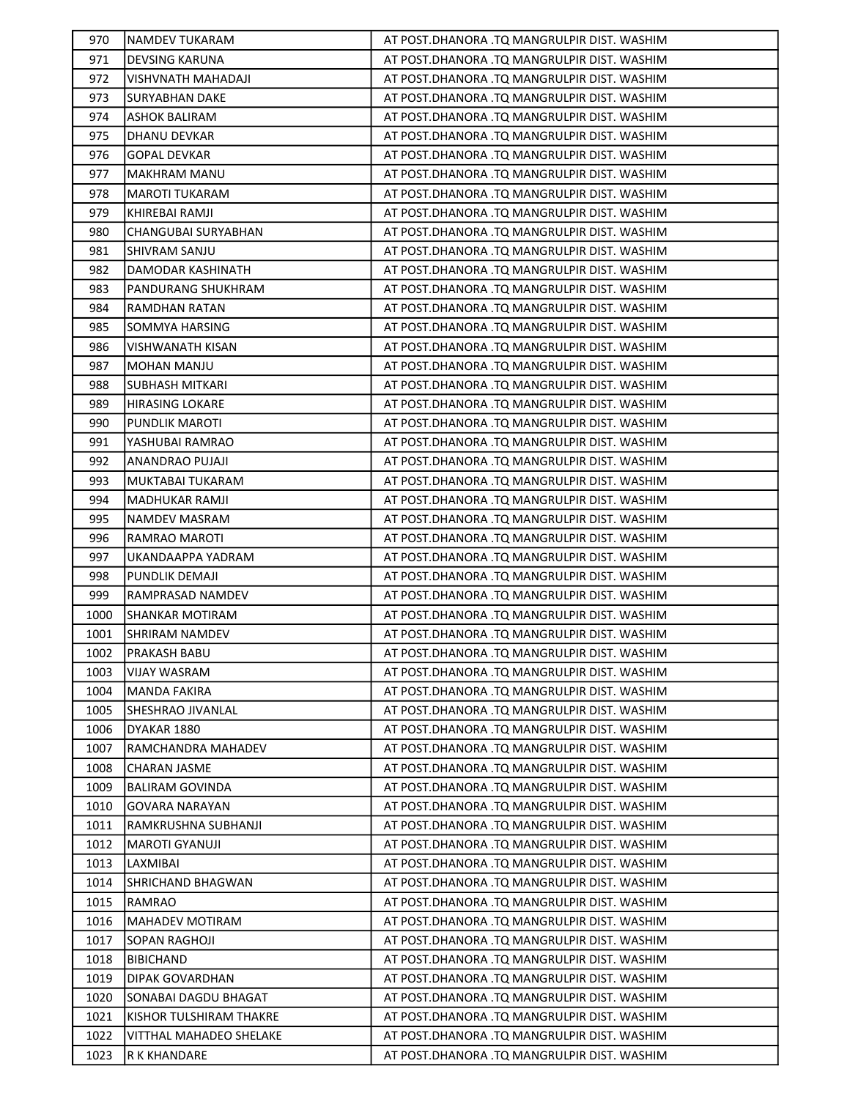| 970          | NAMDEV TUKARAM                          | AT POST.DHANORA .TQ MANGRULPIR DIST. WASHIM                                                |
|--------------|-----------------------------------------|--------------------------------------------------------------------------------------------|
| 971          | DEVSING KARUNA                          | AT POST.DHANORA .TQ MANGRULPIR DIST. WASHIM                                                |
| 972          | VISHVNATH MAHADAJI                      | AT POST.DHANORA .TQ MANGRULPIR DIST. WASHIM                                                |
| 973          | SURYABHAN DAKE                          | AT POST.DHANORA .TQ MANGRULPIR DIST. WASHIM                                                |
| 974          | <b>ASHOK BALIRAM</b>                    | AT POST. DHANORA .TQ MANGRULPIR DIST. WASHIM                                               |
| 975          | <b>DHANU DEVKAR</b>                     | AT POST.DHANORA .TQ MANGRULPIR DIST. WASHIM                                                |
| 976          | <b>GOPAL DEVKAR</b>                     | AT POST.DHANORA .TQ MANGRULPIR DIST. WASHIM                                                |
| 977          | <b>MAKHRAM MANU</b>                     | AT POST.DHANORA .TQ MANGRULPIR DIST. WASHIM                                                |
| 978          | <b>MAROTI TUKARAM</b>                   | AT POST.DHANORA .TQ MANGRULPIR DIST. WASHIM                                                |
| 979          | KHIREBAI RAMJI                          | AT POST.DHANORA .TQ MANGRULPIR DIST. WASHIM                                                |
| 980          | CHANGUBAI SURYABHAN                     | AT POST.DHANORA .TQ MANGRULPIR DIST. WASHIM                                                |
| 981          | SHIVRAM SANJU                           | AT POST.DHANORA .TQ MANGRULPIR DIST. WASHIM                                                |
| 982          | DAMODAR KASHINATH                       | AT POST.DHANORA .TQ MANGRULPIR DIST. WASHIM                                                |
| 983          | PANDURANG SHUKHRAM                      | AT POST.DHANORA .TQ MANGRULPIR DIST. WASHIM                                                |
| 984          | RAMDHAN RATAN                           | AT POST.DHANORA .TQ MANGRULPIR DIST. WASHIM                                                |
| 985          | SOMMYA HARSING                          | AT POST.DHANORA .TQ MANGRULPIR DIST. WASHIM                                                |
| 986          | VISHWANATH KISAN                        | AT POST.DHANORA .TQ MANGRULPIR DIST. WASHIM                                                |
| 987          | MOHAN MANJU                             | AT POST.DHANORA .TQ MANGRULPIR DIST. WASHIM                                                |
| 988          | <b>SUBHASH MITKARI</b>                  | AT POST.DHANORA .TQ MANGRULPIR DIST. WASHIM                                                |
| 989          | <b>HIRASING LOKARE</b>                  | AT POST.DHANORA .TQ MANGRULPIR DIST. WASHIM                                                |
| 990          | PUNDLIK MAROTI                          | AT POST.DHANORA .TQ MANGRULPIR DIST. WASHIM                                                |
| 991          | YASHUBAI RAMRAO                         | AT POST.DHANORA .TQ MANGRULPIR DIST. WASHIM                                                |
| 992          | <b>ANANDRAO PUJAJI</b>                  | AT POST.DHANORA .TQ MANGRULPIR DIST. WASHIM                                                |
| 993          | MUKTABAI TUKARAM                        | AT POST.DHANORA .TQ MANGRULPIR DIST. WASHIM                                                |
| 994          | MADHUKAR RAMJI                          | AT POST.DHANORA .TQ MANGRULPIR DIST. WASHIM                                                |
| 995          | <b>NAMDEV MASRAM</b>                    | AT POST.DHANORA .TQ MANGRULPIR DIST. WASHIM                                                |
| 996          | RAMRAO MAROTI                           | AT POST.DHANORA .TQ MANGRULPIR DIST. WASHIM                                                |
| 997          | UKANDAAPPA YADRAM                       | AT POST.DHANORA .TQ MANGRULPIR DIST. WASHIM                                                |
| 998          | PUNDLIK DEMAJI                          | AT POST.DHANORA .TQ MANGRULPIR DIST. WASHIM                                                |
| 999          | RAMPRASAD NAMDEV                        | AT POST. DHANORA .TQ MANGRULPIR DIST. WASHIM                                               |
| 1000         | SHANKAR MOTIRAM                         | AT POST.DHANORA .TQ MANGRULPIR DIST. WASHIM                                                |
| 1001         | <b>SHRIRAM NAMDEV</b>                   | AT POST.DHANORA .TQ MANGRULPIR DIST. WASHIM                                                |
| 1002         | <b>PRAKASH BABU</b>                     | AT POST.DHANORA .TQ MANGRULPIR DIST. WASHIM                                                |
| 1003         | <b>VIJAY WASRAM</b>                     | AT POST.DHANORA .TQ MANGRULPIR DIST. WASHIM                                                |
| 1004         | <b>MANDA FAKIRA</b>                     | AT POST.DHANORA .TQ MANGRULPIR DIST. WASHIM                                                |
| 1005         |                                         |                                                                                            |
| 1006         | SHESHRAO JIVANLAL                       | AT POST.DHANORA .TQ MANGRULPIR DIST. WASHIM                                                |
|              | DYAKAR 1880                             | AT POST.DHANORA .TQ MANGRULPIR DIST. WASHIM                                                |
| 1007         | RAMCHANDRA MAHADEV                      | AT POST.DHANORA .TQ MANGRULPIR DIST. WASHIM                                                |
| 1008         | <b>CHARAN JASME</b>                     | AT POST.DHANORA .TQ MANGRULPIR DIST. WASHIM                                                |
| 1009         | <b>BALIRAM GOVINDA</b>                  | AT POST.DHANORA .TQ MANGRULPIR DIST. WASHIM                                                |
| 1010         | <b>GOVARA NARAYAN</b>                   | AT POST.DHANORA .TQ MANGRULPIR DIST. WASHIM                                                |
| 1011         | RAMKRUSHNA SUBHANJI                     | AT POST.DHANORA .TQ MANGRULPIR DIST. WASHIM                                                |
| 1012         | MAROTI GYANUJI                          | AT POST.DHANORA .TQ MANGRULPIR DIST. WASHIM                                                |
| 1013         | LAXMIBAI                                | AT POST.DHANORA .TQ MANGRULPIR DIST. WASHIM                                                |
| 1014         | <b>SHRICHAND BHAGWAN</b>                | AT POST.DHANORA .TQ MANGRULPIR DIST. WASHIM                                                |
| 1015         | RAMRAO                                  | AT POST. DHANORA .TQ MANGRULPIR DIST. WASHIM                                               |
| 1016         | <b>MAHADEV MOTIRAM</b>                  | AT POST.DHANORA .TQ MANGRULPIR DIST. WASHIM                                                |
| 1017         | SOPAN RAGHOJI                           | AT POST.DHANORA .TQ MANGRULPIR DIST. WASHIM                                                |
| 1018         | <b>BIBICHAND</b>                        | AT POST.DHANORA .TQ MANGRULPIR DIST. WASHIM                                                |
| 1019         | DIPAK GOVARDHAN                         | AT POST.DHANORA .TQ MANGRULPIR DIST. WASHIM                                                |
| 1020         | SONABAI DAGDU BHAGAT                    | AT POST.DHANORA .TQ MANGRULPIR DIST. WASHIM                                                |
| 1021         | KISHOR TULSHIRAM THAKRE                 | AT POST.DHANORA .TQ MANGRULPIR DIST. WASHIM                                                |
| 1022<br>1023 | VITTHAL MAHADEO SHELAKE<br>R K KHANDARE | AT POST.DHANORA .TQ MANGRULPIR DIST. WASHIM<br>AT POST.DHANORA .TQ MANGRULPIR DIST. WASHIM |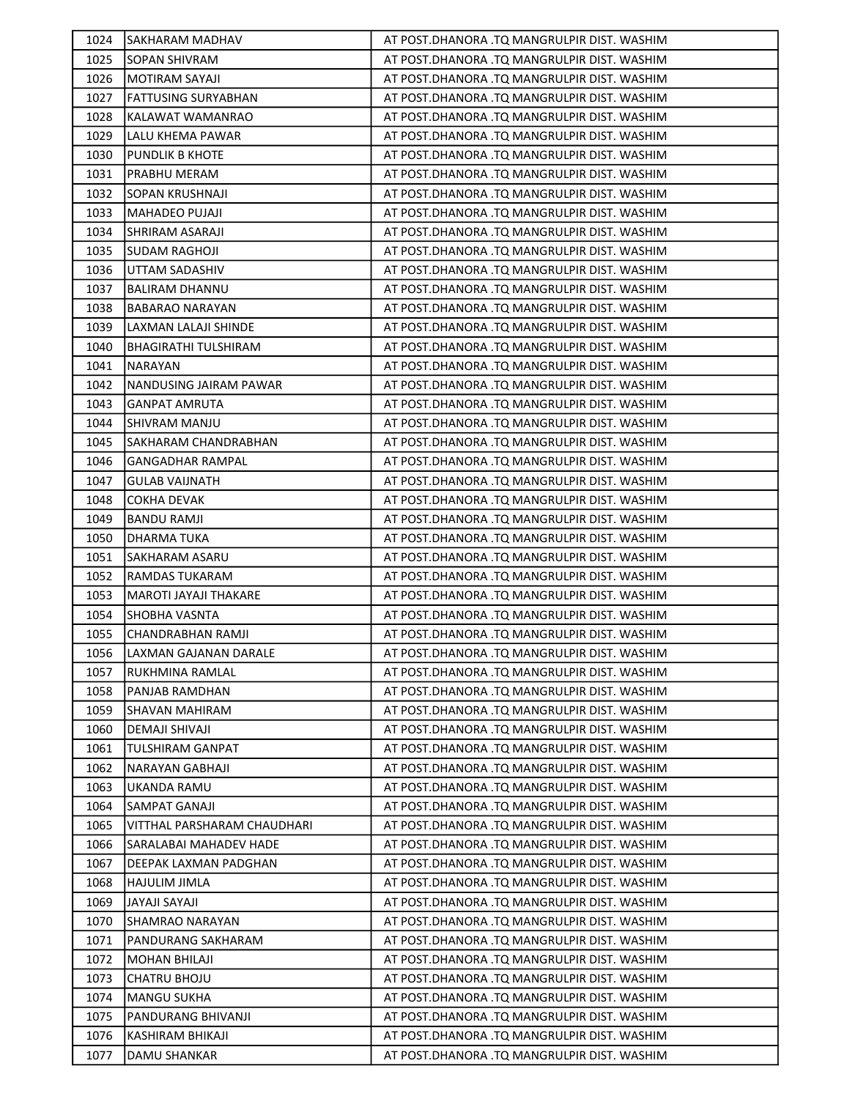| 1024 | SAKHARAM MADHAV             | AT POST.DHANORA .TQ MANGRULPIR DIST. WASHIM  |
|------|-----------------------------|----------------------------------------------|
| 1025 | <b>SOPAN SHIVRAM</b>        | AT POST.DHANORA .TQ MANGRULPIR DIST. WASHIM  |
| 1026 | <b>MOTIRAM SAYAJI</b>       | AT POST.DHANORA .TQ MANGRULPIR DIST. WASHIM  |
| 1027 | <b>FATTUSING SURYABHAN</b>  | AT POST.DHANORA .TQ MANGRULPIR DIST. WASHIM  |
| 1028 | KALAWAT WAMANRAO            | AT POST.DHANORA .TQ MANGRULPIR DIST. WASHIM  |
| 1029 | LALU KHEMA PAWAR            | AT POST.DHANORA .TQ MANGRULPIR DIST. WASHIM  |
| 1030 | <b>PUNDLIK B KHOTE</b>      | AT POST.DHANORA .TQ MANGRULPIR DIST. WASHIM  |
| 1031 | PRABHU MERAM                | AT POST.DHANORA .TQ MANGRULPIR DIST. WASHIM  |
| 1032 | <b>SOPAN KRUSHNAJI</b>      | AT POST.DHANORA .TQ MANGRULPIR DIST. WASHIM  |
| 1033 | MAHADEO PUJAJI              | AT POST.DHANORA .TQ MANGRULPIR DIST. WASHIM  |
| 1034 | SHRIRAM ASARAJI             | AT POST.DHANORA .TQ MANGRULPIR DIST. WASHIM  |
| 1035 | <b>SUDAM RAGHOJI</b>        | AT POST.DHANORA .TQ MANGRULPIR DIST. WASHIM  |
| 1036 | UTTAM SADASHIV              | AT POST.DHANORA .TQ MANGRULPIR DIST. WASHIM  |
| 1037 | BALIRAM DHANNU              | AT POST.DHANORA .TQ MANGRULPIR DIST. WASHIM  |
| 1038 | <b>BABARAO NARAYAN</b>      | AT POST.DHANORA .TQ MANGRULPIR DIST. WASHIM  |
| 1039 | LAXMAN LALAJI SHINDE        | AT POST.DHANORA .TQ MANGRULPIR DIST. WASHIM  |
| 1040 | <b>BHAGIRATHI TULSHIRAM</b> | AT POST.DHANORA .TQ MANGRULPIR DIST. WASHIM  |
| 1041 | <b>NARAYAN</b>              | AT POST.DHANORA .TQ MANGRULPIR DIST. WASHIM  |
| 1042 | NANDUSING JAIRAM PAWAR      | AT POST.DHANORA .TQ MANGRULPIR DIST. WASHIM  |
| 1043 | GANPAT AMRUTA               | AT POST.DHANORA .TQ MANGRULPIR DIST. WASHIM  |
| 1044 | SHIVRAM MANJU               | AT POST.DHANORA .TQ MANGRULPIR DIST. WASHIM  |
| 1045 | SAKHARAM CHANDRABHAN        | AT POST.DHANORA .TQ MANGRULPIR DIST. WASHIM  |
| 1046 | GANGADHAR RAMPAL            | AT POST.DHANORA .TQ MANGRULPIR DIST. WASHIM  |
| 1047 | <b>GULAB VAIJNATH</b>       | AT POST.DHANORA .TQ MANGRULPIR DIST. WASHIM  |
| 1048 | <b>COKHA DEVAK</b>          | AT POST.DHANORA .TQ MANGRULPIR DIST. WASHIM  |
| 1049 | BANDU RAMJI                 | AT POST. DHANORA .TQ MANGRULPIR DIST. WASHIM |
| 1050 | DHARMA TUKA                 | AT POST.DHANORA .TQ MANGRULPIR DIST. WASHIM  |
| 1051 | SAKHARAM ASARU              | AT POST.DHANORA .TQ MANGRULPIR DIST. WASHIM  |
| 1052 | RAMDAS TUKARAM              | AT POST.DHANORA .TQ MANGRULPIR DIST. WASHIM  |
| 1053 | MAROTI JAYAJI THAKARE       | AT POST.DHANORA .TQ MANGRULPIR DIST. WASHIM  |
| 1054 | SHOBHA VASNTA               | AT POST.DHANORA .TQ MANGRULPIR DIST. WASHIM  |
| 1055 | <b>CHANDRABHAN RAMJI</b>    | AT POST.DHANORA .TQ MANGRULPIR DIST. WASHIM  |
| 1056 | LAXMAN GAJANAN DARALE       | AT POST.DHANORA .TQ MANGRULPIR DIST. WASHIM  |
| 1057 | RUKHMINA RAMLAL             | AT POST.DHANORA .TQ MANGRULPIR DIST. WASHIM  |
| 1058 | PANJAB RAMDHAN              | AT POST.DHANORA .TQ MANGRULPIR DIST. WASHIM  |
| 1059 | SHAVAN MAHIRAM              | AT POST.DHANORA .TQ MANGRULPIR DIST. WASHIM  |
| 1060 | <b>DEMAJI SHIVAJI</b>       | AT POST.DHANORA .TQ MANGRULPIR DIST. WASHIM  |
| 1061 | <b>TULSHIRAM GANPAT</b>     | AT POST.DHANORA .TQ MANGRULPIR DIST. WASHIM  |
| 1062 | NARAYAN GABHAJI             | AT POST.DHANORA .TQ MANGRULPIR DIST. WASHIM  |
| 1063 | UKANDA RAMU                 | AT POST.DHANORA .TQ MANGRULPIR DIST. WASHIM  |
| 1064 | SAMPAT GANAJI               | AT POST.DHANORA .TQ MANGRULPIR DIST. WASHIM  |
| 1065 | VITTHAL PARSHARAM CHAUDHARI | AT POST.DHANORA .TQ MANGRULPIR DIST. WASHIM  |
| 1066 | SARALABAI MAHADEV HADE      | AT POST.DHANORA .TQ MANGRULPIR DIST. WASHIM  |
| 1067 | DEEPAK LAXMAN PADGHAN       | AT POST.DHANORA .TQ MANGRULPIR DIST. WASHIM  |
| 1068 | HAJULIM JIMLA               | AT POST.DHANORA .TQ MANGRULPIR DIST. WASHIM  |
| 1069 | JAYAJI SAYAJI               | AT POST.DHANORA .TQ MANGRULPIR DIST. WASHIM  |
| 1070 | SHAMRAO NARAYAN             | AT POST.DHANORA .TQ MANGRULPIR DIST. WASHIM  |
| 1071 | PANDURANG SAKHARAM          | AT POST.DHANORA .TQ MANGRULPIR DIST. WASHIM  |
| 1072 | MOHAN BHILAJI               | AT POST.DHANORA .TQ MANGRULPIR DIST. WASHIM  |
| 1073 | <b>CHATRU BHOJU</b>         | AT POST.DHANORA .TQ MANGRULPIR DIST. WASHIM  |
| 1074 | MANGU SUKHA                 | AT POST.DHANORA .TQ MANGRULPIR DIST. WASHIM  |
| 1075 | PANDURANG BHIVANJI          | AT POST. DHANORA .TQ MANGRULPIR DIST. WASHIM |
| 1076 | KASHIRAM BHIKAJI            | AT POST.DHANORA .TQ MANGRULPIR DIST. WASHIM  |
| 1077 | DAMU SHANKAR                | AT POST.DHANORA .TQ MANGRULPIR DIST. WASHIM  |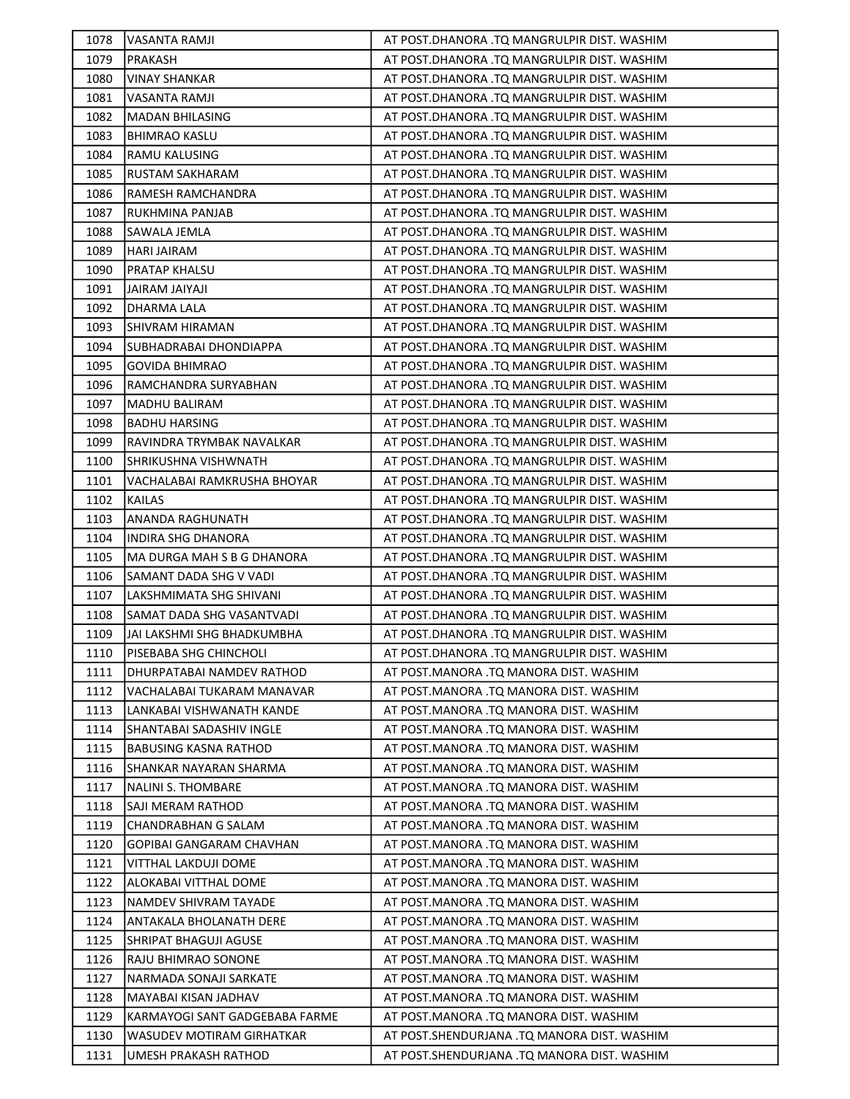| 1078 | <b>VASANTA RAMJI</b>           | AT POST.DHANORA .TQ MANGRULPIR DIST. WASHIM |
|------|--------------------------------|---------------------------------------------|
| 1079 | PRAKASH                        | AT POST.DHANORA .TQ MANGRULPIR DIST. WASHIM |
| 1080 | <b>VINAY SHANKAR</b>           | AT POST.DHANORA .TQ MANGRULPIR DIST. WASHIM |
| 1081 | VASANTA RAMJI                  | AT POST.DHANORA .TQ MANGRULPIR DIST. WASHIM |
| 1082 | <b>MADAN BHILASING</b>         | AT POST.DHANORA .TQ MANGRULPIR DIST. WASHIM |
| 1083 | <b>BHIMRAO KASLU</b>           | AT POST.DHANORA .TQ MANGRULPIR DIST. WASHIM |
| 1084 | RAMU KALUSING                  | AT POST.DHANORA .TQ MANGRULPIR DIST. WASHIM |
| 1085 | <b>RUSTAM SAKHARAM</b>         | AT POST.DHANORA .TQ MANGRULPIR DIST. WASHIM |
| 1086 | RAMESH RAMCHANDRA              | AT POST.DHANORA .TQ MANGRULPIR DIST. WASHIM |
| 1087 | RUKHMINA PANJAB                | AT POST.DHANORA .TQ MANGRULPIR DIST. WASHIM |
| 1088 | SAWALA JEMLA                   | AT POST.DHANORA .TQ MANGRULPIR DIST. WASHIM |
| 1089 | HARI JAIRAM                    | AT POST.DHANORA .TQ MANGRULPIR DIST. WASHIM |
| 1090 | PRATAP KHALSU                  | AT POST.DHANORA .TQ MANGRULPIR DIST. WASHIM |
| 1091 | JAIRAM JAIYAJI                 | AT POST.DHANORA .TQ MANGRULPIR DIST. WASHIM |
| 1092 | DHARMA LALA                    | AT POST.DHANORA .TQ MANGRULPIR DIST. WASHIM |
| 1093 | <b>SHIVRAM HIRAMAN</b>         | AT POST.DHANORA .TQ MANGRULPIR DIST. WASHIM |
| 1094 | SUBHADRABAI DHONDIAPPA         | AT POST.DHANORA .TQ MANGRULPIR DIST. WASHIM |
| 1095 | <b>GOVIDA BHIMRAO</b>          | AT POST.DHANORA .TQ MANGRULPIR DIST. WASHIM |
| 1096 | RAMCHANDRA SURYABHAN           | AT POST.DHANORA .TQ MANGRULPIR DIST. WASHIM |
| 1097 | <b>MADHU BALIRAM</b>           | AT POST.DHANORA .TQ MANGRULPIR DIST. WASHIM |
| 1098 | <b>BADHU HARSING</b>           | AT POST.DHANORA .TQ MANGRULPIR DIST. WASHIM |
| 1099 | RAVINDRA TRYMBAK NAVALKAR      | AT POST.DHANORA .TQ MANGRULPIR DIST. WASHIM |
| 1100 | SHRIKUSHNA VISHWNATH           | AT POST.DHANORA .TQ MANGRULPIR DIST. WASHIM |
| 1101 | VACHALABAI RAMKRUSHA BHOYAR    | AT POST.DHANORA .TQ MANGRULPIR DIST. WASHIM |
| 1102 | <b>KAILAS</b>                  | AT POST.DHANORA .TQ MANGRULPIR DIST. WASHIM |
| 1103 | ANANDA RAGHUNATH               | AT POST.DHANORA .TQ MANGRULPIR DIST. WASHIM |
| 1104 | INDIRA SHG DHANORA             | AT POST.DHANORA .TQ MANGRULPIR DIST. WASHIM |
| 1105 | MA DURGA MAH S B G DHANORA     | AT POST.DHANORA .TQ MANGRULPIR DIST. WASHIM |
| 1106 | SAMANT DADA SHG V VADI         | AT POST.DHANORA .TQ MANGRULPIR DIST. WASHIM |
| 1107 | LAKSHMIMATA SHG SHIVANI        | AT POST.DHANORA .TQ MANGRULPIR DIST. WASHIM |
| 1108 | SAMAT DADA SHG VASANTVADI      | AT POST.DHANORA .TQ MANGRULPIR DIST. WASHIM |
| 1109 | JAI LAKSHMI SHG BHADKUMBHA     | AT POST.DHANORA .TQ MANGRULPIR DIST. WASHIM |
| 1110 | PISEBABA SHG CHINCHOLI         | AT POST.DHANORA .TQ MANGRULPIR DIST. WASHIM |
| 1111 | DHURPATABAI NAMDEV RATHOD      | AT POST.MANORA .TQ MANORA DIST. WASHIM      |
| 1112 | VACHALABAI TUKARAM MANAVAR     | AT POST.MANORA .TQ MANORA DIST. WASHIM      |
| 1113 | LANKABAI VISHWANATH KANDE      | AT POST.MANORA .TQ MANORA DIST. WASHIM      |
| 1114 | SHANTABAI SADASHIV INGLE       | AT POST.MANORA .TQ MANORA DIST. WASHIM      |
| 1115 | BABUSING KASNA RATHOD          | AT POST.MANORA .TQ MANORA DIST. WASHIM      |
| 1116 | SHANKAR NAYARAN SHARMA         | AT POST.MANORA .TQ MANORA DIST. WASHIM      |
| 1117 | <b>NALINI S. THOMBARE</b>      | AT POST.MANORA .TQ MANORA DIST. WASHIM      |
| 1118 | SAJI MERAM RATHOD              | AT POST.MANORA .TQ MANORA DIST. WASHIM      |
| 1119 | <b>CHANDRABHAN G SALAM</b>     | AT POST.MANORA .TQ MANORA DIST. WASHIM      |
| 1120 | GOPIBAI GANGARAM CHAVHAN       | AT POST.MANORA .TQ MANORA DIST. WASHIM      |
| 1121 | VITTHAL LAKDUJI DOME           | AT POST.MANORA .TQ MANORA DIST. WASHIM      |
| 1122 | ALOKABAI VITTHAL DOME          | AT POST.MANORA .TQ MANORA DIST. WASHIM      |
| 1123 | NAMDEV SHIVRAM TAYADE          | AT POST.MANORA .TQ MANORA DIST. WASHIM      |
| 1124 | ANTAKALA BHOLANATH DERE        | AT POST.MANORA .TQ MANORA DIST. WASHIM      |
| 1125 | <b>SHRIPAT BHAGUJI AGUSE</b>   | AT POST.MANORA .TQ MANORA DIST. WASHIM      |
| 1126 | RAJU BHIMRAO SONONE            | AT POST.MANORA .TQ MANORA DIST. WASHIM      |
| 1127 | NARMADA SONAJI SARKATE         | AT POST.MANORA .TQ MANORA DIST. WASHIM      |
| 1128 | MAYABAI KISAN JADHAV           | AT POST.MANORA .TQ MANORA DIST. WASHIM      |
| 1129 | KARMAYOGI SANT GADGEBABA FARME | AT POST.MANORA .TQ MANORA DIST. WASHIM      |
| 1130 | WASUDEV MOTIRAM GIRHATKAR      | AT POST.SHENDURJANA .TQ MANORA DIST. WASHIM |
| 1131 | UMESH PRAKASH RATHOD           | AT POST.SHENDURJANA .TQ MANORA DIST. WASHIM |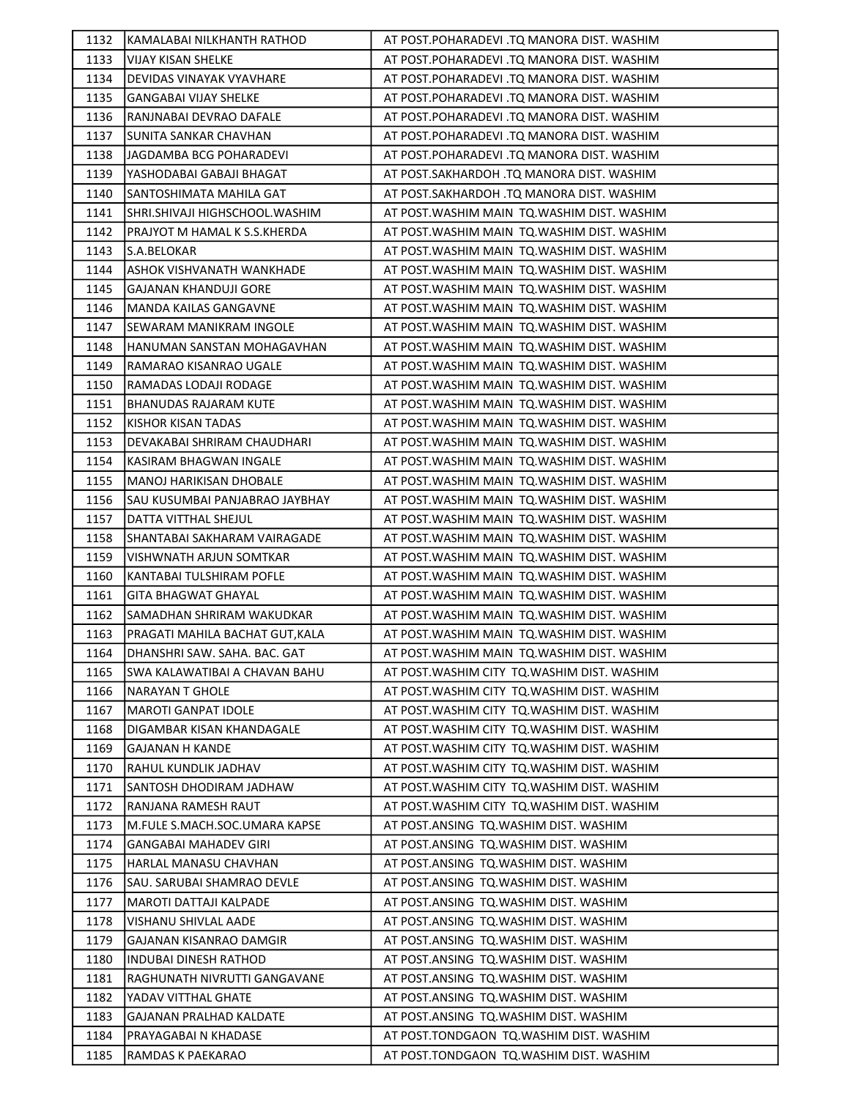| 1132         | KAMALABAI NILKHANTH RATHOD                | AT POST.POHARADEVI .TQ MANORA DIST. WASHIM                                         |
|--------------|-------------------------------------------|------------------------------------------------------------------------------------|
| 1133         | VIJAY KISAN SHELKE                        | AT POST.POHARADEVI .TQ MANORA DIST. WASHIM                                         |
| 1134         | DEVIDAS VINAYAK VYAVHARE                  | AT POST.POHARADEVI .TQ MANORA DIST. WASHIM                                         |
| 1135         | <b>GANGABAI VIJAY SHELKE</b>              | AT POST.POHARADEVI .TQ MANORA DIST. WASHIM                                         |
| 1136         | RANJNABAI DEVRAO DAFALE                   | AT POST.POHARADEVI .TQ MANORA DIST. WASHIM                                         |
| 1137         | <b>SUNITA SANKAR CHAVHAN</b>              | AT POST.POHARADEVI .TQ MANORA DIST. WASHIM                                         |
| 1138         | JAGDAMBA BCG POHARADEVI                   | AT POST.POHARADEVI .TQ MANORA DIST. WASHIM                                         |
| 1139         | YASHODABAI GABAJI BHAGAT                  | AT POST.SAKHARDOH .TQ MANORA DIST. WASHIM                                          |
| 1140         | SANTOSHIMATA MAHILA GAT                   | AT POST.SAKHARDOH .TQ MANORA DIST. WASHIM                                          |
| 1141         | SHRI.SHIVAJI HIGHSCHOOL.WASHIM            | AT POST. WASHIM MAIN TO. WASHIM DIST. WASHIM                                       |
| 1142         | PRAJYOT M HAMAL K S.S.KHERDA              | AT POST. WASHIM MAIN TO. WASHIM DIST. WASHIM                                       |
| 1143         | S.A.BELOKAR                               | AT POST. WASHIM MAIN TO. WASHIM DIST. WASHIM                                       |
| 1144         | ASHOK VISHVANATH WANKHADE                 | AT POST. WASHIM MAIN TO. WASHIM DIST. WASHIM                                       |
| 1145         | GAJANAN KHANDUJI GORE                     | AT POST. WASHIM MAIN TQ. WASHIM DIST. WASHIM                                       |
| 1146         | <b>MANDA KAILAS GANGAVNE</b>              | AT POST. WASHIM MAIN TO. WASHIM DIST. WASHIM                                       |
| 1147         | SEWARAM MANIKRAM INGOLE                   | AT POST. WASHIM MAIN TO. WASHIM DIST. WASHIM                                       |
| 1148         | HANUMAN SANSTAN MOHAGAVHAN                | AT POST. WASHIM MAIN TO. WASHIM DIST. WASHIM                                       |
| 1149         | RAMARAO KISANRAO UGALE                    | AT POST. WASHIM MAIN TO. WASHIM DIST. WASHIM                                       |
| 1150         | RAMADAS LODAJI RODAGE                     | AT POST. WASHIM MAIN TQ. WASHIM DIST. WASHIM                                       |
| 1151         | <b>BHANUDAS RAJARAM KUTE</b>              | AT POST. WASHIM MAIN TO. WASHIM DIST. WASHIM                                       |
| 1152         | KISHOR KISAN TADAS                        | AT POST. WASHIM MAIN TO. WASHIM DIST. WASHIM                                       |
| 1153         | DEVAKABAI SHRIRAM CHAUDHARI               | AT POST. WASHIM MAIN TO. WASHIM DIST. WASHIM                                       |
| 1154         | KASIRAM BHAGWAN INGALE                    | AT POST. WASHIM MAIN TO. WASHIM DIST. WASHIM                                       |
| 1155         | <b>MANOJ HARIKISAN DHOBALE</b>            | AT POST. WASHIM MAIN TQ. WASHIM DIST. WASHIM                                       |
| 1156         | SAU KUSUMBAI PANJABRAO JAYBHAY            | AT POST. WASHIM MAIN TO. WASHIM DIST. WASHIM                                       |
| 1157         | DATTA VITTHAL SHEJUL                      | AT POST. WASHIM MAIN TO. WASHIM DIST. WASHIM                                       |
| 1158         | SHANTABAI SAKHARAM VAIRAGADE              | AT POST. WASHIM MAIN TO. WASHIM DIST. WASHIM                                       |
|              |                                           |                                                                                    |
| 1159         | VISHWNATH ARJUN SOMTKAR                   | AT POST. WASHIM MAIN TO. WASHIM DIST. WASHIM                                       |
| 1160         | KANTABAI TULSHIRAM POFLE                  | AT POST. WASHIM MAIN TQ. WASHIM DIST. WASHIM                                       |
| 1161         | <b>GITA BHAGWAT GHAYAL</b>                | AT POST. WASHIM MAIN TO. WASHIM DIST. WASHIM                                       |
| 1162         | SAMADHAN SHRIRAM WAKUDKAR                 | AT POST. WASHIM MAIN TO. WASHIM DIST. WASHIM                                       |
| 1163         | PRAGATI MAHILA BACHAT GUT, KALA           | AT POST. WASHIM MAIN TQ. WASHIM DIST. WASHIM                                       |
| 1164         | DHANSHRI SAW. SAHA. BAC. GAT              | AT POST. WASHIM MAIN TQ. WASHIM DIST. WASHIM                                       |
| 1165         | SWA KALAWATIBAI A CHAVAN BAHU             | AT POST. WASHIM CITY TO. WASHIM DIST. WASHIM                                       |
| 1166         | <b>NARAYAN T GHOLE</b>                    | AT POST. WASHIM CITY TO. WASHIM DIST. WASHIM                                       |
| 1167         | <b>MAROTI GANPAT IDOLE</b>                | AT POST.WASHIM CITY TQ.WASHIM DIST. WASHIM                                         |
| 1168         | DIGAMBAR KISAN KHANDAGALE                 | AT POST. WASHIM CITY TO. WASHIM DIST. WASHIM                                       |
| 1169         | <b>GAJANAN H KANDE</b>                    | AT POST. WASHIM CITY TO. WASHIM DIST. WASHIM                                       |
| 1170         | RAHUL KUNDLIK JADHAV                      | AT POST. WASHIM CITY TO. WASHIM DIST. WASHIM                                       |
| 1171         | SANTOSH DHODIRAM JADHAW                   | AT POST. WASHIM CITY TO. WASHIM DIST. WASHIM                                       |
| 1172         | RANJANA RAMESH RAUT                       | AT POST. WASHIM CITY TO. WASHIM DIST. WASHIM                                       |
| 1173         | M.FULE S.MACH.SOC.UMARA KAPSE             | AT POST.ANSING TQ.WASHIM DIST. WASHIM                                              |
| 1174         | <b>GANGABAI MAHADEV GIRI</b>              | AT POST.ANSING TQ.WASHIM DIST. WASHIM                                              |
| 1175         | HARLAL MANASU CHAVHAN                     | AT POST.ANSING TQ.WASHIM DIST. WASHIM                                              |
| 1176         | SAU. SARUBAI SHAMRAO DEVLE                | AT POST.ANSING TQ.WASHIM DIST. WASHIM                                              |
| 1177         | <b>MAROTI DATTAJI KALPADE</b>             | AT POST. ANSING TO. WASHIM DIST. WASHIM                                            |
| 1178         | VISHANU SHIVLAL AADE                      | AT POST.ANSING TQ.WASHIM DIST. WASHIM                                              |
| 1179         | GAJANAN KISANRAO DAMGIR                   | AT POST. ANSING TO. WASHIM DIST. WASHIM                                            |
| 1180         | <b>INDUBAI DINESH RATHOD</b>              | AT POST.ANSING TQ.WASHIM DIST. WASHIM                                              |
| 1181         | RAGHUNATH NIVRUTTI GANGAVANE              | AT POST.ANSING TQ.WASHIM DIST. WASHIM                                              |
| 1182         | YADAV VITTHAL GHATE                       | AT POST.ANSING TQ.WASHIM DIST. WASHIM                                              |
| 1183         | GAJANAN PRALHAD KALDATE                   | AT POST.ANSING TQ.WASHIM DIST. WASHIM                                              |
| 1184<br>1185 | PRAYAGABAI N KHADASE<br>RAMDAS K PAEKARAO | AT POST.TONDGAON TQ.WASHIM DIST. WASHIM<br>AT POST.TONDGAON TQ.WASHIM DIST. WASHIM |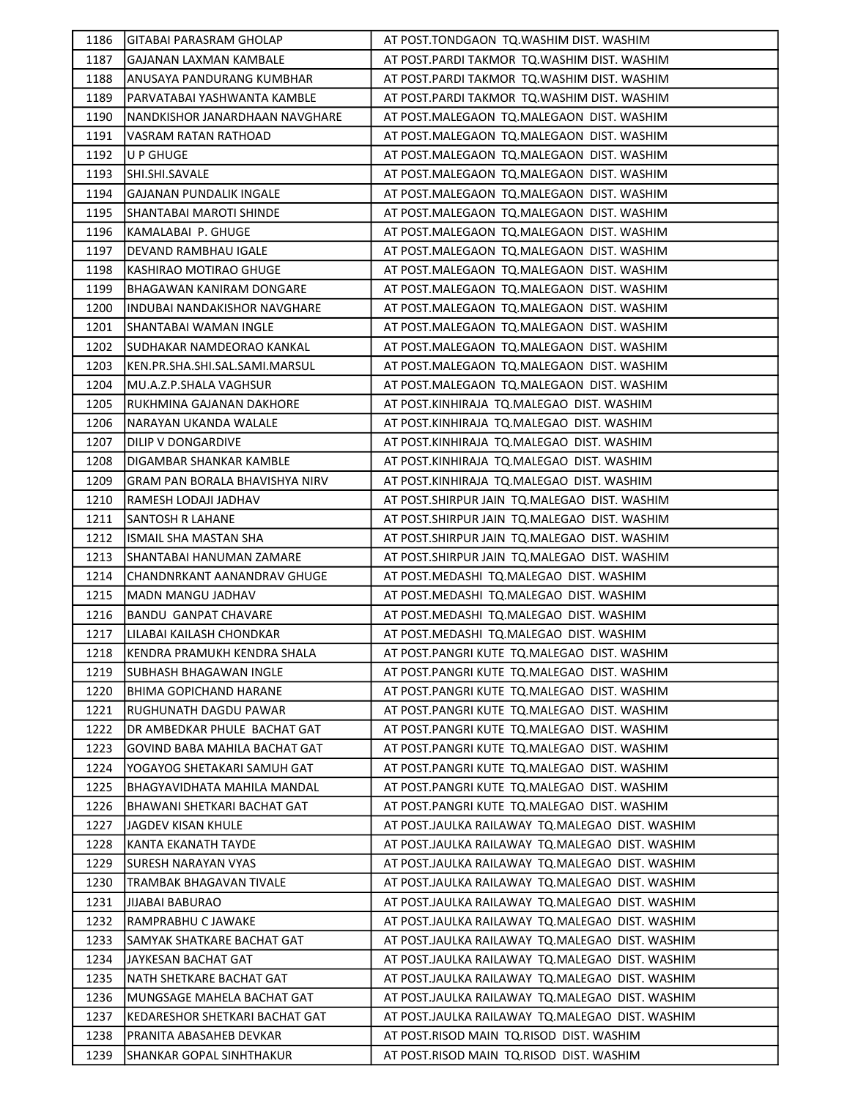| 1186 | GITABAI PARASRAM GHOLAP         | AT POST.TONDGAON TQ.WASHIM DIST. WASHIM         |
|------|---------------------------------|-------------------------------------------------|
| 1187 | GAJANAN LAXMAN KAMBALE          | AT POST. PARDI TAKMOR TQ. WASHIM DIST. WASHIM   |
| 1188 | ANUSAYA PANDURANG KUMBHAR       | AT POST.PARDI TAKMOR TQ.WASHIM DIST. WASHIM     |
| 1189 | PARVATABAI YASHWANTA KAMBLE     | AT POST.PARDI TAKMOR  TQ.WASHIM DIST. WASHIM    |
| 1190 | NANDKISHOR JANARDHAAN NAVGHARE  | AT POST.MALEGAON TQ.MALEGAON DIST. WASHIM       |
| 1191 | VASRAM RATAN RATHOAD            | AT POST.MALEGAON TQ.MALEGAON DIST. WASHIM       |
| 1192 | U P GHUGE                       | AT POST.MALEGAON TQ.MALEGAON DIST. WASHIM       |
| 1193 | SHI.SHI.SAVALE                  | AT POST.MALEGAON TQ.MALEGAON DIST. WASHIM       |
| 1194 | <b>GAJANAN PUNDALIK INGALE</b>  | AT POST.MALEGAON TQ.MALEGAON DIST. WASHIM       |
| 1195 | SHANTABAI MAROTI SHINDE         | AT POST.MALEGAON TQ.MALEGAON DIST. WASHIM       |
| 1196 | KAMALABAI P. GHUGE              | AT POST.MALEGAON TQ.MALEGAON DIST. WASHIM       |
| 1197 | DEVAND RAMBHAU IGALE            | AT POST.MALEGAON TQ.MALEGAON DIST. WASHIM       |
| 1198 | KASHIRAO MOTIRAO GHUGE          | AT POST.MALEGAON TQ.MALEGAON DIST. WASHIM       |
| 1199 | BHAGAWAN KANIRAM DONGARE        | AT POST.MALEGAON  TQ.MALEGAON  DIST. WASHIM     |
| 1200 | INDUBAI NANDAKISHOR NAVGHARE    | AT POST.MALEGAON TQ.MALEGAON DIST. WASHIM       |
| 1201 | <b>SHANTABAI WAMAN INGLE</b>    | AT POST.MALEGAON TQ.MALEGAON DIST. WASHIM       |
| 1202 | SUDHAKAR NAMDEORAO KANKAL       | AT POST.MALEGAON TQ.MALEGAON DIST. WASHIM       |
| 1203 | KEN.PR.SHA.SHI.SAL.SAMI.MARSUL  | AT POST.MALEGAON TQ.MALEGAON DIST. WASHIM       |
| 1204 | MU.A.Z.P.SHALA VAGHSUR          | AT POST.MALEGAON TQ.MALEGAON DIST. WASHIM       |
| 1205 | RUKHMINA GAJANAN DAKHORE        | AT POST.KINHIRAJA TQ.MALEGAO DIST. WASHIM       |
| 1206 | NARAYAN UKANDA WALALE           | AT POST.KINHIRAJA TQ.MALEGAO DIST. WASHIM       |
| 1207 | DILIP V DONGARDIVE              | AT POST.KINHIRAJA TQ.MALEGAO DIST. WASHIM       |
| 1208 | DIGAMBAR SHANKAR KAMBLE         | AT POST.KINHIRAJA TQ.MALEGAO DIST. WASHIM       |
| 1209 | GRAM PAN BORALA BHAVISHYA NIRV  | AT POST.KINHIRAJA TQ.MALEGAO DIST. WASHIM       |
| 1210 | RAMESH LODAJI JADHAV            | AT POST.SHIRPUR JAIN TQ.MALEGAO DIST. WASHIM    |
| 1211 | SANTOSH R LAHANE                | AT POST.SHIRPUR JAIN TQ.MALEGAO DIST. WASHIM    |
| 1212 | ISMAIL SHA MASTAN SHA           | AT POST.SHIRPUR JAIN TQ.MALEGAO DIST. WASHIM    |
| 1213 | SHANTABAI HANUMAN ZAMARE        | AT POST.SHIRPUR JAIN TQ.MALEGAO DIST. WASHIM    |
| 1214 | CHANDNRKANT AANANDRAV GHUGE     | AT POST. MEDASHI TQ. MALEGAO DIST. WASHIM       |
| 1215 | MADN MANGU JADHAV               | AT POST.MEDASHI TQ.MALEGAO DIST. WASHIM         |
| 1216 | <b>BANDU GANPAT CHAVARE</b>     | AT POST.MEDASHI TQ.MALEGAO DIST. WASHIM         |
| 1217 | LILABAI KAILASH CHONDKAR        | AT POST.MEDASHI TQ.MALEGAO DIST. WASHIM         |
| 1218 | KENDRA PRAMUKH KENDRA SHALA     | AT POST.PANGRI KUTE TQ.MALEGAO DIST. WASHIM     |
| 1219 | ISUBHASH BHAGAWAN INGLE         | AT POST.PANGRI KUTE TQ.MALEGAO DIST. WASHIM     |
| 1220 | BHIMA GOPICHAND HARANE          | AT POST.PANGRI KUTE TQ.MALEGAO DIST. WASHIM     |
| 1221 | RUGHUNATH DAGDU PAWAR           | AT POST.PANGRI KUTE TO.MALEGAO DIST. WASHIM     |
| 1222 | DR AMBEDKAR PHULE BACHAT GAT    | AT POST.PANGRI KUTE TQ.MALEGAO DIST. WASHIM     |
| 1223 | GOVIND BABA MAHILA BACHAT GAT   | AT POST.PANGRI KUTE TQ.MALEGAO DIST. WASHIM     |
| 1224 | YOGAYOG SHETAKARI SAMUH GAT     | AT POST.PANGRI KUTE TQ.MALEGAO DIST. WASHIM     |
| 1225 | BHAGYAVIDHATA MAHILA MANDAL     | AT POST.PANGRI KUTE TQ.MALEGAO DIST. WASHIM     |
| 1226 | BHAWANI SHETKARI BACHAT GAT     | AT POST.PANGRI KUTE TQ.MALEGAO DIST. WASHIM     |
| 1227 | JAGDEV KISAN KHULE              | AT POST.JAULKA RAILAWAY TQ.MALEGAO DIST. WASHIM |
| 1228 | KANTA EKANATH TAYDE             | AT POST.JAULKA RAILAWAY TQ.MALEGAO DIST. WASHIM |
| 1229 | SURESH NARAYAN VYAS             | AT POST.JAULKA RAILAWAY TQ.MALEGAO DIST. WASHIM |
| 1230 | TRAMBAK BHAGAVAN TIVALE         | AT POST.JAULKA RAILAWAY TQ.MALEGAO DIST. WASHIM |
| 1231 | <b>JIJABAI BABURAO</b>          | AT POST.JAULKA RAILAWAY TQ.MALEGAO DIST. WASHIM |
| 1232 | RAMPRABHU C JAWAKE              | AT POST.JAULKA RAILAWAY TQ.MALEGAO DIST. WASHIM |
| 1233 | SAMYAK SHATKARE BACHAT GAT      | AT POST.JAULKA RAILAWAY TQ.MALEGAO DIST. WASHIM |
| 1234 | JAYKESAN BACHAT GAT             | AT POST.JAULKA RAILAWAY TQ.MALEGAO DIST. WASHIM |
| 1235 | NATH SHETKARE BACHAT GAT        | AT POST.JAULKA RAILAWAY TQ.MALEGAO DIST. WASHIM |
| 1236 | MUNGSAGE MAHELA BACHAT GAT      | AT POST.JAULKA RAILAWAY TQ.MALEGAO DIST. WASHIM |
| 1237 | KEDARESHOR SHETKARI BACHAT GAT  | AT POST.JAULKA RAILAWAY TQ.MALEGAO DIST. WASHIM |
| 1238 | PRANITA ABASAHEB DEVKAR         | AT POST.RISOD MAIN TQ.RISOD DIST. WASHIM        |
| 1239 | <b>SHANKAR GOPAL SINHTHAKUR</b> | AT POST.RISOD MAIN TQ.RISOD DIST. WASHIM        |